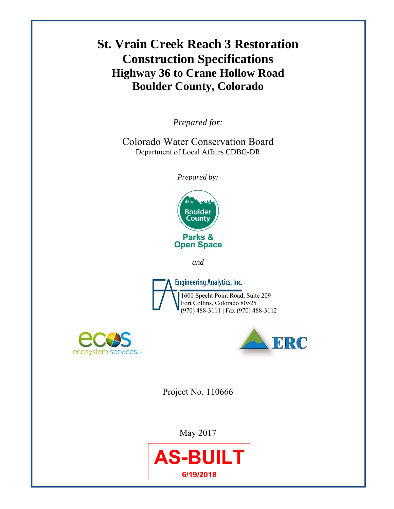# **St. Vrain Creek Reach 3 Restoration Construction Specifications Highway 36 to Crane Hollow Road Boulder County, Colorado**

*Prepared for:* 

Colorado Water Conservation Board Department of Local Affairs CDBG-DR

*Prepared by:* 



*and* 







Project No. 110666

May 2017

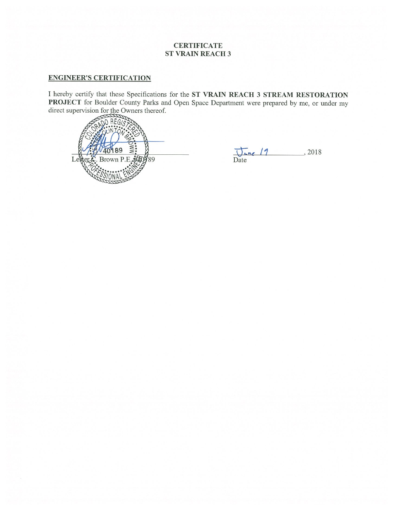#### **CERTIFICATE ST VRAIN REACH 3**

#### **ENGINEER'S CERTIFICATION**

I hereby certify that these Specifications for the ST VRAIN REACH 3 STREAM RESTORATION PROJECT for Boulder County Parks and Open Space Department were prepared by me, or under my direct supervision for the Owners thereof.



 $\frac{1}{\sqrt{2\pi}}$  19 . 2018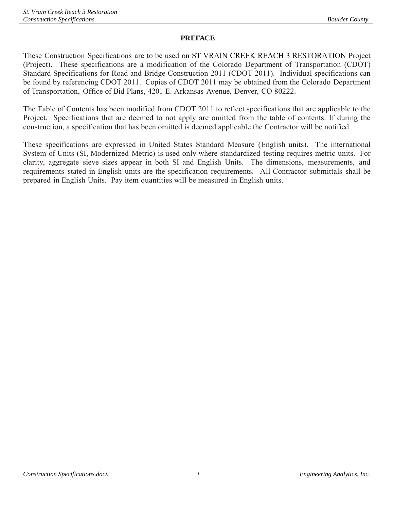#### **PREFACE**

These Construction Specifications are to be used on ST VRAIN CREEK REACH 3 RESTORATION Project (Project). These specifications are a modification of the Colorado Department of Transportation (CDOT) Standard Specifications for Road and Bridge Construction 2011 (CDOT 2011). Individual specifications can be found by referencing CDOT 2011. Copies of CDOT 2011 may be obtained from the Colorado Department of Transportation, Office of Bid Plans, 4201 E. Arkansas Avenue, Denver, CO 80222.

The Table of Contents has been modified from CDOT 2011 to reflect specifications that are applicable to the Project. Specifications that are deemed to not apply are omitted from the table of contents. If during the construction, a specification that has been omitted is deemed applicable the Contractor will be notified.

These specifications are expressed in United States Standard Measure (English units). The international System of Units (SI, Modernized Metric) is used only where standardized testing requires metric units. For clarity, aggregate sieve sizes appear in both SI and English Units. The dimensions, measurements, and requirements stated in English units are the specification requirements. All Contractor submittals shall be prepared in English Units. Pay item quantities will be measured in English units.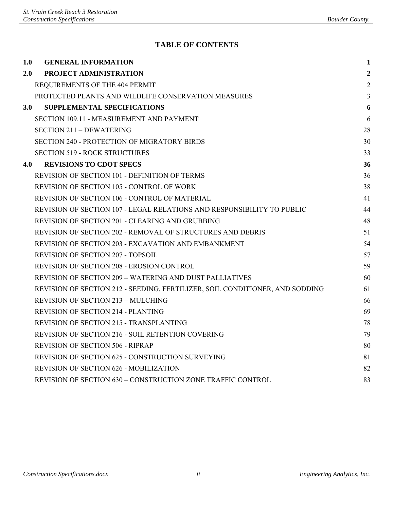## **TABLE OF CONTENTS**

| 1.0 | <b>GENERAL INFORMATION</b>                                                   | $\mathbf{1}$     |
|-----|------------------------------------------------------------------------------|------------------|
| 2.0 | PROJECT ADMINISTRATION                                                       | $\boldsymbol{2}$ |
|     | REQUIREMENTS OF THE 404 PERMIT                                               | $\overline{2}$   |
|     | PROTECTED PLANTS AND WILDLIFE CONSERVATION MEASURES                          | $\overline{3}$   |
| 3.0 | <b>SUPPLEMENTAL SPECIFICATIONS</b>                                           | 6                |
|     | SECTION 109.11 - MEASUREMENT AND PAYMENT                                     | 6                |
|     | <b>SECTION 211 - DEWATERING</b>                                              | 28               |
|     | <b>SECTION 240 - PROTECTION OF MIGRATORY BIRDS</b>                           | 30               |
|     | <b>SECTION 519 - ROCK STRUCTURES</b>                                         | 33               |
| 4.0 | <b>REVISIONS TO CDOT SPECS</b>                                               | 36               |
|     | <b>REVISION OF SECTION 101 - DEFINITION OF TERMS</b>                         | 36               |
|     | <b>REVISION OF SECTION 105 - CONTROL OF WORK</b>                             | 38               |
|     | <b>REVISION OF SECTION 106 - CONTROL OF MATERIAL</b>                         | 41               |
|     | REVISION OF SECTION 107 - LEGAL RELATIONS AND RESPONSIBILITY TO PUBLIC       | 44               |
|     | <b>REVISION OF SECTION 201 - CLEARING AND GRUBBING</b>                       | 48               |
|     | <b>REVISION OF SECTION 202 - REMOVAL OF STRUCTURES AND DEBRIS</b>            | 51               |
|     | <b>REVISION OF SECTION 203 - EXCAVATION AND EMBANKMENT</b>                   | 54               |
|     | <b>REVISION OF SECTION 207 - TOPSOIL</b>                                     | 57               |
|     | <b>REVISION OF SECTION 208 - EROSION CONTROL</b>                             | 59               |
|     | <b>REVISION OF SECTION 209 - WATERING AND DUST PALLIATIVES</b>               | 60               |
|     | REVISION OF SECTION 212 - SEEDING, FERTILIZER, SOIL CONDITIONER, AND SODDING | 61               |
|     | <b>REVISION OF SECTION 213 - MULCHING</b>                                    | 66               |
|     | <b>REVISION OF SECTION 214 - PLANTING</b>                                    | 69               |
|     | <b>REVISION OF SECTION 215 - TRANSPLANTING</b>                               | 78               |
|     | <b>REVISION OF SECTION 216 - SOIL RETENTION COVERING</b>                     | 79               |
|     | <b>REVISION OF SECTION 506 - RIPRAP</b>                                      | 80               |
|     | REVISION OF SECTION 625 - CONSTRUCTION SURVEYING                             | 81               |
|     | <b>REVISION OF SECTION 626 - MOBILIZATION</b>                                | 82               |
|     | REVISION OF SECTION 630 - CONSTRUCTION ZONE TRAFFIC CONTROL                  | 83               |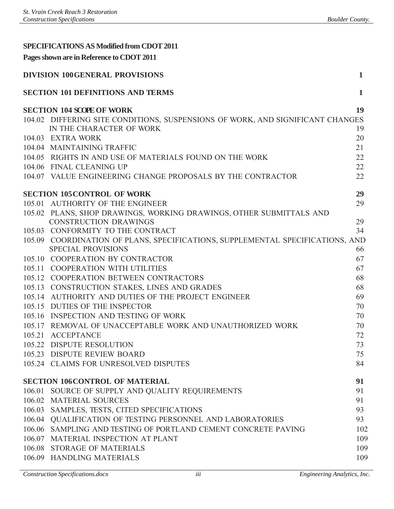#### **SPECIFICATIONS AS Modified from CDOT 2011**

**Pages shown are in Reference to CDOT 2011**

| <b>DIVISION 100 GENERAL PROVISIONS</b><br>$\mathbf 1$ |                                                                                |              |  |  |  |
|-------------------------------------------------------|--------------------------------------------------------------------------------|--------------|--|--|--|
|                                                       | <b>SECTION 101 DEFINITIONS AND TERMS</b>                                       | $\mathbf{1}$ |  |  |  |
|                                                       | <b>SECTION 104 SCOPE OF WORK</b>                                               | 19           |  |  |  |
|                                                       | 104.02 DIFFERING SITE CONDITIONS, SUSPENSIONS OF WORK, AND SIGNIFICANT CHANGES |              |  |  |  |
|                                                       | IN THE CHARACTER OF WORK                                                       | 19           |  |  |  |
|                                                       | 104.03 EXTRA WORK                                                              | 20           |  |  |  |
|                                                       | 104.04 MAINTAINING TRAFFIC                                                     | 21           |  |  |  |
|                                                       | 104.05 RIGHTS IN AND USE OF MATERIALS FOUND ON THE WORK                        | 22           |  |  |  |
|                                                       | 104.06 FINAL CLEANING UP                                                       | 22           |  |  |  |
|                                                       | 104.07 VALUE ENGINEERING CHANGE PROPOSALS BY THE CONTRACTOR                    | 22           |  |  |  |
|                                                       | <b>SECTION 105 CONTROL OF WORK</b>                                             | 29           |  |  |  |
|                                                       | 105.01 AUTHORITY OF THE ENGINEER                                               | 29           |  |  |  |
|                                                       | 105.02 PLANS, SHOP DRAWINGS, WORKING DRAWINGS, OTHER SUBMITTALS AND            |              |  |  |  |
|                                                       | <b>CONSTRUCTION DRAWINGS</b>                                                   | 29           |  |  |  |
|                                                       | 105.03 CONFORMITY TO THE CONTRACT                                              | 34           |  |  |  |
|                                                       | 105.09 COORDINATION OF PLANS, SPECIFICATIONS, SUPPLEMENTAL SPECIFICATIONS, AND |              |  |  |  |
|                                                       | <b>SPECIAL PROVISIONS</b>                                                      | 66           |  |  |  |
|                                                       | 105.10 COOPERATION BY CONTRACTOR                                               | 67           |  |  |  |
|                                                       | 105.11 COOPERATION WITH UTILITIES                                              | 67           |  |  |  |
|                                                       | 105.12 COOPERATION BETWEEN CONTRACTORS                                         | 68           |  |  |  |
|                                                       | 105.13 CONSTRUCTION STAKES, LINES AND GRADES                                   | 68           |  |  |  |
|                                                       | 105.14 AUTHORITY AND DUTIES OF THE PROJECT ENGINEER                            | 69           |  |  |  |
|                                                       | 105.15 DUTIES OF THE INSPECTOR                                                 | 70           |  |  |  |
|                                                       | 105.16 INSPECTION AND TESTING OF WORK                                          | 70           |  |  |  |
|                                                       | 105.17 REMOVAL OF UNACCEPTABLE WORK AND UNAUTHORIZED WORK                      | 70           |  |  |  |
|                                                       | 105.21 ACCEPTANCE                                                              | 72           |  |  |  |
|                                                       | 105.22 DISPUTE RESOLUTION                                                      | 73           |  |  |  |
|                                                       | 105 23 DISPUTE REVIEW BOARD                                                    | 75           |  |  |  |
|                                                       | 105.24 CLAIMS FOR UNRESOLVED DISPUTES                                          | 84           |  |  |  |
|                                                       | <b>SECTION 106 CONTROL OF MATERIAL</b>                                         | 91           |  |  |  |
|                                                       | 106.01 SOURCE OF SUPPLY AND QUALITY REQUIREMENTS                               | 91           |  |  |  |
|                                                       | 106.02 MATERIAL SOURCES                                                        | 91           |  |  |  |
|                                                       | 106.03 SAMPLES, TESTS, CITED SPECIFICATIONS                                    | 93           |  |  |  |
|                                                       | 106.04 QUALIFICATION OF TESTING PERSONNEL AND LABORATORIES                     | 93           |  |  |  |
|                                                       | 106.06 SAMPLING AND TESTING OF PORTLAND CEMENT CONCRETE PAVING                 | 102          |  |  |  |
|                                                       | 106.07 MATERIAL INSPECTION AT PLANT                                            | 109          |  |  |  |
|                                                       | 106.08 STORAGE OF MATERIALS                                                    | 109          |  |  |  |
|                                                       | 106.09 HANDLING MATERIALS                                                      | 109          |  |  |  |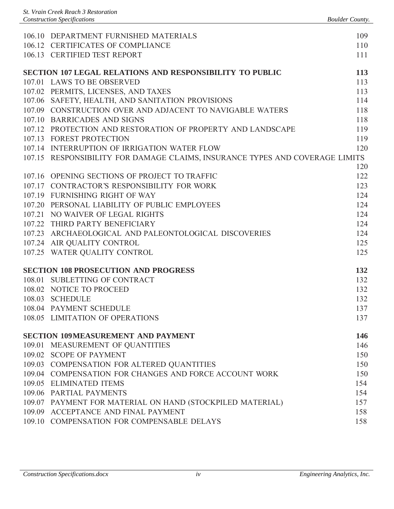| 106.10 DEPARTMENT FURNISHED MATERIALS                                        | 109 |
|------------------------------------------------------------------------------|-----|
| 106.12 CERTIFICATES OF COMPLIANCE                                            | 110 |
| 106.13 CERTIFIED TEST REPORT                                                 | 111 |
| <b>SECTION 107 LEGAL RELATIONS AND RESPONSIBILITY TO PUBLIC</b>              | 113 |
| 107.01 LAWS TO BE OBSERVED                                                   | 113 |
| 107.02 PERMITS, LICENSES, AND TAXES                                          | 113 |
| 107.06 SAFETY, HEALTH, AND SANITATION PROVISIONS                             | 114 |
| 107.09 CONSTRUCTION OVER AND ADJACENT TO NAVIGABLE WATERS                    | 118 |
| 107.10 BARRICADES AND SIGNS                                                  | 118 |
| 107.12 PROTECTION AND RESTORATION OF PROPERTY AND LANDSCAPE                  | 119 |
| 107.13 FOREST PROTECTION                                                     | 119 |
| 107.14 INTERRUPTION OF IRRIGATION WATER FLOW                                 | 120 |
| 107.15 RESPONSIBILITY FOR DAMAGE CLAIMS, INSURANCE TYPES AND COVERAGE LIMITS |     |
|                                                                              | 120 |
| 107.16 OPENING SECTIONS OF PROJECT TO TRAFFIC                                | 122 |
| 107.17 CONTRACTOR'S RESPONSIBILITY FOR WORK                                  | 123 |
| 107.19 FURNISHING RIGHT OF WAY                                               | 124 |
| 107.20 PERSONAL LIABILITY OF PUBLIC EMPLOYEES                                | 124 |
| 107.21 NO WAIVER OF LEGAL RIGHTS                                             | 124 |
| 107.22 THIRD PARTY BENEFICIARY                                               | 124 |
| 107.23 ARCHAEOLOGICAL AND PALEONTOLOGICAL DISCOVERIES                        | 124 |
| 107.24 AIR QUALITY CONTROL                                                   | 125 |
| 107.25 WATER QUALITY CONTROL                                                 | 125 |
| <b>SECTION 108 PROSECUTION AND PROGRESS</b>                                  | 132 |
| 108.01 SUBLETTING OF CONTRACT                                                | 132 |
| 108.02 NOTICE TO PROCEED                                                     | 132 |
| 108.03 SCHEDULE                                                              | 132 |
| 108.04 PAYMENT SCHEDULE                                                      | 137 |
| 108.05 LIMITATION OF OPERATIONS                                              | 137 |
| <b>SECTION 109MEASUREMENT AND PAYMENT</b>                                    | 146 |
| 109.01 MEASUREMENT OF QUANTITIES                                             | 146 |
| 109.02 SCOPE OF PAYMENT                                                      | 150 |
| 109.03 COMPENSATION FOR ALTERED QUANTITIES                                   | 150 |
| 109.04 COMPENSATION FOR CHANGES AND FORCE ACCOUNT WORK                       | 150 |
| 109.05 ELIMINATED ITEMS                                                      | 154 |
| 109.06 PARTIAL PAYMENTS                                                      | 154 |
| 109.07 PAYMENT FOR MATERIAL ON HAND (STOCKPILED MATERIAL)                    | 157 |
| 109.09 ACCEPTANCE AND FINAL PAYMENT                                          | 158 |
| 109.10 COMPENSATION FOR COMPENSABLE DELAYS                                   | 158 |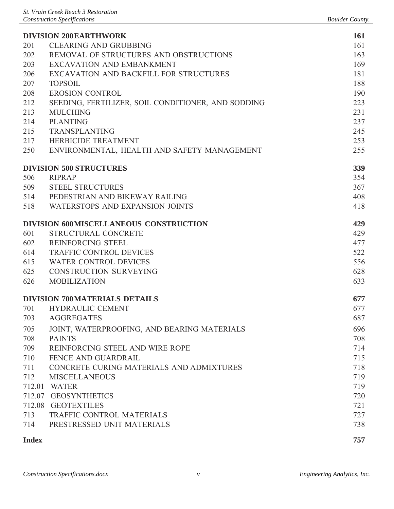| <b>DIVISION 200EARTHWORK</b><br><b>161</b> |                                                    |     |
|--------------------------------------------|----------------------------------------------------|-----|
| 201                                        | <b>CLEARING AND GRUBBING</b>                       | 161 |
| 202                                        | REMOVAL OF STRUCTURES AND OBSTRUCTIONS             | 163 |
| 203                                        | <b>EXCAVATION AND EMBANKMENT</b>                   | 169 |
| 206                                        | EXCAVATION AND BACKFILL FOR STRUCTURES             | 181 |
| 207                                        | <b>TOPSOIL</b>                                     | 188 |
| 208                                        | <b>EROSION CONTROL</b>                             | 190 |
| 212                                        | SEEDING, FERTILIZER, SOIL CONDITIONER, AND SODDING | 223 |
| 213                                        | <b>MULCHING</b>                                    | 231 |
| 214                                        | <b>PLANTING</b>                                    | 237 |
| 215                                        | TRANSPLANTING                                      | 245 |
| 217                                        | HERBICIDE TREATMENT                                | 253 |
| 250                                        | ENVIRONMENTAL, HEALTH AND SAFETY MANAGEMENT        | 255 |
|                                            | <b>DIVISION 500 STRUCTURES</b>                     | 339 |
| 506                                        | <b>RIPRAP</b>                                      | 354 |
| 509                                        | <b>STEEL STRUCTURES</b>                            | 367 |
|                                            | 514 PEDESTRIAN AND BIKEWAY RAILING                 | 408 |
| 518                                        | WATERSTOPS AND EXPANSION JOINTS                    | 418 |
|                                            | DIVISION 600MISCELLANEOUS CONSTRUCTION             | 429 |
| 601                                        | STRUCTURAL CONCRETE                                | 429 |
| 602                                        | <b>REINFORCING STEEL</b>                           | 477 |
| 614                                        | <b>TRAFFIC CONTROL DEVICES</b>                     | 522 |
| 615                                        | <b>WATER CONTROL DEVICES</b>                       | 556 |
| 625                                        | <b>CONSTRUCTION SURVEYING</b>                      | 628 |
| 626                                        | <b>MOBILIZATION</b>                                | 633 |
|                                            | <b>DIVISION 700MATERIALS DETAILS</b>               | 677 |
| 701                                        | HYDRAULIC CEMENT                                   | 677 |
|                                            | 703 AGGREGATES                                     | 687 |
| 705                                        | JOINT, WATERPROOFING, AND BEARING MATERIALS        | 696 |
| 708                                        | <b>PAINTS</b>                                      | 708 |
| 709                                        | REINFORCING STEEL AND WIRE ROPE                    | 714 |
| 710                                        | FENCE AND GUARDRAIL                                | 715 |
| 711                                        | CONCRETE CURING MATERIALS AND ADMIXTURES           | 718 |
| 712                                        | <b>MISCELLANEOUS</b>                               | 719 |
|                                            | 712.01 WATER                                       | 719 |
|                                            | 712.07 GEOSYNTHETICS                               | 720 |
|                                            | 712.08 GEOTEXTILES                                 | 721 |
| 713                                        | TRAFFIC CONTROL MATERIALS                          | 727 |
| 714                                        | PRESTRESSED UNIT MATERIALS                         | 738 |
| <b>Index</b>                               |                                                    | 757 |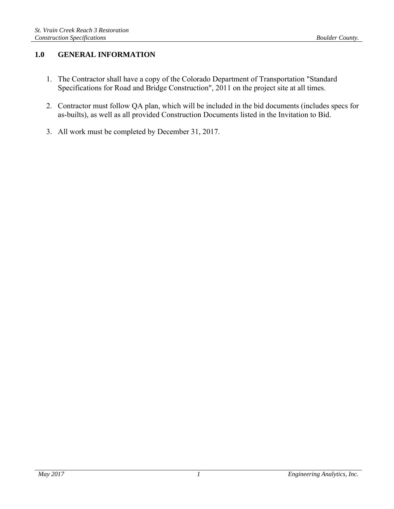## **1.0 GENERAL INFORMATION**

- 1. The Contractor shall have a copy of the Colorado Department of Transportation "Standard Specifications for Road and Bridge Construction", 2011 on the project site at all times.
- 2. Contractor must follow QA plan, which will be included in the bid documents (includes specs for as-builts), as well as all provided Construction Documents listed in the Invitation to Bid.
- 3. All work must be completed by December 31, 2017.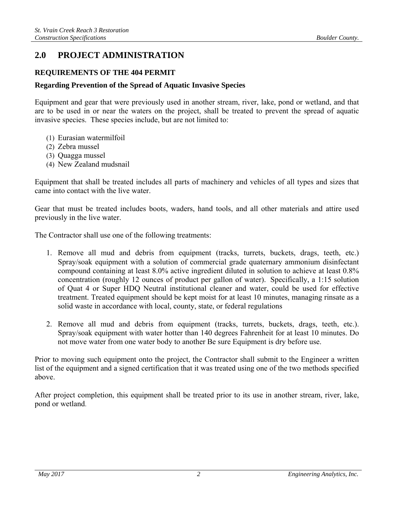## **2.0 PROJECT ADMINISTRATION**

#### **REQUIREMENTS OF THE 404 PERMIT**

#### **Regarding Prevention of the Spread of Aquatic Invasive Species**

Equipment and gear that were previously used in another stream, river, lake, pond or wetland, and that are to be used in or near the waters on the project, shall be treated to prevent the spread of aquatic invasive species. These species include, but are not limited to:

- (1) Eurasian watermilfoil
- (2) Zebra mussel
- (3) Quagga mussel
- (4) New Zealand mudsnail

Equipment that shall be treated includes all parts of machinery and vehicles of all types and sizes that came into contact with the live water.

Gear that must be treated includes boots, waders, hand tools, and all other materials and attire used previously in the live water.

The Contractor shall use one of the following treatments:

- 1. Remove all mud and debris from equipment (tracks, turrets, buckets, drags, teeth, etc.) Spray/soak equipment with a solution of commercial grade quaternary ammonium disinfectant compound containing at least 8.0% active ingredient diluted in solution to achieve at least 0.8% concentration (roughly 12 ounces of product per gallon of water). Specifically, a 1:15 solution of Quat 4 or Super HDQ Neutral institutional cleaner and water, could be used for effective treatment. Treated equipment should be kept moist for at least 10 minutes, managing rinsate as a solid waste in accordance with local, county, state, or federal regulations
- 2. Remove all mud and debris from equipment (tracks, turrets, buckets, drags, teeth, etc.). Spray/soak equipment with water hotter than 140 degrees Fahrenheit for at least 10 minutes. Do not move water from one water body to another Be sure Equipment is dry before use.

Prior to moving such equipment onto the project, the Contractor shall submit to the Engineer a written list of the equipment and a signed certification that it was treated using one of the two methods specified above.

After project completion, this equipment shall be treated prior to its use in another stream, river, lake, pond or wetland.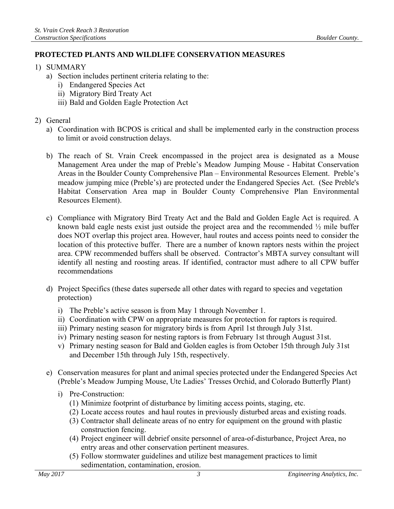## **PROTECTED PLANTS AND WILDLIFE CONSERVATION MEASURES**

- 1) SUMMARY
	- a) Section includes pertinent criteria relating to the:
		- i) Endangered Species Act
		- ii) Migratory Bird Treaty Act
		- iii) Bald and Golden Eagle Protection Act

#### 2) General

- a) Coordination with BCPOS is critical and shall be implemented early in the construction process to limit or avoid construction delays.
- b) The reach of St. Vrain Creek encompassed in the project area is designated as a Mouse Management Area under the map of Preble's Meadow Jumping Mouse - Habitat Conservation Areas in the Boulder County Comprehensive Plan – Environmental Resources Element. Preble's meadow jumping mice (Preble's) are protected under the Endangered Species Act. (See Preble's Habitat Conservation Area map in Boulder County Comprehensive Plan Environmental Resources Element).
- c) Compliance with Migratory Bird Treaty Act and the Bald and Golden Eagle Act is required. A known bald eagle nests exist just outside the project area and the recommended ½ mile buffer does NOT overlap this project area. However, haul routes and access points need to consider the location of this protective buffer. There are a number of known raptors nests within the project area. CPW recommended buffers shall be observed. Contractor's MBTA survey consultant will identify all nesting and roosting areas. If identified, contractor must adhere to all CPW buffer recommendations
- d) Project Specifics (these dates supersede all other dates with regard to species and vegetation protection)
	- i) The Preble's active season is from May 1 through November 1.
	- ii) Coordination with CPW on appropriate measures for protection for raptors is required.
	- iii) Primary nesting season for migratory birds is from April 1st through July 31st.
	- iv) Primary nesting season for nesting raptors is from February 1st through August 31st.
	- v) Primary nesting season for Bald and Golden eagles is from October 15th through July 31st and December 15th through July 15th, respectively.
- e) Conservation measures for plant and animal species protected under the Endangered Species Act (Preble's Meadow Jumping Mouse, Ute Ladies' Tresses Orchid, and Colorado Butterfly Plant)
	- i) Pre-Construction:
		- (1) Minimize footprint of disturbance by limiting access points, staging, etc.
		- (2) Locate access routes and haul routes in previously disturbed areas and existing roads.
		- (3) Contractor shall delineate areas of no entry for equipment on the ground with plastic construction fencing.
		- (4) Project engineer will debrief onsite personnel of area-of-disturbance, Project Area, no entry areas and other conservation pertinent measures.
		- (5) Follow stormwater guidelines and utilize best management practices to limit sedimentation, contamination, erosion.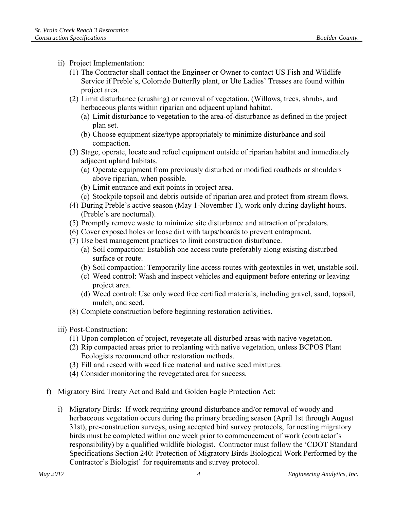- ii) Project Implementation:
	- (1) The Contractor shall contact the Engineer or Owner to contact US Fish and Wildlife Service if Preble's, Colorado Butterfly plant, or Ute Ladies' Tresses are found within project area.
	- (2) Limit disturbance (crushing) or removal of vegetation. (Willows, trees, shrubs, and herbaceous plants within riparian and adjacent upland habitat.
		- (a) Limit disturbance to vegetation to the area-of-disturbance as defined in the project plan set.
		- (b) Choose equipment size/type appropriately to minimize disturbance and soil compaction.
	- (3) Stage, operate, locate and refuel equipment outside of riparian habitat and immediately adjacent upland habitats.
		- (a) Operate equipment from previously disturbed or modified roadbeds or shoulders above riparian, when possible.
		- (b) Limit entrance and exit points in project area.
		- (c) Stockpile topsoil and debris outside of riparian area and protect from stream flows.
	- (4) During Preble's active season (May 1-November 1), work only during daylight hours. (Preble's are nocturnal).
	- (5) Promptly remove waste to minimize site disturbance and attraction of predators.
	- (6) Cover exposed holes or loose dirt with tarps/boards to prevent entrapment.
	- (7) Use best management practices to limit construction disturbance.
		- (a) Soil compaction: Establish one access route preferably along existing disturbed surface or route.
		- (b) Soil compaction: Temporarily line access routes with geotextiles in wet, unstable soil.
		- (c) Weed control: Wash and inspect vehicles and equipment before entering or leaving project area.
		- (d) Weed control: Use only weed free certified materials, including gravel, sand, topsoil, mulch, and seed.
	- (8) Complete construction before beginning restoration activities.
- iii) Post-Construction:
	- (1) Upon completion of project, revegetate all disturbed areas with native vegetation.
	- (2) Rip compacted areas prior to replanting with native vegetation, unless BCPOS Plant Ecologists recommend other restoration methods.
	- (3) Fill and reseed with weed free material and native seed mixtures.
	- (4) Consider monitoring the revegetated area for success.
- f) Migratory Bird Treaty Act and Bald and Golden Eagle Protection Act:
	- i) Migratory Birds: If work requiring ground disturbance and/or removal of woody and herbaceous vegetation occurs during the primary breeding season (April 1st through August 31st), pre-construction surveys, using accepted bird survey protocols, for nesting migratory birds must be completed within one week prior to commencement of work (contractor's responsibility) by a qualified wildlife biologist. Contractor must follow the 'CDOT Standard Specifications Section 240: Protection of Migratory Birds Biological Work Performed by the Contractor's Biologist' for requirements and survey protocol.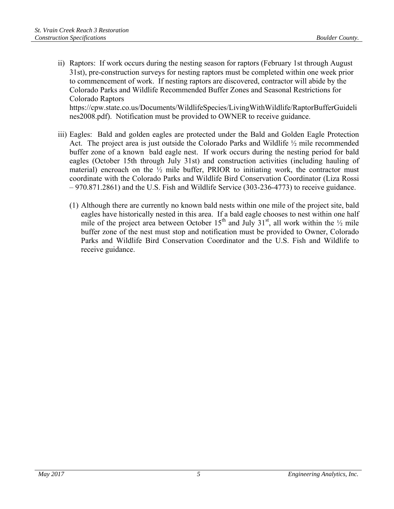- ii) Raptors: If work occurs during the nesting season for raptors (February 1st through August 31st), pre-construction surveys for nesting raptors must be completed within one week prior to commencement of work. If nesting raptors are discovered, contractor will abide by the Colorado Parks and Wildlife Recommended Buffer Zones and Seasonal Restrictions for Colorado Raptors https://cpw.state.co.us/Documents/WildlifeSpecies/LivingWithWildlife/RaptorBufferGuideli nes2008.pdf). Notification must be provided to OWNER to receive guidance.
- iii) Eagles: Bald and golden eagles are protected under the Bald and Golden Eagle Protection Act. The project area is just outside the Colorado Parks and Wildlife ½ mile recommended buffer zone of a known bald eagle nest. If work occurs during the nesting period for bald eagles (October 15th through July 31st) and construction activities (including hauling of material) encroach on the  $\frac{1}{2}$  mile buffer, PRIOR to initiating work, the contractor must coordinate with the Colorado Parks and Wildlife Bird Conservation Coordinator (Liza Rossi – 970.871.2861) and the U.S. Fish and Wildlife Service (303-236-4773) to receive guidance.
	- (1) Although there are currently no known bald nests within one mile of the project site, bald eagles have historically nested in this area. If a bald eagle chooses to nest within one half mile of the project area between October  $15<sup>th</sup>$  and July  $31<sup>st</sup>$ , all work within the  $\frac{1}{2}$  mile buffer zone of the nest must stop and notification must be provided to Owner, Colorado Parks and Wildlife Bird Conservation Coordinator and the U.S. Fish and Wildlife to receive guidance.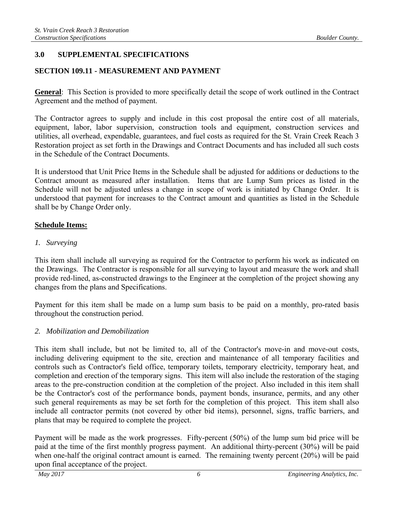## **3.0 SUPPLEMENTAL SPECIFICATIONS**

## **SECTION 109.11 - MEASUREMENT AND PAYMENT**

**General**: This Section is provided to more specifically detail the scope of work outlined in the Contract Agreement and the method of payment.

The Contractor agrees to supply and include in this cost proposal the entire cost of all materials, equipment, labor, labor supervision, construction tools and equipment, construction services and utilities, all overhead, expendable, guarantees, and fuel costs as required for the St. Vrain Creek Reach 3 Restoration project as set forth in the Drawings and Contract Documents and has included all such costs in the Schedule of the Contract Documents.

It is understood that Unit Price Items in the Schedule shall be adjusted for additions or deductions to the Contract amount as measured after installation. Items that are Lump Sum prices as listed in the Schedule will not be adjusted unless a change in scope of work is initiated by Change Order. It is understood that payment for increases to the Contract amount and quantities as listed in the Schedule shall be by Change Order only.

#### **Schedule Items:**

#### *1. Surveying*

This item shall include all surveying as required for the Contractor to perform his work as indicated on the Drawings. The Contractor is responsible for all surveying to layout and measure the work and shall provide red-lined, as-constructed drawings to the Engineer at the completion of the project showing any changes from the plans and Specifications.

Payment for this item shall be made on a lump sum basis to be paid on a monthly, pro-rated basis throughout the construction period.

#### *2. Mobilization and Demobilization*

This item shall include, but not be limited to, all of the Contractor's move-in and move-out costs, including delivering equipment to the site, erection and maintenance of all temporary facilities and controls such as Contractor's field office, temporary toilets, temporary electricity, temporary heat, and completion and erection of the temporary signs. This item will also include the restoration of the staging areas to the pre-construction condition at the completion of the project. Also included in this item shall be the Contractor's cost of the performance bonds, payment bonds, insurance, permits, and any other such general requirements as may be set forth for the completion of this project. This item shall also include all contractor permits (not covered by other bid items), personnel, signs, traffic barriers, and plans that may be required to complete the project.

Payment will be made as the work progresses. Fifty-percent (50%) of the lump sum bid price will be paid at the time of the first monthly progress payment. An additional thirty-percent (30%) will be paid when one-half the original contract amount is earned. The remaining twenty percent (20%) will be paid upon final acceptance of the project.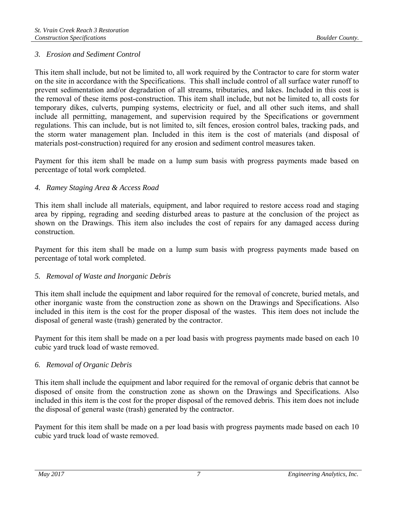## *3. Erosion and Sediment Control*

This item shall include, but not be limited to, all work required by the Contractor to care for storm water on the site in accordance with the Specifications. This shall include control of all surface water runoff to prevent sedimentation and/or degradation of all streams, tributaries, and lakes. Included in this cost is the removal of these items post-construction. This item shall include, but not be limited to, all costs for temporary dikes, culverts, pumping systems, electricity or fuel, and all other such items, and shall include all permitting, management, and supervision required by the Specifications or government regulations. This can include, but is not limited to, silt fences, erosion control bales, tracking pads, and the storm water management plan. Included in this item is the cost of materials (and disposal of materials post-construction) required for any erosion and sediment control measures taken.

Payment for this item shall be made on a lump sum basis with progress payments made based on percentage of total work completed.

## *4. Ramey Staging Area & Access Road*

This item shall include all materials, equipment, and labor required to restore access road and staging area by ripping, regrading and seeding disturbed areas to pasture at the conclusion of the project as shown on the Drawings. This item also includes the cost of repairs for any damaged access during construction.

Payment for this item shall be made on a lump sum basis with progress payments made based on percentage of total work completed.

#### *5. Removal of Waste and Inorganic Debris*

This item shall include the equipment and labor required for the removal of concrete, buried metals, and other inorganic waste from the construction zone as shown on the Drawings and Specifications. Also included in this item is the cost for the proper disposal of the wastes. This item does not include the disposal of general waste (trash) generated by the contractor.

Payment for this item shall be made on a per load basis with progress payments made based on each 10 cubic yard truck load of waste removed.

#### *6. Removal of Organic Debris*

This item shall include the equipment and labor required for the removal of organic debris that cannot be disposed of onsite from the construction zone as shown on the Drawings and Specifications. Also included in this item is the cost for the proper disposal of the removed debris. This item does not include the disposal of general waste (trash) generated by the contractor.

Payment for this item shall be made on a per load basis with progress payments made based on each 10 cubic yard truck load of waste removed.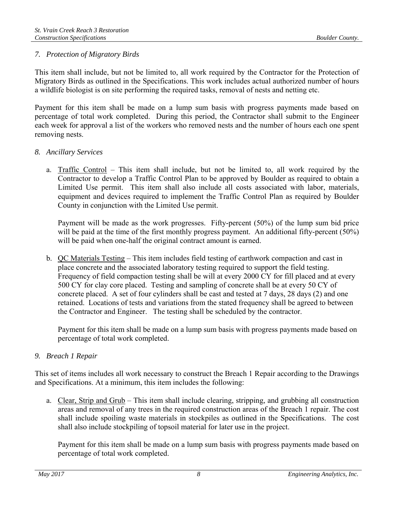#### *7. Protection of Migratory Birds*

This item shall include, but not be limited to, all work required by the Contractor for the Protection of Migratory Birds as outlined in the Specifications. This work includes actual authorized number of hours a wildlife biologist is on site performing the required tasks, removal of nests and netting etc.

Payment for this item shall be made on a lump sum basis with progress payments made based on percentage of total work completed. During this period, the Contractor shall submit to the Engineer each week for approval a list of the workers who removed nests and the number of hours each one spent removing nests.

#### *8. Ancillary Services*

a. Traffic Control – This item shall include, but not be limited to, all work required by the Contractor to develop a Traffic Control Plan to be approved by Boulder as required to obtain a Limited Use permit. This item shall also include all costs associated with labor, materials, equipment and devices required to implement the Traffic Control Plan as required by Boulder County in conjunction with the Limited Use permit.

Payment will be made as the work progresses. Fifty-percent (50%) of the lump sum bid price will be paid at the time of the first monthly progress payment. An additional fifty-percent (50%) will be paid when one-half the original contract amount is earned.

b. QC Materials Testing – This item includes field testing of earthwork compaction and cast in place concrete and the associated laboratory testing required to support the field testing. Frequency of field compaction testing shall be will at every 2000 CY for fill placed and at every 500 CY for clay core placed. Testing and sampling of concrete shall be at every 50 CY of concrete placed. A set of four cylinders shall be cast and tested at 7 days, 28 days (2) and one retained. Locations of tests and variations from the stated frequency shall be agreed to between the Contractor and Engineer. The testing shall be scheduled by the contractor.

Payment for this item shall be made on a lump sum basis with progress payments made based on percentage of total work completed.

#### *9. Breach 1 Repair*

This set of items includes all work necessary to construct the Breach 1 Repair according to the Drawings and Specifications. At a minimum, this item includes the following:

a. Clear, Strip and Grub – This item shall include clearing, stripping, and grubbing all construction areas and removal of any trees in the required construction areas of the Breach 1 repair. The cost shall include spoiling waste materials in stockpiles as outlined in the Specifications. The cost shall also include stockpiling of topsoil material for later use in the project.

Payment for this item shall be made on a lump sum basis with progress payments made based on percentage of total work completed.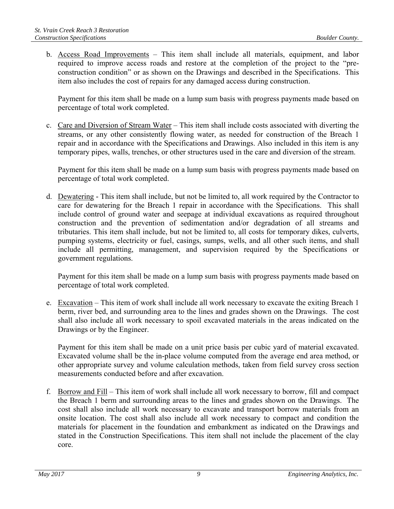b. Access Road Improvements – This item shall include all materials, equipment, and labor required to improve access roads and restore at the completion of the project to the "preconstruction condition" or as shown on the Drawings and described in the Specifications. This item also includes the cost of repairs for any damaged access during construction.

Payment for this item shall be made on a lump sum basis with progress payments made based on percentage of total work completed.

c. Care and Diversion of Stream Water – This item shall include costs associated with diverting the streams, or any other consistently flowing water, as needed for construction of the Breach 1 repair and in accordance with the Specifications and Drawings. Also included in this item is any temporary pipes, walls, trenches, or other structures used in the care and diversion of the stream.

Payment for this item shall be made on a lump sum basis with progress payments made based on percentage of total work completed.

d. Dewatering *-* This item shall include, but not be limited to, all work required by the Contractor to care for dewatering for the Breach 1 repair in accordance with the Specifications. This shall include control of ground water and seepage at individual excavations as required throughout construction and the prevention of sedimentation and/or degradation of all streams and tributaries. This item shall include, but not be limited to, all costs for temporary dikes, culverts, pumping systems, electricity or fuel, casings, sumps, wells, and all other such items, and shall include all permitting, management, and supervision required by the Specifications or government regulations.

Payment for this item shall be made on a lump sum basis with progress payments made based on percentage of total work completed.

e. Excavation – This item of work shall include all work necessary to excavate the exiting Breach 1 berm, river bed, and surrounding area to the lines and grades shown on the Drawings. The cost shall also include all work necessary to spoil excavated materials in the areas indicated on the Drawings or by the Engineer.

Payment for this item shall be made on a unit price basis per cubic yard of material excavated. Excavated volume shall be the in-place volume computed from the average end area method, or other appropriate survey and volume calculation methods, taken from field survey cross section measurements conducted before and after excavation.

f. Borrow and Fill – This item of work shall include all work necessary to borrow, fill and compact the Breach 1 berm and surrounding areas to the lines and grades shown on the Drawings. The cost shall also include all work necessary to excavate and transport borrow materials from an onsite location. The cost shall also include all work necessary to compact and condition the materials for placement in the foundation and embankment as indicated on the Drawings and stated in the Construction Specifications. This item shall not include the placement of the clay core.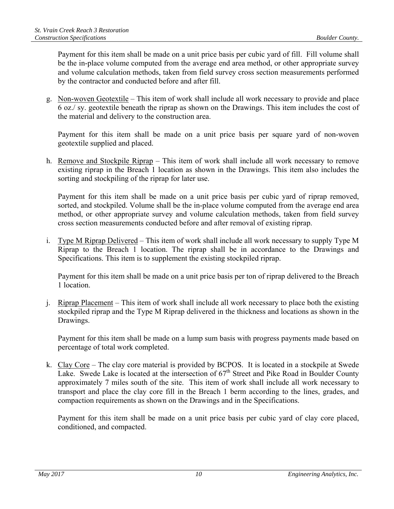Payment for this item shall be made on a unit price basis per cubic yard of fill. Fill volume shall be the in-place volume computed from the average end area method, or other appropriate survey and volume calculation methods, taken from field survey cross section measurements performed by the contractor and conducted before and after fill.

g. Non-woven Geotextile – This item of work shall include all work necessary to provide and place 6 oz./ sy. geotextile beneath the riprap as shown on the Drawings. This item includes the cost of the material and delivery to the construction area.

Payment for this item shall be made on a unit price basis per square yard of non-woven geotextile supplied and placed.

h. Remove and Stockpile Riprap – This item of work shall include all work necessary to remove existing riprap in the Breach 1 location as shown in the Drawings. This item also includes the sorting and stockpiling of the riprap for later use.

Payment for this item shall be made on a unit price basis per cubic yard of riprap removed, sorted, and stockpiled. Volume shall be the in-place volume computed from the average end area method, or other appropriate survey and volume calculation methods, taken from field survey cross section measurements conducted before and after removal of existing riprap.

i. Type M Riprap Delivered – This item of work shall include all work necessary to supply Type M Riprap to the Breach 1 location. The riprap shall be in accordance to the Drawings and Specifications. This item is to supplement the existing stockpiled riprap.

Payment for this item shall be made on a unit price basis per ton of riprap delivered to the Breach 1 location.

j. Riprap Placement – This item of work shall include all work necessary to place both the existing stockpiled riprap and the Type M Riprap delivered in the thickness and locations as shown in the Drawings.

Payment for this item shall be made on a lump sum basis with progress payments made based on percentage of total work completed.

k. Clay Core – The clay core material is provided by BCPOS. It is located in a stockpile at Swede Lake. Swede Lake is located at the intersection of  $67<sup>th</sup>$  Street and Pike Road in Boulder County approximately 7 miles south of the site. This item of work shall include all work necessary to transport and place the clay core fill in the Breach 1 berm according to the lines, grades, and compaction requirements as shown on the Drawings and in the Specifications.

Payment for this item shall be made on a unit price basis per cubic yard of clay core placed, conditioned, and compacted.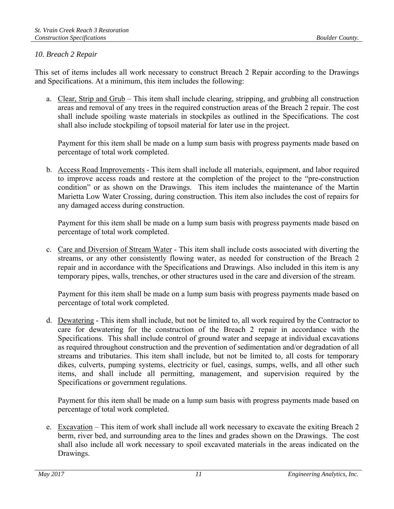#### *10. Breach 2 Repair*

This set of items includes all work necessary to construct Breach 2 Repair according to the Drawings and Specifications. At a minimum, this item includes the following:

a. Clear, Strip and Grub – This item shall include clearing, stripping, and grubbing all construction areas and removal of any trees in the required construction areas of the Breach 2 repair. The cost shall include spoiling waste materials in stockpiles as outlined in the Specifications. The cost shall also include stockpiling of topsoil material for later use in the project.

Payment for this item shall be made on a lump sum basis with progress payments made based on percentage of total work completed.

b. Access Road Improvements - This item shall include all materials, equipment, and labor required to improve access roads and restore at the completion of the project to the "pre-construction condition" or as shown on the Drawings. This item includes the maintenance of the Martin Marietta Low Water Crossing, during construction. This item also includes the cost of repairs for any damaged access during construction.

Payment for this item shall be made on a lump sum basis with progress payments made based on percentage of total work completed.

c. Care and Diversion of Stream Water - This item shall include costs associated with diverting the streams, or any other consistently flowing water, as needed for construction of the Breach 2 repair and in accordance with the Specifications and Drawings. Also included in this item is any temporary pipes, walls, trenches, or other structures used in the care and diversion of the stream.

Payment for this item shall be made on a lump sum basis with progress payments made based on percentage of total work completed.

d. Dewatering - This item shall include, but not be limited to, all work required by the Contractor to care for dewatering for the construction of the Breach 2 repair in accordance with the Specifications. This shall include control of ground water and seepage at individual excavations as required throughout construction and the prevention of sedimentation and/or degradation of all streams and tributaries. This item shall include, but not be limited to, all costs for temporary dikes, culverts, pumping systems, electricity or fuel, casings, sumps, wells, and all other such items, and shall include all permitting, management, and supervision required by the Specifications or government regulations.

Payment for this item shall be made on a lump sum basis with progress payments made based on percentage of total work completed.

e. Excavation – This item of work shall include all work necessary to excavate the exiting Breach 2 berm, river bed, and surrounding area to the lines and grades shown on the Drawings. The cost shall also include all work necessary to spoil excavated materials in the areas indicated on the Drawings.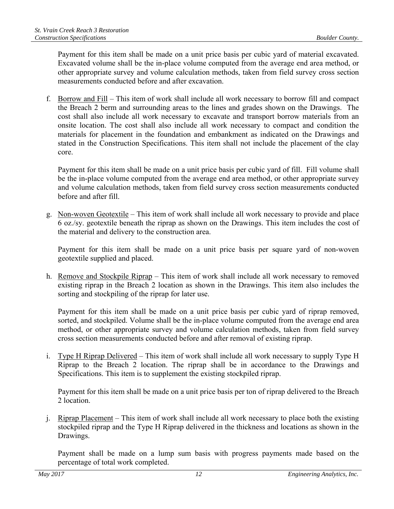Payment for this item shall be made on a unit price basis per cubic yard of material excavated. Excavated volume shall be the in-place volume computed from the average end area method, or other appropriate survey and volume calculation methods, taken from field survey cross section measurements conducted before and after excavation.

f. Borrow and Fill – This item of work shall include all work necessary to borrow fill and compact the Breach 2 berm and surrounding areas to the lines and grades shown on the Drawings. The cost shall also include all work necessary to excavate and transport borrow materials from an onsite location. The cost shall also include all work necessary to compact and condition the materials for placement in the foundation and embankment as indicated on the Drawings and stated in the Construction Specifications. This item shall not include the placement of the clay core.

Payment for this item shall be made on a unit price basis per cubic yard of fill. Fill volume shall be the in-place volume computed from the average end area method, or other appropriate survey and volume calculation methods, taken from field survey cross section measurements conducted before and after fill.

g. Non-woven Geotextile – This item of work shall include all work necessary to provide and place 6 oz./sy. geotextile beneath the riprap as shown on the Drawings. This item includes the cost of the material and delivery to the construction area.

Payment for this item shall be made on a unit price basis per square yard of non-woven geotextile supplied and placed.

h. Remove and Stockpile Riprap – This item of work shall include all work necessary to removed existing riprap in the Breach 2 location as shown in the Drawings. This item also includes the sorting and stockpiling of the riprap for later use.

Payment for this item shall be made on a unit price basis per cubic yard of riprap removed, sorted, and stockpiled. Volume shall be the in-place volume computed from the average end area method, or other appropriate survey and volume calculation methods, taken from field survey cross section measurements conducted before and after removal of existing riprap.

i. Type H Riprap Delivered – This item of work shall include all work necessary to supply Type H Riprap to the Breach 2 location. The riprap shall be in accordance to the Drawings and Specifications. This item is to supplement the existing stockpiled riprap.

Payment for this item shall be made on a unit price basis per ton of riprap delivered to the Breach 2 location.

j. Riprap Placement – This item of work shall include all work necessary to place both the existing stockpiled riprap and the Type H Riprap delivered in the thickness and locations as shown in the Drawings.

Payment shall be made on a lump sum basis with progress payments made based on the percentage of total work completed.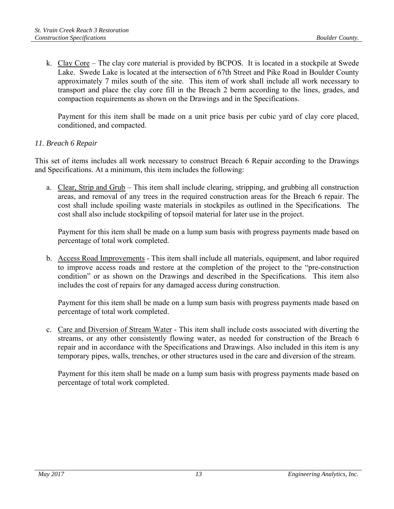k. Clay Core – The clay core material is provided by BCPOS. It is located in a stockpile at Swede Lake. Swede Lake is located at the intersection of 67th Street and Pike Road in Boulder County approximately 7 miles south of the site. This item of work shall include all work necessary to transport and place the clay core fill in the Breach 2 berm according to the lines, grades, and compaction requirements as shown on the Drawings and in the Specifications.

Payment for this item shall be made on a unit price basis per cubic yard of clay core placed, conditioned, and compacted.

#### *11. Breach 6 Repair*

This set of items includes all work necessary to construct Breach 6 Repair according to the Drawings and Specifications. At a minimum, this item includes the following:

a. Clear, Strip and Grub – This item shall include clearing, stripping, and grubbing all construction areas, and removal of any trees in the required construction areas for the Breach 6 repair. The cost shall include spoiling waste materials in stockpiles as outlined in the Specifications. The cost shall also include stockpiling of topsoil material for later use in the project.

Payment for this item shall be made on a lump sum basis with progress payments made based on percentage of total work completed.

b. Access Road Improvements - This item shall include all materials, equipment, and labor required to improve access roads and restore at the completion of the project to the "pre-construction condition" or as shown on the Drawings and described in the Specifications. This item also includes the cost of repairs for any damaged access during construction.

Payment for this item shall be made on a lump sum basis with progress payments made based on percentage of total work completed.

c. Care and Diversion of Stream Water - This item shall include costs associated with diverting the streams, or any other consistently flowing water, as needed for construction of the Breach 6 repair and in accordance with the Specifications and Drawings. Also included in this item is any temporary pipes, walls, trenches, or other structures used in the care and diversion of the stream.

Payment for this item shall be made on a lump sum basis with progress payments made based on percentage of total work completed.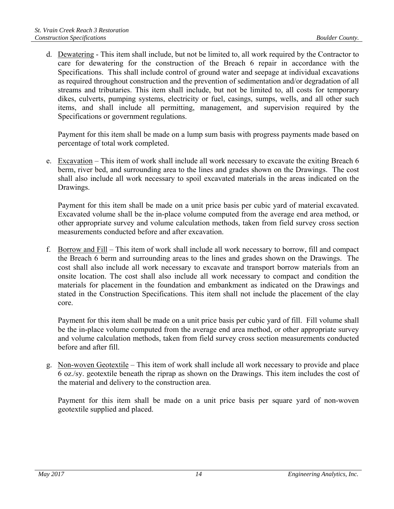d. Dewatering - This item shall include, but not be limited to, all work required by the Contractor to care for dewatering for the construction of the Breach 6 repair in accordance with the Specifications. This shall include control of ground water and seepage at individual excavations as required throughout construction and the prevention of sedimentation and/or degradation of all streams and tributaries. This item shall include, but not be limited to, all costs for temporary dikes, culverts, pumping systems, electricity or fuel, casings, sumps, wells, and all other such items, and shall include all permitting, management, and supervision required by the Specifications or government regulations.

Payment for this item shall be made on a lump sum basis with progress payments made based on percentage of total work completed.

e. Excavation – This item of work shall include all work necessary to excavate the exiting Breach 6 berm, river bed, and surrounding area to the lines and grades shown on the Drawings. The cost shall also include all work necessary to spoil excavated materials in the areas indicated on the Drawings.

Payment for this item shall be made on a unit price basis per cubic yard of material excavated. Excavated volume shall be the in-place volume computed from the average end area method, or other appropriate survey and volume calculation methods, taken from field survey cross section measurements conducted before and after excavation.

f. Borrow and Fill – This item of work shall include all work necessary to borrow, fill and compact the Breach 6 berm and surrounding areas to the lines and grades shown on the Drawings. The cost shall also include all work necessary to excavate and transport borrow materials from an onsite location. The cost shall also include all work necessary to compact and condition the materials for placement in the foundation and embankment as indicated on the Drawings and stated in the Construction Specifications. This item shall not include the placement of the clay core.

Payment for this item shall be made on a unit price basis per cubic yard of fill. Fill volume shall be the in-place volume computed from the average end area method, or other appropriate survey and volume calculation methods, taken from field survey cross section measurements conducted before and after fill.

g. Non-woven Geotextile – This item of work shall include all work necessary to provide and place 6 oz./sy. geotextile beneath the riprap as shown on the Drawings. This item includes the cost of the material and delivery to the construction area.

Payment for this item shall be made on a unit price basis per square yard of non-woven geotextile supplied and placed.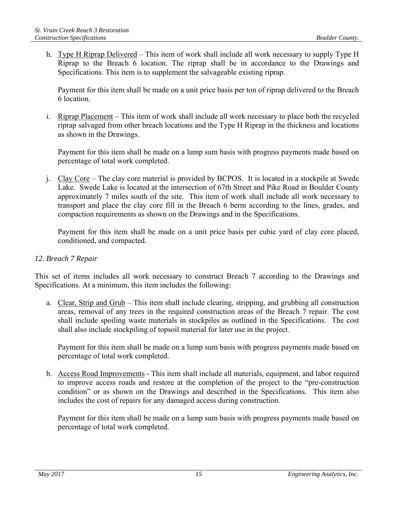h. Type H Riprap Delivered – This item of work shall include all work necessary to supply Type H Riprap to the Breach 6 location. The riprap shall be in accordance to the Drawings and Specifications. This item is to supplement the salvageable existing riprap.

Payment for this item shall be made on a unit price basis per ton of riprap delivered to the Breach 6 location.

i. Riprap Placement – This item of work shall include all work necessary to place both the recycled riprap salvaged from other breach locations and the Type H Riprap in the thickness and locations as shown in the Drawings.

Payment for this item shall be made on a lump sum basis with progress payments made based on percentage of total work completed.

j. Clay Core – The clay core material is provided by BCPOS. It is located in a stockpile at Swede Lake. Swede Lake is located at the intersection of 67th Street and Pike Road in Boulder County approximately 7 miles south of the site. This item of work shall include all work necessary to transport and place the clay core fill in the Breach 6 berm according to the lines, grades, and compaction requirements as shown on the Drawings and in the Specifications.

Payment for this item shall be made on a unit price basis per cubic yard of clay core placed, conditioned, and compacted.

#### *12. Breach 7 Repair*

This set of items includes all work necessary to construct Breach 7 according to the Drawings and Specifications. At a minimum, this item includes the following:

a. Clear, Strip and Grub – This item shall include clearing, stripping, and grubbing all construction areas, removal of any trees in the required construction areas of the Breach 7 repair. The cost shall include spoiling waste materials in stockpiles as outlined in the Specifications. The cost shall also include stockpiling of topsoil material for later use in the project.

Payment for this item shall be made on a lump sum basis with progress payments made based on percentage of total work completed.

b. Access Road Improvements - This item shall include all materials, equipment, and labor required to improve access roads and restore at the completion of the project to the "pre-construction condition" or as shown on the Drawings and described in the Specifications. This item also includes the cost of repairs for any damaged access during construction.

Payment for this item shall be made on a lump sum basis with progress payments made based on percentage of total work completed.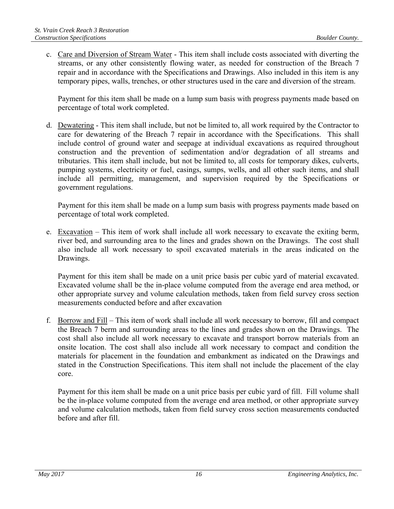c. Care and Diversion of Stream Water - This item shall include costs associated with diverting the streams, or any other consistently flowing water, as needed for construction of the Breach 7 repair and in accordance with the Specifications and Drawings. Also included in this item is any temporary pipes, walls, trenches, or other structures used in the care and diversion of the stream.

Payment for this item shall be made on a lump sum basis with progress payments made based on percentage of total work completed.

d. Dewatering - This item shall include, but not be limited to, all work required by the Contractor to care for dewatering of the Breach 7 repair in accordance with the Specifications. This shall include control of ground water and seepage at individual excavations as required throughout construction and the prevention of sedimentation and/or degradation of all streams and tributaries. This item shall include, but not be limited to, all costs for temporary dikes, culverts, pumping systems, electricity or fuel, casings, sumps, wells, and all other such items, and shall include all permitting, management, and supervision required by the Specifications or government regulations.

Payment for this item shall be made on a lump sum basis with progress payments made based on percentage of total work completed.

e. Excavation – This item of work shall include all work necessary to excavate the exiting berm, river bed, and surrounding area to the lines and grades shown on the Drawings. The cost shall also include all work necessary to spoil excavated materials in the areas indicated on the Drawings.

Payment for this item shall be made on a unit price basis per cubic yard of material excavated. Excavated volume shall be the in-place volume computed from the average end area method, or other appropriate survey and volume calculation methods, taken from field survey cross section measurements conducted before and after excavation

f. Borrow and Fill – This item of work shall include all work necessary to borrow, fill and compact the Breach 7 berm and surrounding areas to the lines and grades shown on the Drawings. The cost shall also include all work necessary to excavate and transport borrow materials from an onsite location. The cost shall also include all work necessary to compact and condition the materials for placement in the foundation and embankment as indicated on the Drawings and stated in the Construction Specifications. This item shall not include the placement of the clay core.

Payment for this item shall be made on a unit price basis per cubic yard of fill. Fill volume shall be the in-place volume computed from the average end area method, or other appropriate survey and volume calculation methods, taken from field survey cross section measurements conducted before and after fill.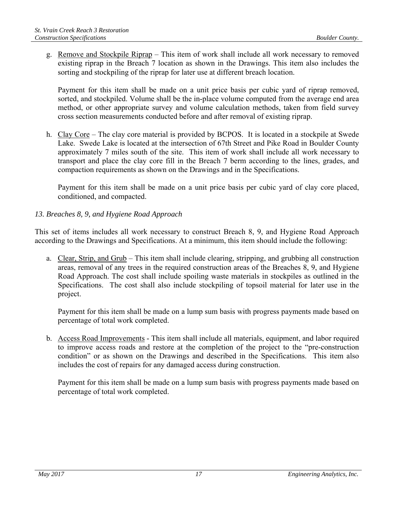g. Remove and Stockpile Riprap – This item of work shall include all work necessary to removed existing riprap in the Breach 7 location as shown in the Drawings. This item also includes the sorting and stockpiling of the riprap for later use at different breach location.

Payment for this item shall be made on a unit price basis per cubic yard of riprap removed, sorted, and stockpiled. Volume shall be the in-place volume computed from the average end area method, or other appropriate survey and volume calculation methods, taken from field survey cross section measurements conducted before and after removal of existing riprap.

h. Clay Core – The clay core material is provided by BCPOS. It is located in a stockpile at Swede Lake. Swede Lake is located at the intersection of 67th Street and Pike Road in Boulder County approximately 7 miles south of the site. This item of work shall include all work necessary to transport and place the clay core fill in the Breach 7 berm according to the lines, grades, and compaction requirements as shown on the Drawings and in the Specifications.

Payment for this item shall be made on a unit price basis per cubic yard of clay core placed, conditioned, and compacted.

*13. Breaches 8, 9, and Hygiene Road Approach* 

This set of items includes all work necessary to construct Breach 8, 9, and Hygiene Road Approach according to the Drawings and Specifications. At a minimum, this item should include the following:

a. Clear, Strip, and Grub – This item shall include clearing, stripping, and grubbing all construction areas, removal of any trees in the required construction areas of the Breaches 8, 9, and Hygiene Road Approach. The cost shall include spoiling waste materials in stockpiles as outlined in the Specifications. The cost shall also include stockpiling of topsoil material for later use in the project.

Payment for this item shall be made on a lump sum basis with progress payments made based on percentage of total work completed.

b. Access Road Improvements - This item shall include all materials, equipment, and labor required to improve access roads and restore at the completion of the project to the "pre-construction condition" or as shown on the Drawings and described in the Specifications. This item also includes the cost of repairs for any damaged access during construction.

Payment for this item shall be made on a lump sum basis with progress payments made based on percentage of total work completed.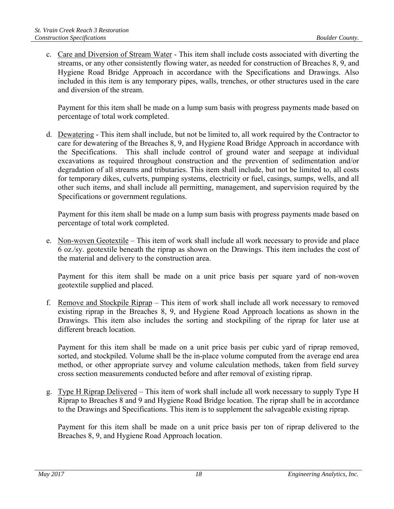c. Care and Diversion of Stream Water - This item shall include costs associated with diverting the streams, or any other consistently flowing water, as needed for construction of Breaches 8, 9, and Hygiene Road Bridge Approach in accordance with the Specifications and Drawings. Also included in this item is any temporary pipes, walls, trenches, or other structures used in the care and diversion of the stream.

Payment for this item shall be made on a lump sum basis with progress payments made based on percentage of total work completed.

d. Dewatering - This item shall include, but not be limited to, all work required by the Contractor to care for dewatering of the Breaches 8, 9, and Hygiene Road Bridge Approach in accordance with the Specifications. This shall include control of ground water and seepage at individual excavations as required throughout construction and the prevention of sedimentation and/or degradation of all streams and tributaries. This item shall include, but not be limited to, all costs for temporary dikes, culverts, pumping systems, electricity or fuel, casings, sumps, wells, and all other such items, and shall include all permitting, management, and supervision required by the Specifications or government regulations.

Payment for this item shall be made on a lump sum basis with progress payments made based on percentage of total work completed.

e. Non-woven Geotextile – This item of work shall include all work necessary to provide and place 6 oz./sy. geotextile beneath the riprap as shown on the Drawings. This item includes the cost of the material and delivery to the construction area.

Payment for this item shall be made on a unit price basis per square yard of non-woven geotextile supplied and placed.

f. Remove and Stockpile Riprap – This item of work shall include all work necessary to removed existing riprap in the Breaches 8, 9, and Hygiene Road Approach locations as shown in the Drawings. This item also includes the sorting and stockpiling of the riprap for later use at different breach location.

Payment for this item shall be made on a unit price basis per cubic yard of riprap removed, sorted, and stockpiled. Volume shall be the in-place volume computed from the average end area method, or other appropriate survey and volume calculation methods, taken from field survey cross section measurements conducted before and after removal of existing riprap.

g. Type H Riprap Delivered – This item of work shall include all work necessary to supply Type H Riprap to Breaches 8 and 9 and Hygiene Road Bridge location. The riprap shall be in accordance to the Drawings and Specifications. This item is to supplement the salvageable existing riprap.

Payment for this item shall be made on a unit price basis per ton of riprap delivered to the Breaches 8, 9, and Hygiene Road Approach location.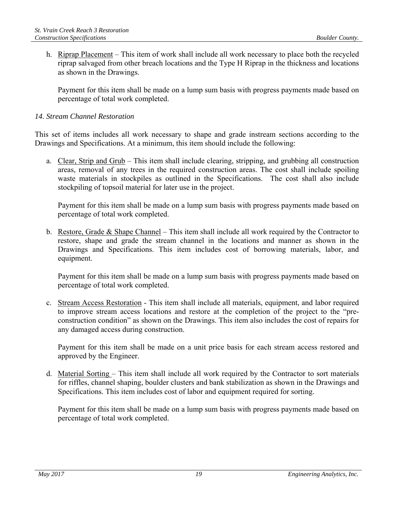h. Riprap Placement – This item of work shall include all work necessary to place both the recycled riprap salvaged from other breach locations and the Type H Riprap in the thickness and locations as shown in the Drawings.

Payment for this item shall be made on a lump sum basis with progress payments made based on percentage of total work completed.

#### *14. Stream Channel Restoration*

This set of items includes all work necessary to shape and grade instream sections according to the Drawings and Specifications. At a minimum, this item should include the following:

a. Clear, Strip and Grub – This item shall include clearing, stripping, and grubbing all construction areas, removal of any trees in the required construction areas. The cost shall include spoiling waste materials in stockpiles as outlined in the Specifications. The cost shall also include stockpiling of topsoil material for later use in the project.

Payment for this item shall be made on a lump sum basis with progress payments made based on percentage of total work completed.

b. Restore, Grade  $&$  Shape Channel – This item shall include all work required by the Contractor to restore, shape and grade the stream channel in the locations and manner as shown in the Drawings and Specifications. This item includes cost of borrowing materials, labor, and equipment.

Payment for this item shall be made on a lump sum basis with progress payments made based on percentage of total work completed.

c. Stream Access Restoration - This item shall include all materials, equipment, and labor required to improve stream access locations and restore at the completion of the project to the "preconstruction condition" as shown on the Drawings. This item also includes the cost of repairs for any damaged access during construction.

Payment for this item shall be made on a unit price basis for each stream access restored and approved by the Engineer.

d. Material Sorting – This item shall include all work required by the Contractor to sort materials for riffles, channel shaping, boulder clusters and bank stabilization as shown in the Drawings and Specifications. This item includes cost of labor and equipment required for sorting.

Payment for this item shall be made on a lump sum basis with progress payments made based on percentage of total work completed.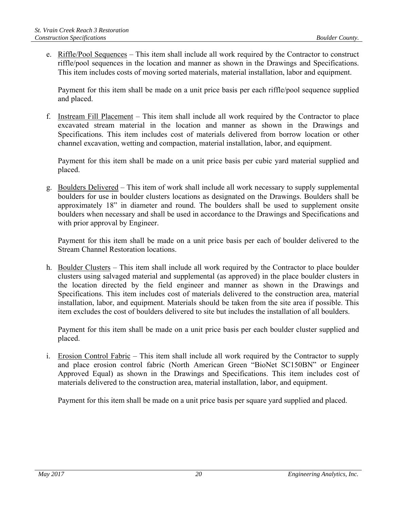e. Riffle/Pool Sequences – This item shall include all work required by the Contractor to construct riffle/pool sequences in the location and manner as shown in the Drawings and Specifications. This item includes costs of moving sorted materials, material installation, labor and equipment.

Payment for this item shall be made on a unit price basis per each riffle/pool sequence supplied and placed.

f. Instream Fill Placement – This item shall include all work required by the Contractor to place excavated stream material in the location and manner as shown in the Drawings and Specifications. This item includes cost of materials delivered from borrow location or other channel excavation, wetting and compaction, material installation, labor, and equipment.

Payment for this item shall be made on a unit price basis per cubic yard material supplied and placed.

g. Boulders Delivered – This item of work shall include all work necessary to supply supplemental boulders for use in boulder clusters locations as designated on the Drawings. Boulders shall be approximately 18" in diameter and round. The boulders shall be used to supplement onsite boulders when necessary and shall be used in accordance to the Drawings and Specifications and with prior approval by Engineer.

Payment for this item shall be made on a unit price basis per each of boulder delivered to the Stream Channel Restoration locations.

h. Boulder Clusters – This item shall include all work required by the Contractor to place boulder clusters using salvaged material and supplemental (as approved) in the place boulder clusters in the location directed by the field engineer and manner as shown in the Drawings and Specifications. This item includes cost of materials delivered to the construction area, material installation, labor, and equipment. Materials should be taken from the site area if possible. This item excludes the cost of boulders delivered to site but includes the installation of all boulders.

Payment for this item shall be made on a unit price basis per each boulder cluster supplied and placed.

i. Erosion Control Fabric – This item shall include all work required by the Contractor to supply and place erosion control fabric (North American Green "BioNet SC150BN" or Engineer Approved Equal) as shown in the Drawings and Specifications. This item includes cost of materials delivered to the construction area, material installation, labor, and equipment.

Payment for this item shall be made on a unit price basis per square yard supplied and placed.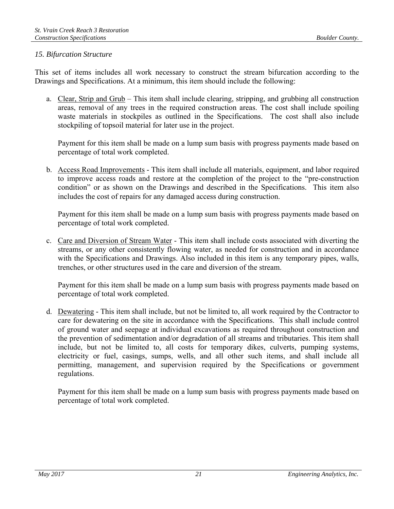#### *15. Bifurcation Structure*

This set of items includes all work necessary to construct the stream bifurcation according to the Drawings and Specifications. At a minimum, this item should include the following:

a. Clear, Strip and Grub – This item shall include clearing, stripping, and grubbing all construction areas, removal of any trees in the required construction areas. The cost shall include spoiling waste materials in stockpiles as outlined in the Specifications. The cost shall also include stockpiling of topsoil material for later use in the project.

Payment for this item shall be made on a lump sum basis with progress payments made based on percentage of total work completed.

b. Access Road Improvements - This item shall include all materials, equipment, and labor required to improve access roads and restore at the completion of the project to the "pre-construction condition" or as shown on the Drawings and described in the Specifications. This item also includes the cost of repairs for any damaged access during construction.

Payment for this item shall be made on a lump sum basis with progress payments made based on percentage of total work completed.

c. Care and Diversion of Stream Water - This item shall include costs associated with diverting the streams, or any other consistently flowing water, as needed for construction and in accordance with the Specifications and Drawings. Also included in this item is any temporary pipes, walls, trenches, or other structures used in the care and diversion of the stream.

Payment for this item shall be made on a lump sum basis with progress payments made based on percentage of total work completed.

d. Dewatering - This item shall include, but not be limited to, all work required by the Contractor to care for dewatering on the site in accordance with the Specifications. This shall include control of ground water and seepage at individual excavations as required throughout construction and the prevention of sedimentation and/or degradation of all streams and tributaries. This item shall include, but not be limited to, all costs for temporary dikes, culverts, pumping systems, electricity or fuel, casings, sumps, wells, and all other such items, and shall include all permitting, management, and supervision required by the Specifications or government regulations.

Payment for this item shall be made on a lump sum basis with progress payments made based on percentage of total work completed.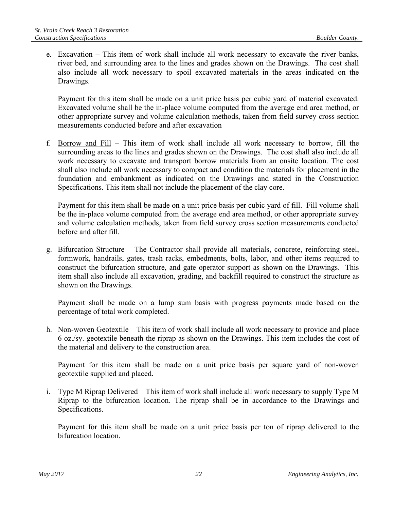e. Excavation – This item of work shall include all work necessary to excavate the river banks, river bed, and surrounding area to the lines and grades shown on the Drawings. The cost shall also include all work necessary to spoil excavated materials in the areas indicated on the Drawings.

Payment for this item shall be made on a unit price basis per cubic yard of material excavated. Excavated volume shall be the in-place volume computed from the average end area method, or other appropriate survey and volume calculation methods, taken from field survey cross section measurements conducted before and after excavation

f. Borrow and Fill – This item of work shall include all work necessary to borrow, fill the surrounding areas to the lines and grades shown on the Drawings. The cost shall also include all work necessary to excavate and transport borrow materials from an onsite location. The cost shall also include all work necessary to compact and condition the materials for placement in the foundation and embankment as indicated on the Drawings and stated in the Construction Specifications. This item shall not include the placement of the clay core.

Payment for this item shall be made on a unit price basis per cubic yard of fill. Fill volume shall be the in-place volume computed from the average end area method, or other appropriate survey and volume calculation methods, taken from field survey cross section measurements conducted before and after fill.

g. Bifurcation Structure – The Contractor shall provide all materials, concrete, reinforcing steel, formwork, handrails, gates, trash racks, embedments, bolts, labor, and other items required to construct the bifurcation structure, and gate operator support as shown on the Drawings. This item shall also include all excavation, grading, and backfill required to construct the structure as shown on the Drawings.

Payment shall be made on a lump sum basis with progress payments made based on the percentage of total work completed.

h. Non-woven Geotextile – This item of work shall include all work necessary to provide and place 6 oz./sy. geotextile beneath the riprap as shown on the Drawings. This item includes the cost of the material and delivery to the construction area.

Payment for this item shall be made on a unit price basis per square yard of non-woven geotextile supplied and placed.

i. Type M Riprap Delivered – This item of work shall include all work necessary to supply Type M Riprap to the bifurcation location. The riprap shall be in accordance to the Drawings and Specifications.

Payment for this item shall be made on a unit price basis per ton of riprap delivered to the bifurcation location.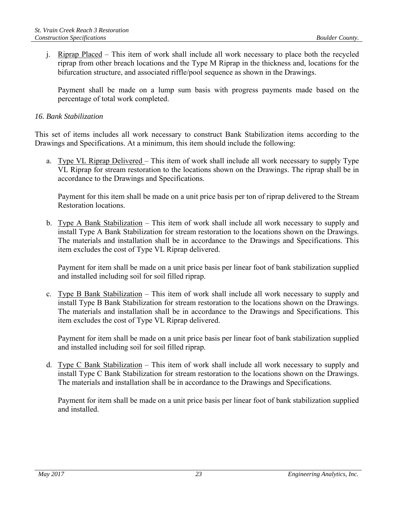j. Riprap Placed – This item of work shall include all work necessary to place both the recycled riprap from other breach locations and the Type M Riprap in the thickness and, locations for the bifurcation structure, and associated riffle/pool sequence as shown in the Drawings.

Payment shall be made on a lump sum basis with progress payments made based on the percentage of total work completed.

#### *16. Bank Stabilization*

This set of items includes all work necessary to construct Bank Stabilization items according to the Drawings and Specifications. At a minimum, this item should include the following:

a. Type VL Riprap Delivered – This item of work shall include all work necessary to supply Type VL Riprap for stream restoration to the locations shown on the Drawings. The riprap shall be in accordance to the Drawings and Specifications.

Payment for this item shall be made on a unit price basis per ton of riprap delivered to the Stream Restoration locations.

b. Type A Bank Stabilization – This item of work shall include all work necessary to supply and install Type A Bank Stabilization for stream restoration to the locations shown on the Drawings. The materials and installation shall be in accordance to the Drawings and Specifications. This item excludes the cost of Type VL Riprap delivered.

Payment for item shall be made on a unit price basis per linear foot of bank stabilization supplied and installed including soil for soil filled riprap.

c. Type B Bank Stabilization – This item of work shall include all work necessary to supply and install Type B Bank Stabilization for stream restoration to the locations shown on the Drawings. The materials and installation shall be in accordance to the Drawings and Specifications. This item excludes the cost of Type VL Riprap delivered.

Payment for item shall be made on a unit price basis per linear foot of bank stabilization supplied and installed including soil for soil filled riprap.

d. Type C Bank Stabilization  $-$  This item of work shall include all work necessary to supply and install Type C Bank Stabilization for stream restoration to the locations shown on the Drawings. The materials and installation shall be in accordance to the Drawings and Specifications.

Payment for item shall be made on a unit price basis per linear foot of bank stabilization supplied and installed.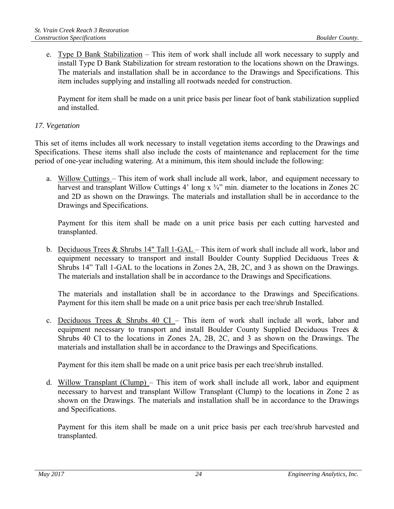e. Type D Bank Stabilization – This item of work shall include all work necessary to supply and install Type D Bank Stabilization for stream restoration to the locations shown on the Drawings. The materials and installation shall be in accordance to the Drawings and Specifications. This item includes supplying and installing all rootwads needed for construction.

Payment for item shall be made on a unit price basis per linear foot of bank stabilization supplied and installed.

#### *17. Vegetation*

This set of items includes all work necessary to install vegetation items according to the Drawings and Specifications. These items shall also include the costs of maintenance and replacement for the time period of one-year including watering. At a minimum, this item should include the following:

a. Willow Cuttings – This item of work shall include all work, labor, and equipment necessary to harvest and transplant Willow Cuttings 4' long x  $\frac{3}{4}$ " min. diameter to the locations in Zones 2C and 2D as shown on the Drawings. The materials and installation shall be in accordance to the Drawings and Specifications.

Payment for this item shall be made on a unit price basis per each cutting harvested and transplanted.

b. Deciduous Trees & Shrubs 14" Tall 1-GAL – This item of work shall include all work, labor and equipment necessary to transport and install Boulder County Supplied Deciduous Trees & Shrubs 14" Tall 1-GAL to the locations in Zones 2A, 2B, 2C, and 3 as shown on the Drawings. The materials and installation shall be in accordance to the Drawings and Specifications.

The materials and installation shall be in accordance to the Drawings and Specifications. Payment for this item shall be made on a unit price basis per each tree/shrub Installed.

c. Deciduous Trees  $\&$  Shrubs 40 CI – This item of work shall include all work, labor and equipment necessary to transport and install Boulder County Supplied Deciduous Trees & Shrubs 40 CI to the locations in Zones 2A, 2B, 2C, and 3 as shown on the Drawings. The materials and installation shall be in accordance to the Drawings and Specifications.

Payment for this item shall be made on a unit price basis per each tree/shrub installed.

d. Willow Transplant (Clump) – This item of work shall include all work, labor and equipment necessary to harvest and transplant Willow Transplant (Clump) to the locations in Zone 2 as shown on the Drawings. The materials and installation shall be in accordance to the Drawings and Specifications.

Payment for this item shall be made on a unit price basis per each tree/shrub harvested and transplanted.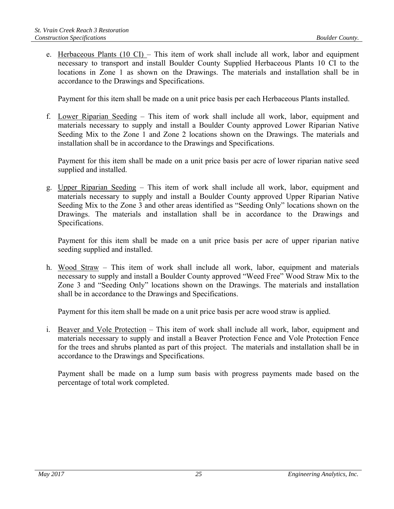e. Herbaceous Plants (10 CI) – This item of work shall include all work, labor and equipment necessary to transport and install Boulder County Supplied Herbaceous Plants 10 CI to the locations in Zone 1 as shown on the Drawings. The materials and installation shall be in accordance to the Drawings and Specifications.

Payment for this item shall be made on a unit price basis per each Herbaceous Plants installed.

f. Lower Riparian Seeding – This item of work shall include all work, labor, equipment and materials necessary to supply and install a Boulder County approved Lower Riparian Native Seeding Mix to the Zone 1 and Zone 2 locations shown on the Drawings. The materials and installation shall be in accordance to the Drawings and Specifications.

Payment for this item shall be made on a unit price basis per acre of lower riparian native seed supplied and installed.

g. Upper Riparian Seeding – This item of work shall include all work, labor, equipment and materials necessary to supply and install a Boulder County approved Upper Riparian Native Seeding Mix to the Zone 3 and other areas identified as "Seeding Only" locations shown on the Drawings. The materials and installation shall be in accordance to the Drawings and Specifications.

Payment for this item shall be made on a unit price basis per acre of upper riparian native seeding supplied and installed.

h. Wood Straw – This item of work shall include all work, labor, equipment and materials necessary to supply and install a Boulder County approved "Weed Free" Wood Straw Mix to the Zone 3 and "Seeding Only" locations shown on the Drawings. The materials and installation shall be in accordance to the Drawings and Specifications.

Payment for this item shall be made on a unit price basis per acre wood straw is applied.

i. Beaver and Vole Protection – This item of work shall include all work, labor, equipment and materials necessary to supply and install a Beaver Protection Fence and Vole Protection Fence for the trees and shrubs planted as part of this project. The materials and installation shall be in accordance to the Drawings and Specifications.

Payment shall be made on a lump sum basis with progress payments made based on the percentage of total work completed.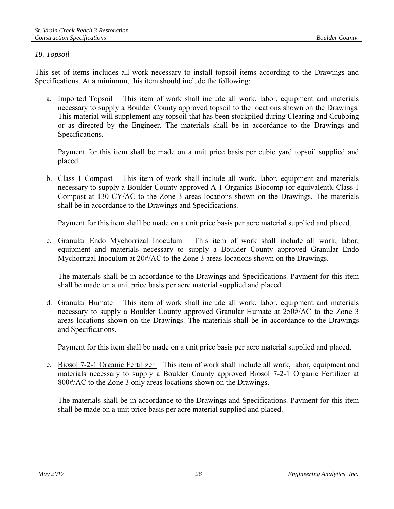#### *18. Topsoil*

This set of items includes all work necessary to install topsoil items according to the Drawings and Specifications. At a minimum, this item should include the following:

a. Imported Topsoil – This item of work shall include all work, labor, equipment and materials necessary to supply a Boulder County approved topsoil to the locations shown on the Drawings. This material will supplement any topsoil that has been stockpiled during Clearing and Grubbing or as directed by the Engineer. The materials shall be in accordance to the Drawings and Specifications.

Payment for this item shall be made on a unit price basis per cubic yard topsoil supplied and placed.

b. Class 1 Compost – This item of work shall include all work, labor, equipment and materials necessary to supply a Boulder County approved A-1 Organics Biocomp (or equivalent), Class 1 Compost at 130 CY/AC to the Zone 3 areas locations shown on the Drawings. The materials shall be in accordance to the Drawings and Specifications.

Payment for this item shall be made on a unit price basis per acre material supplied and placed.

c. Granular Endo Mychorrizal Inoculum – This item of work shall include all work, labor, equipment and materials necessary to supply a Boulder County approved Granular Endo Mychorrizal Inoculum at 20#/AC to the Zone 3 areas locations shown on the Drawings.

The materials shall be in accordance to the Drawings and Specifications. Payment for this item shall be made on a unit price basis per acre material supplied and placed.

d. Granular Humate – This item of work shall include all work, labor, equipment and materials necessary to supply a Boulder County approved Granular Humate at 250#/AC to the Zone 3 areas locations shown on the Drawings. The materials shall be in accordance to the Drawings and Specifications.

Payment for this item shall be made on a unit price basis per acre material supplied and placed.

e. Biosol 7-2-1 Organic Fertilizer – This item of work shall include all work, labor, equipment and materials necessary to supply a Boulder County approved Biosol 7-2-1 Organic Fertilizer at 800#/AC to the Zone 3 only areas locations shown on the Drawings.

The materials shall be in accordance to the Drawings and Specifications. Payment for this item shall be made on a unit price basis per acre material supplied and placed.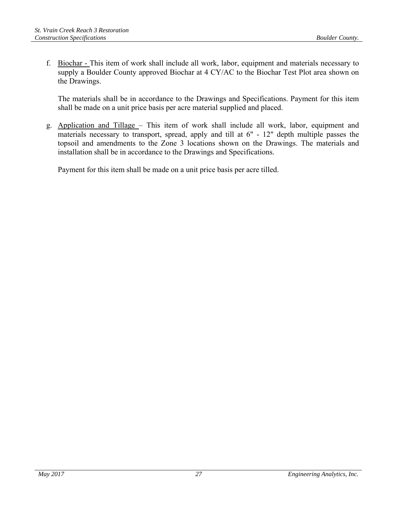f. Biochar - This item of work shall include all work, labor, equipment and materials necessary to supply a Boulder County approved Biochar at 4 CY/AC to the Biochar Test Plot area shown on the Drawings.

The materials shall be in accordance to the Drawings and Specifications. Payment for this item shall be made on a unit price basis per acre material supplied and placed.

g. Application and Tillage – This item of work shall include all work, labor, equipment and materials necessary to transport, spread, apply and till at 6" - 12" depth multiple passes the topsoil and amendments to the Zone 3 locations shown on the Drawings. The materials and installation shall be in accordance to the Drawings and Specifications.

Payment for this item shall be made on a unit price basis per acre tilled.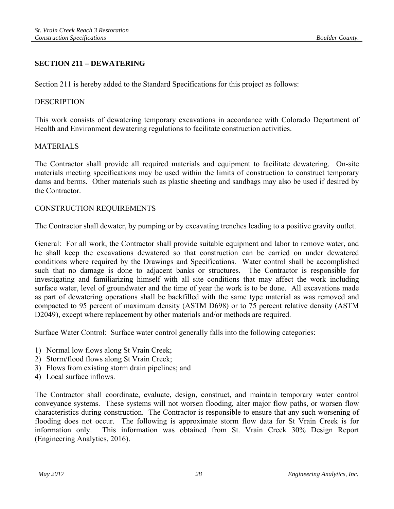## **SECTION 211 – DEWATERING**

Section 211 is hereby added to the Standard Specifications for this project as follows:

#### **DESCRIPTION**

This work consists of dewatering temporary excavations in accordance with Colorado Department of Health and Environment dewatering regulations to facilitate construction activities.

#### MATERIALS

The Contractor shall provide all required materials and equipment to facilitate dewatering. On-site materials meeting specifications may be used within the limits of construction to construct temporary dams and berms. Other materials such as plastic sheeting and sandbags may also be used if desired by the Contractor.

#### CONSTRUCTION REQUIREMENTS

The Contractor shall dewater, by pumping or by excavating trenches leading to a positive gravity outlet.

General: For all work, the Contractor shall provide suitable equipment and labor to remove water, and he shall keep the excavations dewatered so that construction can be carried on under dewatered conditions where required by the Drawings and Specifications. Water control shall be accomplished such that no damage is done to adjacent banks or structures. The Contractor is responsible for investigating and familiarizing himself with all site conditions that may affect the work including surface water, level of groundwater and the time of year the work is to be done. All excavations made as part of dewatering operations shall be backfilled with the same type material as was removed and compacted to 95 percent of maximum density (ASTM D698) or to 75 percent relative density (ASTM D2049), except where replacement by other materials and/or methods are required.

Surface Water Control: Surface water control generally falls into the following categories:

- 1) Normal low flows along St Vrain Creek;
- 2) Storm/flood flows along St Vrain Creek;
- 3) Flows from existing storm drain pipelines; and
- 4) Local surface inflows.

The Contractor shall coordinate, evaluate, design, construct, and maintain temporary water control conveyance systems. These systems will not worsen flooding, alter major flow paths, or worsen flow characteristics during construction. The Contractor is responsible to ensure that any such worsening of flooding does not occur. The following is approximate storm flow data for St Vrain Creek is for information only. This information was obtained from St. Vrain Creek 30% Design Report (Engineering Analytics, 2016).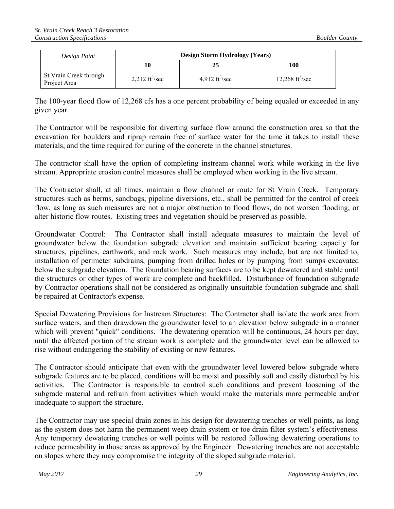| Design Point                           | <b>Design Storm Hydrology (Years)</b> |                                |                             |  |
|----------------------------------------|---------------------------------------|--------------------------------|-----------------------------|--|
|                                        |                                       | 25                             | 100                         |  |
| St Vrain Creek through<br>Project Area | 2,212 ft <sup>3</sup> /sec            | 4,912 $\text{ft}^3/\text{sec}$ | 12,268 ft <sup>3</sup> /sec |  |

The 100-year flood flow of 12,268 cfs has a one percent probability of being equaled or exceeded in any given year.

The Contractor will be responsible for diverting surface flow around the construction area so that the excavation for boulders and riprap remain free of surface water for the time it takes to install these materials, and the time required for curing of the concrete in the channel structures.

The contractor shall have the option of completing instream channel work while working in the live stream. Appropriate erosion control measures shall be employed when working in the live stream.

The Contractor shall, at all times, maintain a flow channel or route for St Vrain Creek. Temporary structures such as berms, sandbags, pipeline diversions, etc., shall be permitted for the control of creek flow, as long as such measures are not a major obstruction to flood flows, do not worsen flooding, or alter historic flow routes. Existing trees and vegetation should be preserved as possible.

Groundwater Control: The Contractor shall install adequate measures to maintain the level of groundwater below the foundation subgrade elevation and maintain sufficient bearing capacity for structures, pipelines, earthwork, and rock work. Such measures may include, but are not limited to, installation of perimeter subdrains, pumping from drilled holes or by pumping from sumps excavated below the subgrade elevation. The foundation bearing surfaces are to be kept dewatered and stable until the structures or other types of work are complete and backfilled. Disturbance of foundation subgrade by Contractor operations shall not be considered as originally unsuitable foundation subgrade and shall be repaired at Contractor's expense.

Special Dewatering Provisions for Instream Structures: The Contractor shall isolate the work area from surface waters, and then drawdown the groundwater level to an elevation below subgrade in a manner which will prevent "quick" conditions. The dewatering operation will be continuous, 24 hours per day, until the affected portion of the stream work is complete and the groundwater level can be allowed to rise without endangering the stability of existing or new features.

The Contractor should anticipate that even with the groundwater level lowered below subgrade where subgrade features are to be placed, conditions will be moist and possibly soft and easily disturbed by his activities. The Contractor is responsible to control such conditions and prevent loosening of the subgrade material and refrain from activities which would make the materials more permeable and/or inadequate to support the structure.

The Contractor may use special drain zones in his design for dewatering trenches or well points, as long as the system does not harm the permanent weep drain system or toe drain filter system's effectiveness. Any temporary dewatering trenches or well points will be restored following dewatering operations to reduce permeability in those areas as approved by the Engineer. Dewatering trenches are not acceptable on slopes where they may compromise the integrity of the sloped subgrade material.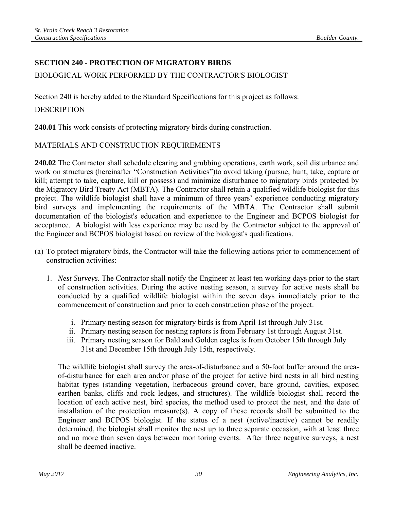# **SECTION 240 - PROTECTION OF MIGRATORY BIRDS**

#### BIOLOGICAL WORK PERFORMED BY THE CONTRACTOR'S BIOLOGIST

Section 240 is hereby added to the Standard Specifications for this project as follows:

#### DESCRIPTION

**240.01** This work consists of protecting migratory birds during construction.

## MATERIALS AND CONSTRUCTION REQUIREMENTS

**240.02** The Contractor shall schedule clearing and grubbing operations, earth work, soil disturbance and work on structures (hereinafter "Construction Activities")to avoid taking (pursue, hunt, take, capture or kill; attempt to take, capture, kill or possess) and minimize disturbance to migratory birds protected by the Migratory Bird Treaty Act (MBTA). The Contractor shall retain a qualified wildlife biologist for this project. The wildlife biologist shall have a minimum of three years' experience conducting migratory bird surveys and implementing the requirements of the MBTA. The Contractor shall submit documentation of the biologist's education and experience to the Engineer and BCPOS biologist for acceptance. A biologist with less experience may be used by the Contractor subject to the approval of the Engineer and BCPOS biologist based on review of the biologist's qualifications.

- (a) To protect migratory birds, the Contractor will take the following actions prior to commencement of construction activities:
	- 1. *Nest Surveys*. The Contractor shall notify the Engineer at least ten working days prior to the start of construction activities. During the active nesting season, a survey for active nests shall be conducted by a qualified wildlife biologist within the seven days immediately prior to the commencement of construction and prior to each construction phase of the project.
		- i. Primary nesting season for migratory birds is from April 1st through July 31st.
		- ii. Primary nesting season for nesting raptors is from February 1st through August 31st.
		- iii. Primary nesting season for Bald and Golden eagles is from October 15th through July 31st and December 15th through July 15th, respectively.

The wildlife biologist shall survey the area-of-disturbance and a 50-foot buffer around the areaof-disturbance for each area and/or phase of the project for active bird nests in all bird nesting habitat types (standing vegetation, herbaceous ground cover, bare ground, cavities, exposed earthen banks, cliffs and rock ledges, and structures). The wildlife biologist shall record the location of each active nest, bird species, the method used to protect the nest, and the date of installation of the protection measure(s). A copy of these records shall be submitted to the Engineer and BCPOS biologist. If the status of a nest (active/inactive) cannot be readily determined, the biologist shall monitor the nest up to three separate occasion, with at least three and no more than seven days between monitoring events. After three negative surveys, a nest shall be deemed inactive.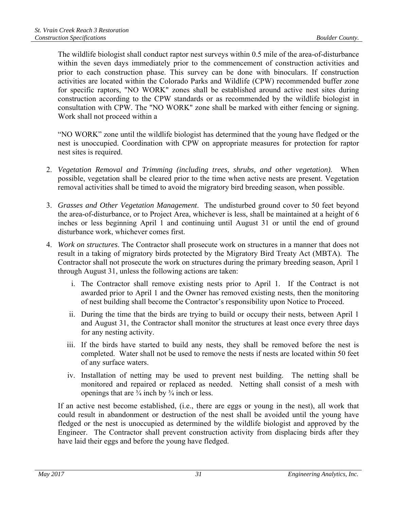The wildlife biologist shall conduct raptor nest surveys within 0.5 mile of the area-of-disturbance within the seven days immediately prior to the commencement of construction activities and prior to each construction phase. This survey can be done with binoculars. If construction activities are located within the Colorado Parks and Wildlife (CPW) recommended buffer zone for specific raptors, "NO WORK" zones shall be established around active nest sites during construction according to the CPW standards or as recommended by the wildlife biologist in consultation with CPW. The "NO WORK" zone shall be marked with either fencing or signing. Work shall not proceed within a

"NO WORK" zone until the wildlife biologist has determined that the young have fledged or the nest is unoccupied. Coordination with CPW on appropriate measures for protection for raptor nest sites is required.

- 2. *Vegetation Removal and Trimming (including trees, shrubs, and other vegetation).* When possible, vegetation shall be cleared prior to the time when active nests are present. Vegetation removal activities shall be timed to avoid the migratory bird breeding season, when possible.
- 3. *Grasses and Other Vegetation Management*. The undisturbed ground cover to 50 feet beyond the area-of-disturbance, or to Project Area, whichever is less, shall be maintained at a height of 6 inches or less beginning April 1 and continuing until August 31 or until the end of ground disturbance work, whichever comes first.
- 4. *Work on structures*. The Contractor shall prosecute work on structures in a manner that does not result in a taking of migratory birds protected by the Migratory Bird Treaty Act (MBTA). The Contractor shall not prosecute the work on structures during the primary breeding season, April 1 through August 31, unless the following actions are taken:
	- i. The Contractor shall remove existing nests prior to April 1. If the Contract is not awarded prior to April 1 and the Owner has removed existing nests, then the monitoring of nest building shall become the Contractor's responsibility upon Notice to Proceed.
	- ii. During the time that the birds are trying to build or occupy their nests, between April 1 and August 31, the Contractor shall monitor the structures at least once every three days for any nesting activity.
	- iii. If the birds have started to build any nests, they shall be removed before the nest is completed. Water shall not be used to remove the nests if nests are located within 50 feet of any surface waters.
	- iv. Installation of netting may be used to prevent nest building. The netting shall be monitored and repaired or replaced as needed. Netting shall consist of a mesh with openings that are  $\frac{3}{4}$  inch by  $\frac{3}{4}$  inch or less.

If an active nest become established, (i.e., there are eggs or young in the nest), all work that could result in abandonment or destruction of the nest shall be avoided until the young have fledged or the nest is unoccupied as determined by the wildlife biologist and approved by the Engineer. The Contractor shall prevent construction activity from displacing birds after they have laid their eggs and before the young have fledged.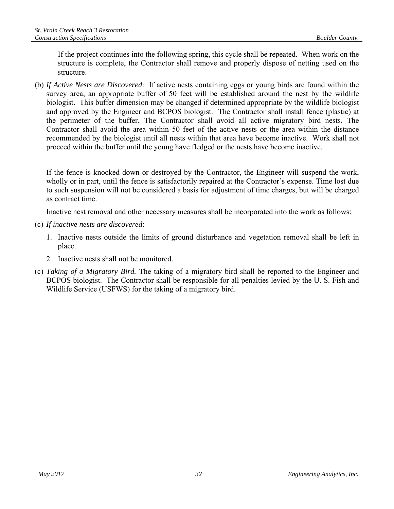If the project continues into the following spring, this cycle shall be repeated. When work on the structure is complete, the Contractor shall remove and properly dispose of netting used on the structure.

(b) *If Active Nests are Discovered*: If active nests containing eggs or young birds are found within the survey area, an appropriate buffer of 50 feet will be established around the nest by the wildlife biologist. This buffer dimension may be changed if determined appropriate by the wildlife biologist and approved by the Engineer and BCPOS biologist. The Contractor shall install fence (plastic) at the perimeter of the buffer. The Contractor shall avoid all active migratory bird nests. The Contractor shall avoid the area within 50 feet of the active nests or the area within the distance recommended by the biologist until all nests within that area have become inactive. Work shall not proceed within the buffer until the young have fledged or the nests have become inactive.

If the fence is knocked down or destroyed by the Contractor, the Engineer will suspend the work, wholly or in part, until the fence is satisfactorily repaired at the Contractor's expense. Time lost due to such suspension will not be considered a basis for adjustment of time charges, but will be charged as contract time.

Inactive nest removal and other necessary measures shall be incorporated into the work as follows:

- (c) *If inactive nests are discovered*:
	- 1. Inactive nests outside the limits of ground disturbance and vegetation removal shall be left in place.
	- 2. Inactive nests shall not be monitored.
- (c) *Taking of a Migratory Bird.* The taking of a migratory bird shall be reported to the Engineer and BCPOS biologist. The Contractor shall be responsible for all penalties levied by the U. S. Fish and Wildlife Service (USFWS) for the taking of a migratory bird.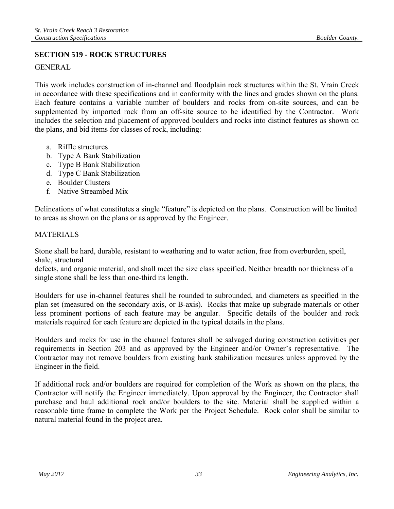#### **SECTION 519 - ROCK STRUCTURES**

#### **GENERAL**

This work includes construction of in-channel and floodplain rock structures within the St. Vrain Creek in accordance with these specifications and in conformity with the lines and grades shown on the plans. Each feature contains a variable number of boulders and rocks from on-site sources, and can be supplemented by imported rock from an off-site source to be identified by the Contractor. Work includes the selection and placement of approved boulders and rocks into distinct features as shown on the plans, and bid items for classes of rock, including:

- a. Riffle structures
- b. Type A Bank Stabilization
- c. Type B Bank Stabilization
- d. Type C Bank Stabilization
- e. Boulder Clusters
- f. Native Streambed Mix

Delineations of what constitutes a single "feature" is depicted on the plans. Construction will be limited to areas as shown on the plans or as approved by the Engineer.

#### **MATERIALS**

Stone shall be hard, durable, resistant to weathering and to water action, free from overburden, spoil, shale, structural

defects, and organic material, and shall meet the size class specified. Neither breadth nor thickness of a single stone shall be less than one-third its length.

Boulders for use in-channel features shall be rounded to subrounded, and diameters as specified in the plan set (measured on the secondary axis, or B-axis). Rocks that make up subgrade materials or other less prominent portions of each feature may be angular. Specific details of the boulder and rock materials required for each feature are depicted in the typical details in the plans.

Boulders and rocks for use in the channel features shall be salvaged during construction activities per requirements in Section 203 and as approved by the Engineer and/or Owner's representative. The Contractor may not remove boulders from existing bank stabilization measures unless approved by the Engineer in the field.

If additional rock and/or boulders are required for completion of the Work as shown on the plans, the Contractor will notify the Engineer immediately. Upon approval by the Engineer, the Contractor shall purchase and haul additional rock and/or boulders to the site. Material shall be supplied within a reasonable time frame to complete the Work per the Project Schedule. Rock color shall be similar to natural material found in the project area.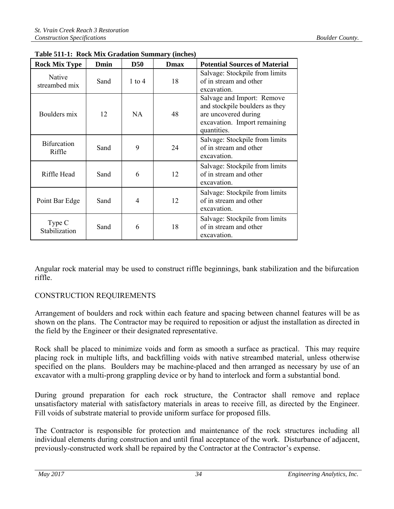| <b>Rock Mix Type</b>         | Dmin | <b>D50</b> | Dmax | <b>Potential Sources of Material</b>                                                                                                |
|------------------------------|------|------------|------|-------------------------------------------------------------------------------------------------------------------------------------|
| Native<br>streambed mix      | Sand | $1$ to $4$ | 18   | Salvage: Stockpile from limits<br>of in stream and other<br>excavation.                                                             |
| Boulders mix                 | 12   | NA.        | 48   | Salvage and Import: Remove<br>and stockpile boulders as they<br>are uncovered during<br>excavation. Import remaining<br>quantities. |
| <b>Bifurcation</b><br>Riffle | Sand | 9          | 24   | Salvage: Stockpile from limits<br>of in stream and other<br>excavation.                                                             |
| Riffle Head                  | Sand | 6          | 12   | Salvage: Stockpile from limits<br>of in stream and other<br>excavation.                                                             |
| Point Bar Edge               | Sand | 4          | 12   | Salvage: Stockpile from limits<br>of in stream and other<br>excavation.                                                             |
| Type C<br>Stabilization      | Sand | 6          | 18   | Salvage: Stockpile from limits<br>of in stream and other<br>excavation.                                                             |

| Table 511-1: Rock Mix Gradation Summary (inches) |  |  |
|--------------------------------------------------|--|--|
|                                                  |  |  |

Angular rock material may be used to construct riffle beginnings, bank stabilization and the bifurcation riffle.

## CONSTRUCTION REQUIREMENTS

Arrangement of boulders and rock within each feature and spacing between channel features will be as shown on the plans. The Contractor may be required to reposition or adjust the installation as directed in the field by the Engineer or their designated representative.

Rock shall be placed to minimize voids and form as smooth a surface as practical. This may require placing rock in multiple lifts, and backfilling voids with native streambed material, unless otherwise specified on the plans. Boulders may be machine-placed and then arranged as necessary by use of an excavator with a multi-prong grappling device or by hand to interlock and form a substantial bond.

During ground preparation for each rock structure, the Contractor shall remove and replace unsatisfactory material with satisfactory materials in areas to receive fill, as directed by the Engineer. Fill voids of substrate material to provide uniform surface for proposed fills.

The Contractor is responsible for protection and maintenance of the rock structures including all individual elements during construction and until final acceptance of the work. Disturbance of adjacent, previously-constructed work shall be repaired by the Contractor at the Contractor's expense.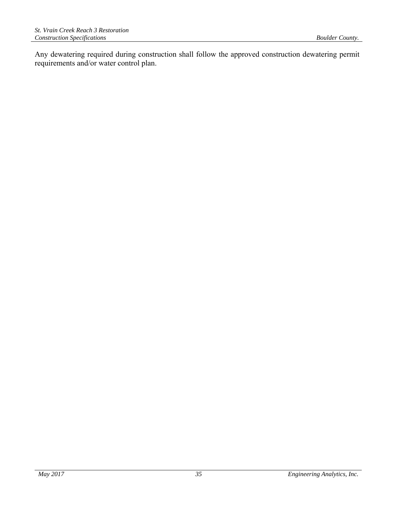Any dewatering required during construction shall follow the approved construction dewatering permit requirements and/or water control plan.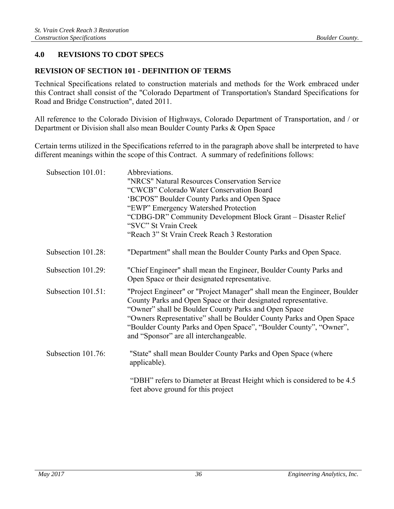# **4.0 REVISIONS TO CDOT SPECS**

#### **REVISION OF SECTION 101 - DEFINITION OF TERMS**

Technical Specifications related to construction materials and methods for the Work embraced under this Contract shall consist of the "Colorado Department of Transportation's Standard Specifications for Road and Bridge Construction", dated 2011.

All reference to the Colorado Division of Highways, Colorado Department of Transportation, and / or Department or Division shall also mean Boulder County Parks & Open Space

Certain terms utilized in the Specifications referred to in the paragraph above shall be interpreted to have different meanings within the scope of this Contract. A summary of redefinitions follows:

| Subsection 101.01: | Abbreviations.<br>"NRCS" Natural Resources Conservation Service<br>"CWCB" Colorado Water Conservation Board<br>'BCPOS" Boulder County Parks and Open Space<br>"EWP" Emergency Watershed Protection<br>"CDBG-DR" Community Development Block Grant – Disaster Relief<br>"SVC" St Vrain Creek<br>"Reach 3" St Vrain Creek Reach 3 Restoration                                                |
|--------------------|--------------------------------------------------------------------------------------------------------------------------------------------------------------------------------------------------------------------------------------------------------------------------------------------------------------------------------------------------------------------------------------------|
| Subsection 101.28: | "Department" shall mean the Boulder County Parks and Open Space.                                                                                                                                                                                                                                                                                                                           |
| Subsection 101.29: | "Chief Engineer" shall mean the Engineer, Boulder County Parks and<br>Open Space or their designated representative.                                                                                                                                                                                                                                                                       |
| Subsection 101.51: | "Project Engineer" or "Project Manager" shall mean the Engineer, Boulder<br>County Parks and Open Space or their designated representative.<br>"Owner" shall be Boulder County Parks and Open Space<br>"Owners Representative" shall be Boulder County Parks and Open Space<br>"Boulder County Parks and Open Space", "Boulder County", "Owner",<br>and "Sponsor" are all interchangeable. |
| Subsection 101.76: | "State" shall mean Boulder County Parks and Open Space (where<br>applicable).                                                                                                                                                                                                                                                                                                              |
|                    | "DBH" refers to Diameter at Breast Height which is considered to be 4.5<br>feet above ground for this project                                                                                                                                                                                                                                                                              |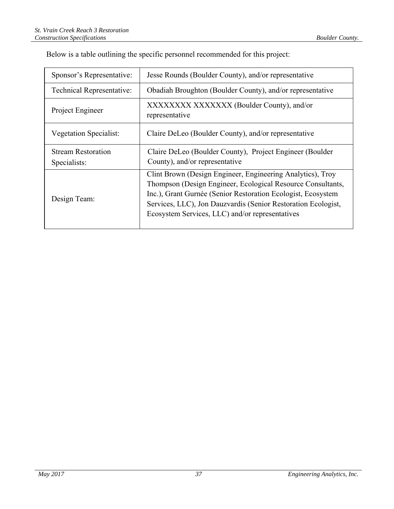| Sponsor's Representative:                 | Jesse Rounds (Boulder County), and/or representative                                                                                                                                                                                                                                                          |
|-------------------------------------------|---------------------------------------------------------------------------------------------------------------------------------------------------------------------------------------------------------------------------------------------------------------------------------------------------------------|
| Technical Representative:                 | Obadiah Broughton (Boulder County), and/or representative                                                                                                                                                                                                                                                     |
| Project Engineer                          | XXXXXXXX XXXXXXX (Boulder County), and/or<br>representative                                                                                                                                                                                                                                                   |
| <b>Vegetation Specialist:</b>             | Claire DeLeo (Boulder County), and/or representative                                                                                                                                                                                                                                                          |
| <b>Stream Restoration</b><br>Specialists: | Claire DeLeo (Boulder County), Project Engineer (Boulder<br>County), and/or representative                                                                                                                                                                                                                    |
| Design Team:                              | Clint Brown (Design Engineer, Engineering Analytics), Troy<br>Thompson (Design Engineer, Ecological Resource Consultants,<br>Inc.), Grant Gurnée (Senior Restoration Ecologist, Ecosystem<br>Services, LLC), Jon Dauzvardis (Senior Restoration Ecologist,<br>Ecosystem Services, LLC) and/or representatives |

Below is a table outlining the specific personnel recommended for this project: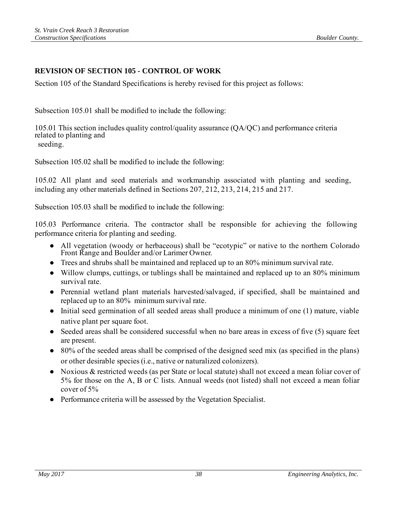## **REVISION OF SECTION 105 - CONTROL OF WORK**

Section 105 of the Standard Specifications is hereby revised for this project as follows:

Subsection 105.01 shall be modified to include the following:

105.01 This section includes quality control/quality assurance (QA/QC) and performance criteria related to planting and seeding.

Subsection 105.02 shall be modified to include the following:

105.02 All plant and seed materials and workmanship associated with planting and seeding, including any other materials defined in Sections 207, 212, 213, 214, 215 and 217.

Subsection 105.03 shall be modified to include the following:

105.03 Performance criteria. The contractor shall be responsible for achieving the following performance criteria for planting and seeding.

- All vegetation (woody or herbaceous) shall be "ecotypic" or native to the northern Colorado Front Range and Boulder and/or Larimer Owner.
- Trees and shrubs shall be maintained and replaced up to an 80% minimum survival rate.
- Willow clumps, cuttings, or tublings shall be maintained and replaced up to an 80% minimum survival rate.
- Perennial wetland plant materials harvested/salvaged, if specified, shall be maintained and replaced up to an 80% minimum survival rate.
- Initial seed germination of all seeded areas shall produce a minimum of one (1) mature, viable native plant per square foot.
- Seeded areas shall be considered successful when no bare areas in excess of five (5) square feet are present.
- 80% of the seeded areas shall be comprised of the designed seed mix (as specified in the plans) or other desirable species (i.e., native or naturalized colonizers).
- Noxious & restricted weeds (as per State or local statute) shall not exceed a mean foliar cover of 5% for those on the A, B or C lists. Annual weeds (not listed) shall not exceed a mean foliar cover of 5%
- Performance criteria will be assessed by the Vegetation Specialist.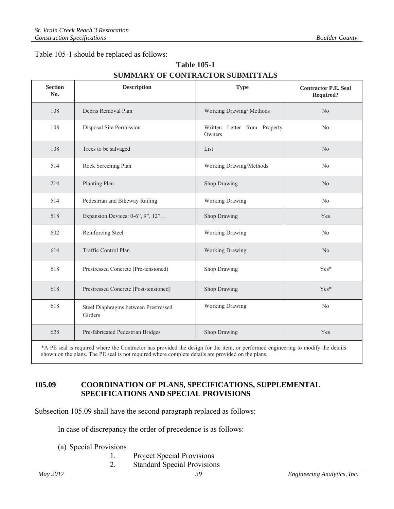Table 105-1 should be replaced as follows:

| <b>Section</b><br>No. | <b>Description</b>                              | <b>Type</b>                            | <b>Contractor P.E. Seal</b><br>Required? |
|-----------------------|-------------------------------------------------|----------------------------------------|------------------------------------------|
| 108                   | Debris Removal Plan                             | Working Drawing/ Methods               | No                                       |
| 108                   | Disposal Site Permission                        | Written Letter from Property<br>Owners | No                                       |
| 108                   | Trees to be salvaged                            | List                                   | N <sub>0</sub>                           |
| 514                   | Rock Screening Plan                             | Working Drawing/Methods                | No                                       |
| 214                   | Planting Plan                                   | Shop Drawing                           | N <sub>0</sub>                           |
| 514                   | Pedestrian and Bikeway Railing                  | Working Drawing                        | N <sub>0</sub>                           |
| 518                   | Expansion Devices: 0-6", 9", 12"                | Shop Drawing                           | Yes                                      |
| 602                   | Reinforcing Steel                               | <b>Working Drawing</b>                 | No                                       |
| 614                   | Traffic Control Plan                            | Working Drawing                        | No                                       |
| 618                   | Prestressed Concrete (Pre-tensioned)            | Shop Drawing                           | Yes*                                     |
| 618                   | Prestressed Concrete (Post-tensioned)           | Shop Drawing                           | Yes*                                     |
| 618                   | Steel Diaphragms between Prestressed<br>Girders | <b>Working Drawing</b>                 | N <sub>0</sub>                           |
| 628                   | Pre-fabricated Pedestrian Bridges               | Shop Drawing                           | Yes                                      |

# **Table 105-1 SUMMARY OF CONTRACTOR SUBMITTALS**

\*A PE seal is required where the Contractor has provided the design for the item, or performed engineering to modify the details shown on the plans. The PE seal is not required where complete details are provided on the plans.

#### **105.09 COORDINATION OF PLANS, SPECIFICATIONS, SUPPLEMENTAL SPECIFICATIONS AND SPECIAL PROVISIONS**

Subsection 105.09 shall have the second paragraph replaced as follows:

In case of discrepancy the order of precedence is as follows:

- (a) Special Provisions
	- 1. Project Special Provisions
	- 2. Standard Special Provisions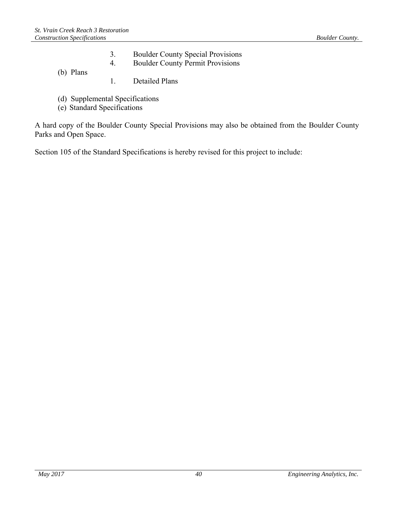- 3. Boulder County Special Provisions
- 4. Boulder County Permit Provisions
- (b) Plans
- 1. Detailed Plans
- (d) Supplemental Specifications
- (e) Standard Specifications

A hard copy of the Boulder County Special Provisions may also be obtained from the Boulder County Parks and Open Space.

Section 105 of the Standard Specifications is hereby revised for this project to include: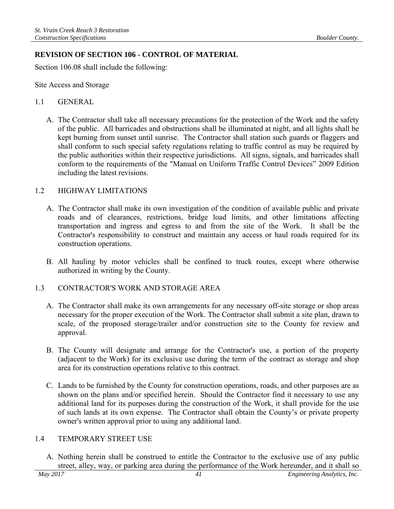## **REVISION OF SECTION 106 - CONTROL OF MATERIAL**

Section 106.08 shall include the following:

Site Access and Storage

#### 1.1 GENERAL

A. The Contractor shall take all necessary precautions for the protection of the Work and the safety of the public. All barricades and obstructions shall be illuminated at night, and all lights shall be kept burning from sunset until sunrise. The Contractor shall station such guards or flaggers and shall conform to such special safety regulations relating to traffic control as may be required by the public authorities within their respective jurisdictions. All signs, signals, and barricades shall conform to the requirements of the "Manual on Uniform Traffic Control Devices" 2009 Edition including the latest revisions.

#### 1.2 HIGHWAY LIMITATIONS

- A. The Contractor shall make its own investigation of the condition of available public and private roads and of clearances, restrictions, bridge load limits, and other limitations affecting transportation and ingress and egress to and from the site of the Work. It shall be the Contractor's responsibility to construct and maintain any access or haul roads required for its construction operations.
- B. All hauling by motor vehicles shall be confined to truck routes, except where otherwise authorized in writing by the County.

#### 1.3 CONTRACTOR'S WORK AND STORAGE AREA

- A. The Contractor shall make its own arrangements for any necessary off-site storage or shop areas necessary for the proper execution of the Work. The Contractor shall submit a site plan, drawn to scale, of the proposed storage/trailer and/or construction site to the County for review and approval.
- B. The County will designate and arrange for the Contractor's use, a portion of the property (adjacent to the Work) for its exclusive use during the term of the contract as storage and shop area for its construction operations relative to this contract.
- C. Lands to be furnished by the County for construction operations, roads, and other purposes are as shown on the plans and/or specified herein. Should the Contractor find it necessary to use any additional land for its purposes during the construction of the Work, it shall provide for the use of such lands at its own expense. The Contractor shall obtain the County's or private property owner's written approval prior to using any additional land.

#### 1.4 TEMPORARY STREET USE

A. Nothing herein shall be construed to entitle the Contractor to the exclusive use of any public street, alley, way, or parking area during the performance of the Work hereunder, and it shall so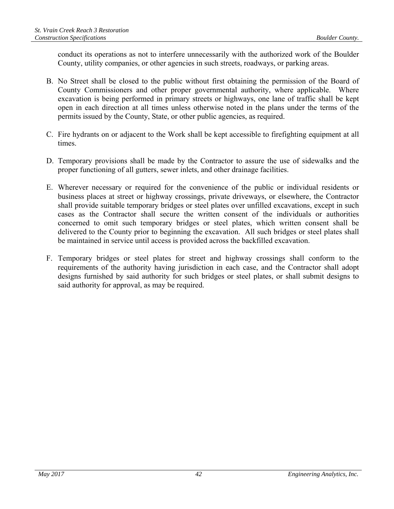conduct its operations as not to interfere unnecessarily with the authorized work of the Boulder County, utility companies, or other agencies in such streets, roadways, or parking areas.

- B. No Street shall be closed to the public without first obtaining the permission of the Board of County Commissioners and other proper governmental authority, where applicable. Where excavation is being performed in primary streets or highways, one lane of traffic shall be kept open in each direction at all times unless otherwise noted in the plans under the terms of the permits issued by the County, State, or other public agencies, as required.
- C. Fire hydrants on or adjacent to the Work shall be kept accessible to firefighting equipment at all times.
- D. Temporary provisions shall be made by the Contractor to assure the use of sidewalks and the proper functioning of all gutters, sewer inlets, and other drainage facilities.
- E. Wherever necessary or required for the convenience of the public or individual residents or business places at street or highway crossings, private driveways, or elsewhere, the Contractor shall provide suitable temporary bridges or steel plates over unfilled excavations, except in such cases as the Contractor shall secure the written consent of the individuals or authorities concerned to omit such temporary bridges or steel plates, which written consent shall be delivered to the County prior to beginning the excavation. All such bridges or steel plates shall be maintained in service until access is provided across the backfilled excavation.
- F. Temporary bridges or steel plates for street and highway crossings shall conform to the requirements of the authority having jurisdiction in each case, and the Contractor shall adopt designs furnished by said authority for such bridges or steel plates, or shall submit designs to said authority for approval, as may be required.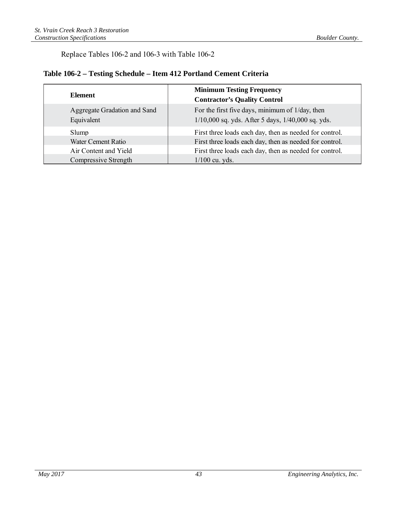# Replace Tables 106-2 and 106-3 with Table 106-2

## **Table 106-2 – Testing Schedule – Item 412 Portland Cement Criteria**

| <b>Element</b>               | <b>Minimum Testing Frequency</b><br><b>Contractor's Quality Control</b> |
|------------------------------|-------------------------------------------------------------------------|
| Aggregate Gradation and Sand | For the first five days, minimum of 1/day, then                         |
| Equivalent                   | $1/10,000$ sq. yds. After 5 days, $1/40,000$ sq. yds.                   |
| Slump                        | First three loads each day, then as needed for control.                 |
| Water Cement Ratio           | First three loads each day, then as needed for control.                 |
| Air Content and Yield        | First three loads each day, then as needed for control.                 |
| Compressive Strength         | $1/100$ cu. yds.                                                        |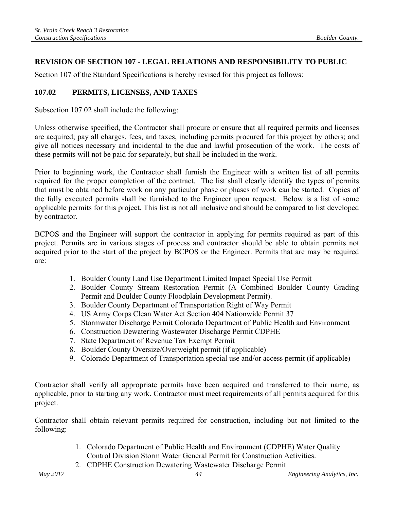## **REVISION OF SECTION 107 - LEGAL RELATIONS AND RESPONSIBILITY TO PUBLIC**

Section 107 of the Standard Specifications is hereby revised for this project as follows:

## **107.02 PERMITS, LICENSES, AND TAXES**

Subsection 107.02 shall include the following:

Unless otherwise specified, the Contractor shall procure or ensure that all required permits and licenses are acquired; pay all charges, fees, and taxes, including permits procured for this project by others; and give all notices necessary and incidental to the due and lawful prosecution of the work. The costs of these permits will not be paid for separately, but shall be included in the work.

Prior to beginning work, the Contractor shall furnish the Engineer with a written list of all permits required for the proper completion of the contract. The list shall clearly identify the types of permits that must be obtained before work on any particular phase or phases of work can be started. Copies of the fully executed permits shall be furnished to the Engineer upon request. Below is a list of some applicable permits for this project. This list is not all inclusive and should be compared to list developed by contractor.

BCPOS and the Engineer will support the contractor in applying for permits required as part of this project. Permits are in various stages of process and contractor should be able to obtain permits not acquired prior to the start of the project by BCPOS or the Engineer. Permits that are may be required are:

- 1. Boulder County Land Use Department Limited Impact Special Use Permit
- 2. Boulder County Stream Restoration Permit (A Combined Boulder County Grading Permit and Boulder County Floodplain Development Permit).
- 3. Boulder County Department of Transportation Right of Way Permit
- 4. US Army Corps Clean Water Act Section 404 Nationwide Permit 37
- 5. Stormwater Discharge Permit Colorado Department of Public Health and Environment
- 6. Construction Dewatering Wastewater Discharge Permit CDPHE
- 7. State Department of Revenue Tax Exempt Permit
- 8. Boulder County Oversize/Overweight permit (if applicable)
- 9. Colorado Department of Transportation special use and/or access permit (if applicable)

Contractor shall verify all appropriate permits have been acquired and transferred to their name, as applicable, prior to starting any work. Contractor must meet requirements of all permits acquired for this project.

Contractor shall obtain relevant permits required for construction, including but not limited to the following:

- 1. Colorado Department of Public Health and Environment (CDPHE) Water Quality Control Division Storm Water General Permit for Construction Activities.
- 2. CDPHE Construction Dewatering Wastewater Discharge Permit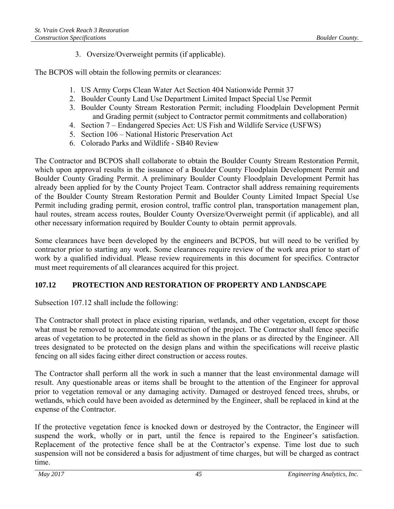3. Oversize/Overweight permits (if applicable).

The BCPOS will obtain the following permits or clearances:

- 1. US Army Corps Clean Water Act Section 404 Nationwide Permit 37
- 2. Boulder County Land Use Department Limited Impact Special Use Permit
- 3. Boulder County Stream Restoration Permit; including Floodplain Development Permit and Grading permit (subject to Contractor permit commitments and collaboration)
- 4. Section 7 Endangered Species Act: US Fish and Wildlife Service (USFWS)
- 5. Section 106 National Historic Preservation Act
- 6. Colorado Parks and Wildlife SB40 Review

The Contractor and BCPOS shall collaborate to obtain the Boulder County Stream Restoration Permit, which upon approval results in the issuance of a Boulder County Floodplain Development Permit and Boulder County Grading Permit. A preliminary Boulder County Floodplain Development Permit has already been applied for by the County Project Team. Contractor shall address remaining requirements of the Boulder County Stream Restoration Permit and Boulder County Limited Impact Special Use Permit including grading permit, erosion control, traffic control plan, transportation management plan, haul routes, stream access routes, Boulder County Oversize/Overweight permit (if applicable), and all other necessary information required by Boulder County to obtain permit approvals.

Some clearances have been developed by the engineers and BCPOS, but will need to be verified by contractor prior to starting any work. Some clearances require review of the work area prior to start of work by a qualified individual. Please review requirements in this document for specifics. Contractor must meet requirements of all clearances acquired for this project.

## **107.12 PROTECTION AND RESTORATION OF PROPERTY AND LANDSCAPE**

Subsection 107.12 shall include the following:

The Contractor shall protect in place existing riparian, wetlands, and other vegetation, except for those what must be removed to accommodate construction of the project. The Contractor shall fence specific areas of vegetation to be protected in the field as shown in the plans or as directed by the Engineer. All trees designated to be protected on the design plans and within the specifications will receive plastic fencing on all sides facing either direct construction or access routes.

The Contractor shall perform all the work in such a manner that the least environmental damage will result. Any questionable areas or items shall be brought to the attention of the Engineer for approval prior to vegetation removal or any damaging activity. Damaged or destroyed fenced trees, shrubs, or wetlands, which could have been avoided as determined by the Engineer, shall be replaced in kind at the expense of the Contractor.

If the protective vegetation fence is knocked down or destroyed by the Contractor, the Engineer will suspend the work, wholly or in part, until the fence is repaired to the Engineer's satisfaction. Replacement of the protective fence shall be at the Contractor's expense. Time lost due to such suspension will not be considered a basis for adjustment of time charges, but will be charged as contract time.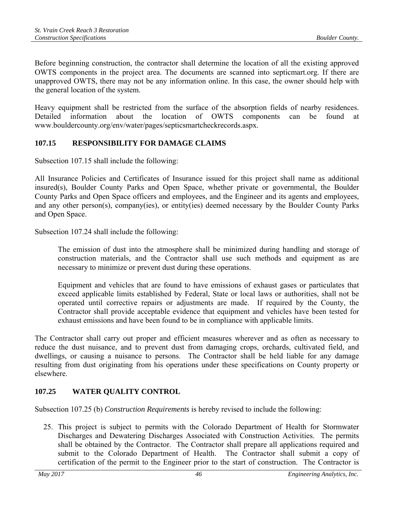Before beginning construction, the contractor shall determine the location of all the existing approved OWTS components in the project area. The documents are scanned into septicmart.org. If there are unapproved OWTS, there may not be any information online. In this case, the owner should help with the general location of the system.

Heavy equipment shall be restricted from the surface of the absorption fields of nearby residences. Detailed information about the location of OWTS components can be found at www.bouldercounty.org/env/water/pages/septicsmartcheckrecords.aspx.

## **107.15 RESPONSIBILITY FOR DAMAGE CLAIMS**

Subsection 107.15 shall include the following:

All Insurance Policies and Certificates of Insurance issued for this project shall name as additional insured(s), Boulder County Parks and Open Space, whether private or governmental, the Boulder County Parks and Open Space officers and employees, and the Engineer and its agents and employees, and any other person(s), company(ies), or entity(ies) deemed necessary by the Boulder County Parks and Open Space.

Subsection 107.24 shall include the following:

 The emission of dust into the atmosphere shall be minimized during handling and storage of construction materials, and the Contractor shall use such methods and equipment as are necessary to minimize or prevent dust during these operations.

 Equipment and vehicles that are found to have emissions of exhaust gases or particulates that exceed applicable limits established by Federal, State or local laws or authorities, shall not be operated until corrective repairs or adjustments are made. If required by the County, the Contractor shall provide acceptable evidence that equipment and vehicles have been tested for exhaust emissions and have been found to be in compliance with applicable limits.

The Contractor shall carry out proper and efficient measures wherever and as often as necessary to reduce the dust nuisance, and to prevent dust from damaging crops, orchards, cultivated field, and dwellings, or causing a nuisance to persons. The Contractor shall be held liable for any damage resulting from dust originating from his operations under these specifications on County property or elsewhere.

## **107.25 WATER QUALITY CONTROL**

Subsection 107.25 (b) *Construction Requirements* is hereby revised to include the following:

25. This project is subject to permits with the Colorado Department of Health for Stormwater Discharges and Dewatering Discharges Associated with Construction Activities. The permits shall be obtained by the Contractor. The Contractor shall prepare all applications required and submit to the Colorado Department of Health. The Contractor shall submit a copy of certification of the permit to the Engineer prior to the start of construction. The Contractor is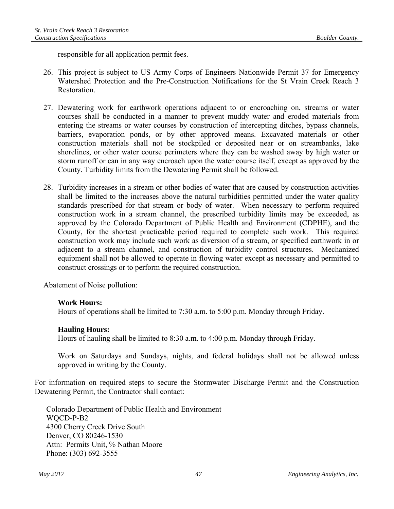responsible for all application permit fees.

- 26. This project is subject to US Army Corps of Engineers Nationwide Permit 37 for Emergency Watershed Protection and the Pre-Construction Notifications for the St Vrain Creek Reach 3 **Restoration**
- 27. Dewatering work for earthwork operations adjacent to or encroaching on, streams or water courses shall be conducted in a manner to prevent muddy water and eroded materials from entering the streams or water courses by construction of intercepting ditches, bypass channels, barriers, evaporation ponds, or by other approved means. Excavated materials or other construction materials shall not be stockpiled or deposited near or on streambanks, lake shorelines, or other water course perimeters where they can be washed away by high water or storm runoff or can in any way encroach upon the water course itself, except as approved by the County. Turbidity limits from the Dewatering Permit shall be followed.
- 28. Turbidity increases in a stream or other bodies of water that are caused by construction activities shall be limited to the increases above the natural turbidities permitted under the water quality standards prescribed for that stream or body of water. When necessary to perform required construction work in a stream channel, the prescribed turbidity limits may be exceeded, as approved by the Colorado Department of Public Health and Environment (CDPHE), and the County, for the shortest practicable period required to complete such work. This required construction work may include such work as diversion of a stream, or specified earthwork in or adjacent to a stream channel, and construction of turbidity control structures. Mechanized equipment shall not be allowed to operate in flowing water except as necessary and permitted to construct crossings or to perform the required construction.

Abatement of Noise pollution:

#### **Work Hours:**

Hours of operations shall be limited to 7:30 a.m. to 5:00 p.m. Monday through Friday.

#### **Hauling Hours:**

Hours of hauling shall be limited to 8:30 a.m. to 4:00 p.m. Monday through Friday.

 Work on Saturdays and Sundays, nights, and federal holidays shall not be allowed unless approved in writing by the County.

For information on required steps to secure the Stormwater Discharge Permit and the Construction Dewatering Permit, the Contractor shall contact:

Colorado Department of Public Health and Environment WQCD-P-B2 4300 Cherry Creek Drive South Denver, CO 80246-1530 Attn: Permits Unit, % Nathan Moore Phone: (303) 692-3555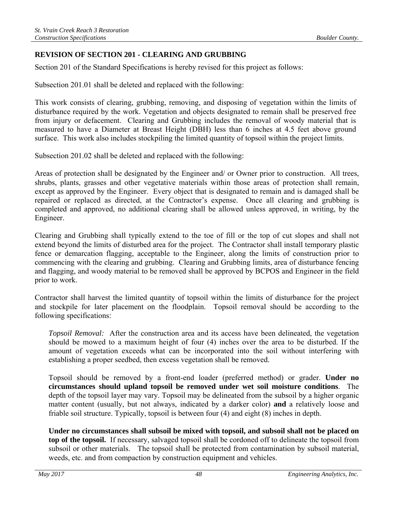# **REVISION OF SECTION 201 - CLEARING AND GRUBBING**

Section 201 of the Standard Specifications is hereby revised for this project as follows:

Subsection 201.01 shall be deleted and replaced with the following:

This work consists of clearing, grubbing, removing, and disposing of vegetation within the limits of disturbance required by the work. Vegetation and objects designated to remain shall be preserved free from injury or defacement. Clearing and Grubbing includes the removal of woody material that is measured to have a Diameter at Breast Height (DBH) less than 6 inches at 4.5 feet above ground surface. This work also includes stockpiling the limited quantity of topsoil within the project limits.

Subsection 201.02 shall be deleted and replaced with the following:

Areas of protection shall be designated by the Engineer and/ or Owner prior to construction. All trees, shrubs, plants, grasses and other vegetative materials within those areas of protection shall remain, except as approved by the Engineer. Every object that is designated to remain and is damaged shall be repaired or replaced as directed, at the Contractor's expense. Once all clearing and grubbing is completed and approved, no additional clearing shall be allowed unless approved, in writing, by the Engineer.

Clearing and Grubbing shall typically extend to the toe of fill or the top of cut slopes and shall not extend beyond the limits of disturbed area for the project. The Contractor shall install temporary plastic fence or demarcation flagging, acceptable to the Engineer, along the limits of construction prior to commencing with the clearing and grubbing. Clearing and Grubbing limits, area of disturbance fencing and flagging, and woody material to be removed shall be approved by BCPOS and Engineer in the field prior to work.

Contractor shall harvest the limited quantity of topsoil within the limits of disturbance for the project and stockpile for later placement on the floodplain. Topsoil removal should be according to the following specifications:

*Topsoil Removal:* After the construction area and its access have been delineated, the vegetation should be mowed to a maximum height of four (4) inches over the area to be disturbed. If the amount of vegetation exceeds what can be incorporated into the soil without interfering with establishing a proper seedbed, then excess vegetation shall be removed.

Topsoil should be removed by a front-end loader (preferred method) or grader. **Under no circumstances should upland topsoil be removed under wet soil moisture conditions**. The depth of the topsoil layer may vary. Topsoil may be delineated from the subsoil by a higher organic matter content (usually, but not always, indicated by a darker color) **and** a relatively loose and friable soil structure. Typically, topsoil is between four (4) and eight (8) inches in depth.

**Under no circumstances shall subsoil be mixed with topsoil, and subsoil shall not be placed on top of the topsoil.** If necessary, salvaged topsoil shall be cordoned off to delineate the topsoil from subsoil or other materials. The topsoil shall be protected from contamination by subsoil material, weeds, etc. and from compaction by construction equipment and vehicles.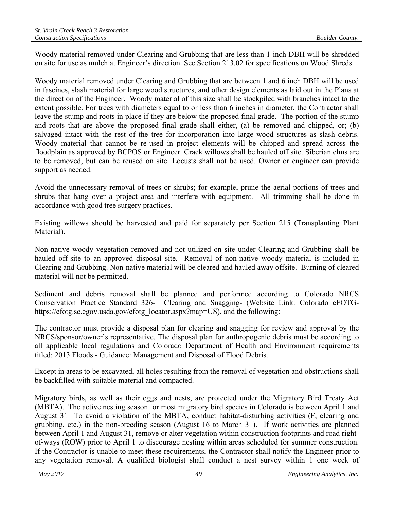Woody material removed under Clearing and Grubbing that are less than 1-inch DBH will be shredded on site for use as mulch at Engineer's direction. See Section 213.02 for specifications on Wood Shreds.

Woody material removed under Clearing and Grubbing that are between 1 and 6 inch DBH will be used in fascines, slash material for large wood structures, and other design elements as laid out in the Plans at the direction of the Engineer. Woody material of this size shall be stockpiled with branches intact to the extent possible. For trees with diameters equal to or less than 6 inches in diameter, the Contractor shall leave the stump and roots in place if they are below the proposed final grade. The portion of the stump and roots that are above the proposed final grade shall either, (a) be removed and chipped, or; (b) salvaged intact with the rest of the tree for incorporation into large wood structures as slash debris. Woody material that cannot be re-used in project elements will be chipped and spread across the floodplain as approved by BCPOS or Engineer. Crack willows shall be hauled off site. Siberian elms are to be removed, but can be reused on site. Locusts shall not be used. Owner or engineer can provide support as needed.

Avoid the unnecessary removal of trees or shrubs; for example, prune the aerial portions of trees and shrubs that hang over a project area and interfere with equipment. All trimming shall be done in accordance with good tree surgery practices.

Existing willows should be harvested and paid for separately per Section 215 (Transplanting Plant Material).

Non-native woody vegetation removed and not utilized on site under Clearing and Grubbing shall be hauled off-site to an approved disposal site. Removal of non-native woody material is included in Clearing and Grubbing. Non-native material will be cleared and hauled away offsite. Burning of cleared material will not be permitted.

Sediment and debris removal shall be planned and performed according to Colorado NRCS Conservation Practice Standard 326- Clearing and Snagging- (Website Link: Colorado eFOTGhttps://efotg.sc.egov.usda.gov/efotg\_locator.aspx?map=US), and the following:

The contractor must provide a disposal plan for clearing and snagging for review and approval by the NRCS/sponsor/owner's representative. The disposal plan for anthropogenic debris must be according to all applicable local regulations and Colorado Department of Health and Environment requirements titled: 2013 Floods - Guidance: Management and Disposal of Flood Debris.

Except in areas to be excavated, all holes resulting from the removal of vegetation and obstructions shall be backfilled with suitable material and compacted.

Migratory birds, as well as their eggs and nests, are protected under the Migratory Bird Treaty Act (MBTA). The active nesting season for most migratory bird species in Colorado is between April 1 and August 31 To avoid a violation of the MBTA, conduct habitat-disturbing activities (F, clearing and grubbing, etc.) in the non-breeding season (August 16 to March 31). If work activities are planned between April 1 and August 31, remove or alter vegetation within construction footprints and road rightof-ways (ROW) prior to April 1 to discourage nesting within areas scheduled for summer construction. If the Contractor is unable to meet these requirements, the Contractor shall notify the Engineer prior to any vegetation removal. A qualified biologist shall conduct a nest survey within 1 one week of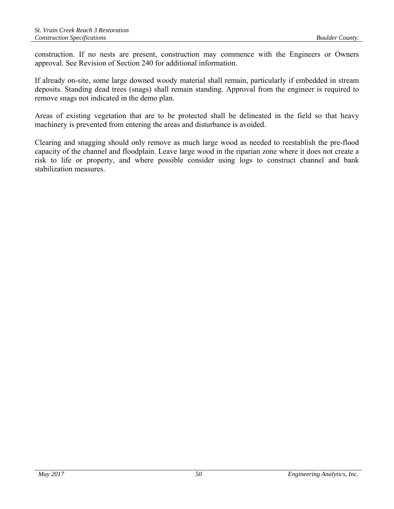construction. If no nests are present, construction may commence with the Engineers or Owners approval. See Revision of Section 240 for additional information.

If already on-site, some large downed woody material shall remain, particularly if embedded in stream deposits. Standing dead trees (snags) shall remain standing. Approval from the engineer is required to remove snags not indicated in the demo plan.

Areas of existing vegetation that are to be protected shall be delineated in the field so that heavy machinery is prevented from entering the areas and disturbance is avoided.

Clearing and snagging should only remove as much large wood as needed to reestablish the pre-flood capacity of the channel and floodplain. Leave large wood in the riparian zone where it does not create a risk to life or property, and where possible consider using logs to construct channel and bank stabilization measures.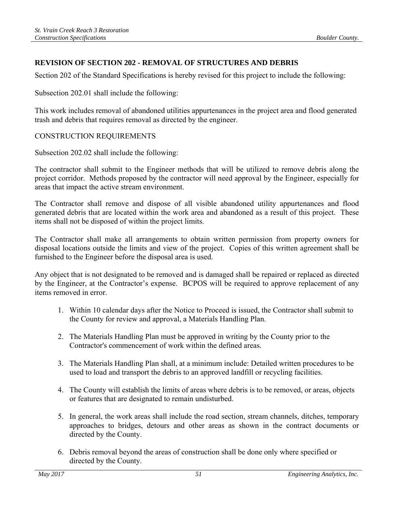## **REVISION OF SECTION 202 - REMOVAL OF STRUCTURES AND DEBRIS**

Section 202 of the Standard Specifications is hereby revised for this project to include the following:

Subsection 202.01 shall include the following:

This work includes removal of abandoned utilities appurtenances in the project area and flood generated trash and debris that requires removal as directed by the engineer.

#### CONSTRUCTION REQUIREMENTS

Subsection 202.02 shall include the following:

The contractor shall submit to the Engineer methods that will be utilized to remove debris along the project corridor. Methods proposed by the contractor will need approval by the Engineer, especially for areas that impact the active stream environment.

The Contractor shall remove and dispose of all visible abandoned utility appurtenances and flood generated debris that are located within the work area and abandoned as a result of this project. These items shall not be disposed of within the project limits.

The Contractor shall make all arrangements to obtain written permission from property owners for disposal locations outside the limits and view of the project. Copies of this written agreement shall be furnished to the Engineer before the disposal area is used.

Any object that is not designated to be removed and is damaged shall be repaired or replaced as directed by the Engineer, at the Contractor's expense. BCPOS will be required to approve replacement of any items removed in error.

- 1. Within 10 calendar days after the Notice to Proceed is issued, the Contractor shall submit to the County for review and approval, a Materials Handling Plan.
- 2. The Materials Handling Plan must be approved in writing by the County prior to the Contractor's commencement of work within the defined areas.
- 3. The Materials Handling Plan shall, at a minimum include: Detailed written procedures to be used to load and transport the debris to an approved landfill or recycling facilities.
- 4. The County will establish the limits of areas where debris is to be removed, or areas, objects or features that are designated to remain undisturbed.
- 5. In general, the work areas shall include the road section, stream channels, ditches, temporary approaches to bridges, detours and other areas as shown in the contract documents or directed by the County.
- 6. Debris removal beyond the areas of construction shall be done only where specified or directed by the County.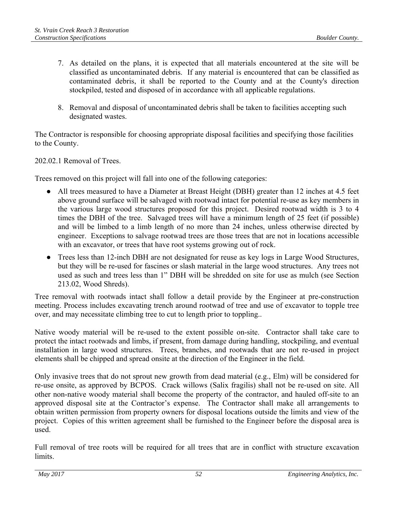- 7. As detailed on the plans, it is expected that all materials encountered at the site will be classified as uncontaminated debris. If any material is encountered that can be classified as contaminated debris, it shall be reported to the County and at the County's direction stockpiled, tested and disposed of in accordance with all applicable regulations.
- 8. Removal and disposal of uncontaminated debris shall be taken to facilities accepting such designated wastes.

The Contractor is responsible for choosing appropriate disposal facilities and specifying those facilities to the County.

202.02.1 Removal of Trees.

Trees removed on this project will fall into one of the following categories:

- All trees measured to have a Diameter at Breast Height (DBH) greater than 12 inches at 4.5 feet above ground surface will be salvaged with rootwad intact for potential re-use as key members in the various large wood structures proposed for this project. Desired rootwad width is 3 to 4 times the DBH of the tree. Salvaged trees will have a minimum length of 25 feet (if possible) and will be limbed to a limb length of no more than 24 inches, unless otherwise directed by engineer. Exceptions to salvage rootwad trees are those trees that are not in locations accessible with an excavator, or trees that have root systems growing out of rock.
- Trees less than 12-inch DBH are not designated for reuse as key logs in Large Wood Structures, but they will be re-used for fascines or slash material in the large wood structures. Any trees not used as such and trees less than 1" DBH will be shredded on site for use as mulch (see Section 213.02, Wood Shreds).

Tree removal with rootwads intact shall follow a detail provide by the Engineer at pre-construction meeting. Process includes excavating trench around rootwad of tree and use of excavator to topple tree over, and may necessitate climbing tree to cut to length prior to toppling..

Native woody material will be re-used to the extent possible on-site. Contractor shall take care to protect the intact rootwads and limbs, if present, from damage during handling, stockpiling, and eventual installation in large wood structures. Trees, branches, and rootwads that are not re-used in project elements shall be chipped and spread onsite at the direction of the Engineer in the field.

Only invasive trees that do not sprout new growth from dead material (e.g., Elm) will be considered for re-use onsite, as approved by BCPOS. Crack willows (Salix fragilis) shall not be re-used on site. All other non-native woody material shall become the property of the contractor, and hauled off-site to an approved disposal site at the Contractor's expense. The Contractor shall make all arrangements to obtain written permission from property owners for disposal locations outside the limits and view of the project. Copies of this written agreement shall be furnished to the Engineer before the disposal area is used.

Full removal of tree roots will be required for all trees that are in conflict with structure excavation limits.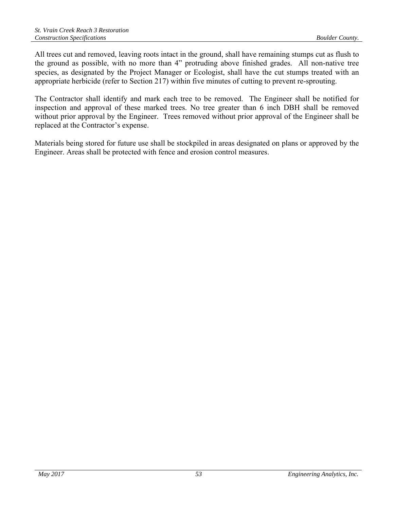All trees cut and removed, leaving roots intact in the ground, shall have remaining stumps cut as flush to the ground as possible, with no more than 4" protruding above finished grades. All non-native tree species, as designated by the Project Manager or Ecologist, shall have the cut stumps treated with an appropriate herbicide (refer to Section 217) within five minutes of cutting to prevent re-sprouting.

The Contractor shall identify and mark each tree to be removed. The Engineer shall be notified for inspection and approval of these marked trees. No tree greater than 6 inch DBH shall be removed without prior approval by the Engineer. Trees removed without prior approval of the Engineer shall be replaced at the Contractor's expense.

Materials being stored for future use shall be stockpiled in areas designated on plans or approved by the Engineer. Areas shall be protected with fence and erosion control measures.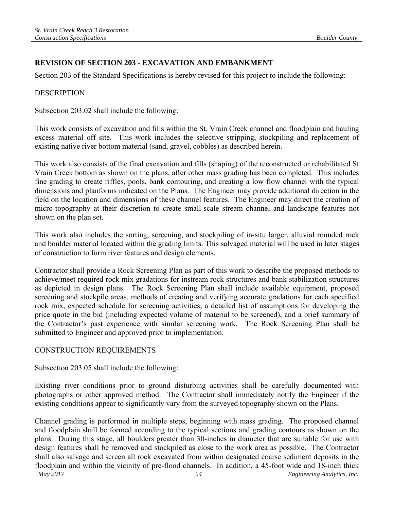# **REVISION OF SECTION 203 - EXCAVATION AND EMBANKMENT**

Section 203 of the Standard Specifications is hereby revised for this project to include the following:

#### DESCRIPTION

Subsection 203.02 shall include the following:

This work consists of excavation and fills within the St. Vrain Creek channel and floodplain and hauling excess material off site. This work includes the selective stripping, stockpiling and replacement of existing native river bottom material (sand, gravel, cobbles) as described herein.

This work also consists of the final excavation and fills (shaping) of the reconstructed or rehabilitated St Vrain Creek bottom as shown on the plans, after other mass grading has been completed. This includes fine grading to create riffles, pools, bank contouring, and creating a low flow channel with the typical dimensions and planforms indicated on the Plans. The Engineer may provide additional direction in the field on the location and dimensions of these channel features. The Engineer may direct the creation of micro-topography at their discretion to create small-scale stream channel and landscape features not shown on the plan set.

This work also includes the sorting, screening, and stockpiling of in-situ larger, alluvial rounded rock and boulder material located within the grading limits. This salvaged material will be used in later stages of construction to form river features and design elements.

Contractor shall provide a Rock Screening Plan as part of this work to describe the proposed methods to achieve/meet required rock mix gradations for instream rock structures and bank stabilization structures as depicted in design plans. The Rock Screening Plan shall include available equipment, proposed screening and stockpile areas, methods of creating and verifying accurate gradations for each specified rock mix, expected schedule for screening activities, a detailed list of assumptions for developing the price quote in the bid (including expected volume of material to be screened), and a brief summary of the Contractor's past experience with similar screening work. The Rock Screening Plan shall be submitted to Engineer and approved prior to implementation.

## CONSTRUCTION REQUIREMENTS

Subsection 203.05 shall include the following:

Existing river conditions prior to ground disturbing activities shall be carefully documented with photographs or other approved method. The Contractor shall immediately notify the Engineer if the existing conditions appear to significantly vary from the surveyed topography shown on the Plans.

Channel grading is performed in multiple steps, beginning with mass grading. The proposed channel and floodplain shall be formed according to the typical sections and grading contours as shown on the plans. During this stage, all boulders greater than 30-inches in diameter that are suitable for use with design features shall be removed and stockpiled as close to the work area as possible. The Contractor shall also salvage and screen all rock excavated from within designated coarse sediment deposits in the floodplain and within the vicinity of pre-flood channels. In addition, a 45-foot wide and 18-inch thick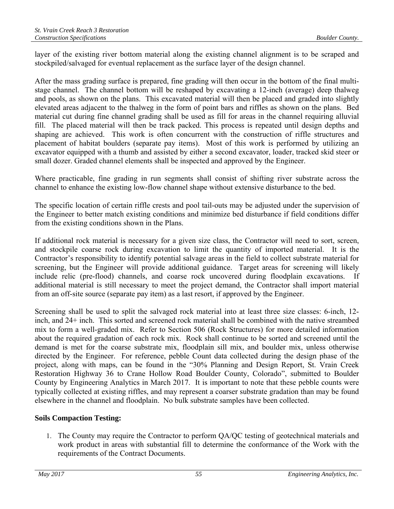layer of the existing river bottom material along the existing channel alignment is to be scraped and stockpiled/salvaged for eventual replacement as the surface layer of the design channel.

After the mass grading surface is prepared, fine grading will then occur in the bottom of the final multistage channel. The channel bottom will be reshaped by excavating a 12-inch (average) deep thalweg and pools, as shown on the plans. This excavated material will then be placed and graded into slightly elevated areas adjacent to the thalweg in the form of point bars and riffles as shown on the plans. Bed material cut during fine channel grading shall be used as fill for areas in the channel requiring alluvial fill. The placed material will then be track packed. This process is repeated until design depths and shaping are achieved. This work is often concurrent with the construction of riffle structures and placement of habitat boulders (separate pay items). Most of this work is performed by utilizing an excavator equipped with a thumb and assisted by either a second excavator, loader, tracked skid steer or small dozer. Graded channel elements shall be inspected and approved by the Engineer.

Where practicable, fine grading in run segments shall consist of shifting river substrate across the channel to enhance the existing low-flow channel shape without extensive disturbance to the bed.

The specific location of certain riffle crests and pool tail-outs may be adjusted under the supervision of the Engineer to better match existing conditions and minimize bed disturbance if field conditions differ from the existing conditions shown in the Plans.

If additional rock material is necessary for a given size class, the Contractor will need to sort, screen, and stockpile coarse rock during excavation to limit the quantity of imported material. It is the Contractor's responsibility to identify potential salvage areas in the field to collect substrate material for screening, but the Engineer will provide additional guidance. Target areas for screening will likely include relic (pre-flood) channels, and coarse rock uncovered during floodplain excavations. If additional material is still necessary to meet the project demand, the Contractor shall import material from an off-site source (separate pay item) as a last resort, if approved by the Engineer.

Screening shall be used to split the salvaged rock material into at least three size classes: 6-inch, 12 inch, and 24+ inch. This sorted and screened rock material shall be combined with the native streambed mix to form a well-graded mix. Refer to Section 506 (Rock Structures) for more detailed information about the required gradation of each rock mix. Rock shall continue to be sorted and screened until the demand is met for the coarse substrate mix, floodplain sill mix, and boulder mix, unless otherwise directed by the Engineer. For reference, pebble Count data collected during the design phase of the project, along with maps, can be found in the "30% Planning and Design Report, St. Vrain Creek Restoration Highway 36 to Crane Hollow Road Boulder County, Colorado", submitted to Boulder County by Engineering Analytics in March 2017. It is important to note that these pebble counts were typically collected at existing riffles, and may represent a coarser substrate gradation than may be found elsewhere in the channel and floodplain. No bulk substrate samples have been collected.

## **Soils Compaction Testing:**

1. The County may require the Contractor to perform QA/QC testing of geotechnical materials and work product in areas with substantial fill to determine the conformance of the Work with the requirements of the Contract Documents.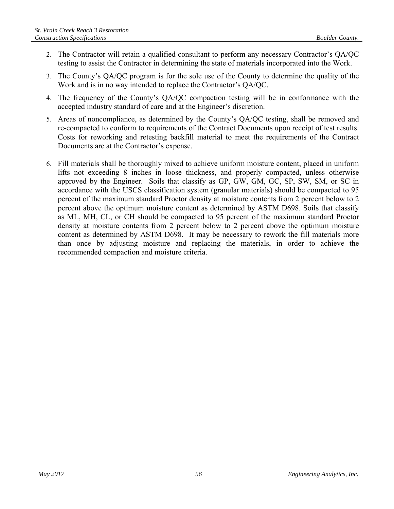- 2. The Contractor will retain a qualified consultant to perform any necessary Contractor's QA/QC testing to assist the Contractor in determining the state of materials incorporated into the Work.
- 3. The County's QA/QC program is for the sole use of the County to determine the quality of the Work and is in no way intended to replace the Contractor's QA/QC.
- 4. The frequency of the County's QA/QC compaction testing will be in conformance with the accepted industry standard of care and at the Engineer's discretion.
- 5. Areas of noncompliance, as determined by the County's QA/QC testing, shall be removed and re-compacted to conform to requirements of the Contract Documents upon receipt of test results. Costs for reworking and retesting backfill material to meet the requirements of the Contract Documents are at the Contractor's expense.
- 6. Fill materials shall be thoroughly mixed to achieve uniform moisture content, placed in uniform lifts not exceeding 8 inches in loose thickness, and properly compacted, unless otherwise approved by the Engineer. Soils that classify as GP, GW, GM, GC, SP, SW, SM, or SC in accordance with the USCS classification system (granular materials) should be compacted to 95 percent of the maximum standard Proctor density at moisture contents from 2 percent below to 2 percent above the optimum moisture content as determined by ASTM D698. Soils that classify as ML, MH, CL, or CH should be compacted to 95 percent of the maximum standard Proctor density at moisture contents from 2 percent below to 2 percent above the optimum moisture content as determined by ASTM D698. It may be necessary to rework the fill materials more than once by adjusting moisture and replacing the materials, in order to achieve the recommended compaction and moisture criteria.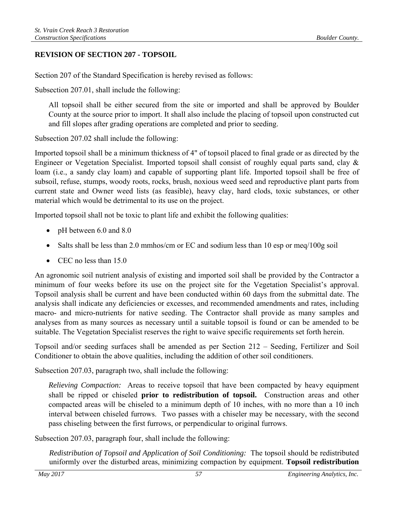## **REVISION OF SECTION 207 - TOPSOIL**

Section 207 of the Standard Specification is hereby revised as follows:

Subsection 207.01, shall include the following:

All topsoil shall be either secured from the site or imported and shall be approved by Boulder County at the source prior to import. It shall also include the placing of topsoil upon constructed cut and fill slopes after grading operations are completed and prior to seeding.

Subsection 207.02 shall include the following:

Imported topsoil shall be a minimum thickness of 4" of topsoil placed to final grade or as directed by the Engineer or Vegetation Specialist. Imported topsoil shall consist of roughly equal parts sand, clay & loam (i.e., a sandy clay loam) and capable of supporting plant life. Imported topsoil shall be free of subsoil, refuse, stumps, woody roots, rocks, brush, noxious weed seed and reproductive plant parts from current state and Owner weed lists (as feasible), heavy clay, hard clods, toxic substances, or other material which would be detrimental to its use on the project.

Imported topsoil shall not be toxic to plant life and exhibit the following qualities:

- pH between 6.0 and 8.0
- Salts shall be less than 2.0 mmhos/cm or EC and sodium less than 10 esp or meq/100g soil
- CEC no less than 15.0

An agronomic soil nutrient analysis of existing and imported soil shall be provided by the Contractor a minimum of four weeks before its use on the project site for the Vegetation Specialist's approval. Topsoil analysis shall be current and have been conducted within 60 days from the submittal date. The analysis shall indicate any deficiencies or excesses, and recommended amendments and rates, including macro- and micro-nutrients for native seeding. The Contractor shall provide as many samples and analyses from as many sources as necessary until a suitable topsoil is found or can be amended to be suitable. The Vegetation Specialist reserves the right to waive specific requirements set forth herein.

Topsoil and/or seeding surfaces shall be amended as per Section 212 – Seeding, Fertilizer and Soil Conditioner to obtain the above qualities, including the addition of other soil conditioners.

Subsection 207.03, paragraph two, shall include the following:

*Relieving Compaction:* Areas to receive topsoil that have been compacted by heavy equipment shall be ripped or chiseled **prior to redistribution of topsoil.** Construction areas and other compacted areas will be chiseled to a minimum depth of 10 inches, with no more than a 10 inch interval between chiseled furrows. Two passes with a chiseler may be necessary, with the second pass chiseling between the first furrows, or perpendicular to original furrows.

Subsection 207.03, paragraph four, shall include the following:

*Redistribution of Topsoil and Application of Soil Conditioning:* The topsoil should be redistributed uniformly over the disturbed areas, minimizing compaction by equipment. **Topsoil redistribution**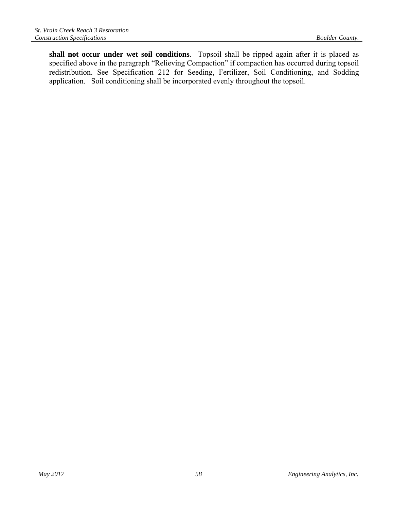**shall not occur under wet soil conditions**. Topsoil shall be ripped again after it is placed as specified above in the paragraph "Relieving Compaction" if compaction has occurred during topsoil redistribution. See Specification 212 for Seeding, Fertilizer, Soil Conditioning, and Sodding application. Soil conditioning shall be incorporated evenly throughout the topsoil.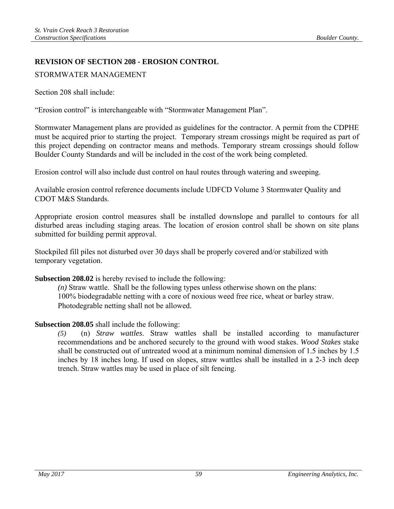# **REVISION OF SECTION 208 - EROSION CONTROL**

#### STORMWATER MANAGEMENT

Section 208 shall include:

"Erosion control" is interchangeable with "Stormwater Management Plan".

Stormwater Management plans are provided as guidelines for the contractor. A permit from the CDPHE must be acquired prior to starting the project. Temporary stream crossings might be required as part of this project depending on contractor means and methods. Temporary stream crossings should follow Boulder County Standards and will be included in the cost of the work being completed.

Erosion control will also include dust control on haul routes through watering and sweeping.

Available erosion control reference documents include UDFCD Volume 3 Stormwater Quality and CDOT M&S Standards.

Appropriate erosion control measures shall be installed downslope and parallel to contours for all disturbed areas including staging areas. The location of erosion control shall be shown on site plans submitted for building permit approval.

Stockpiled fill piles not disturbed over 30 days shall be properly covered and/or stabilized with temporary vegetation.

#### **Subsection 208.02** is hereby revised to include the following:

*(n)* Straw wattle. Shall be the following types unless otherwise shown on the plans: 100% biodegradable netting with a core of noxious weed free rice, wheat or barley straw. Photodegrable netting shall not be allowed.

## **Subsection 208.05** shall include the following:

*(5)* (n) *Straw wattles*. Straw wattles shall be installed according to manufacturer recommendations and be anchored securely to the ground with wood stakes. *Wood Stakes* stake shall be constructed out of untreated wood at a minimum nominal dimension of 1.5 inches by 1.5 inches by 18 inches long. If used on slopes, straw wattles shall be installed in a 2-3 inch deep trench. Straw wattles may be used in place of silt fencing.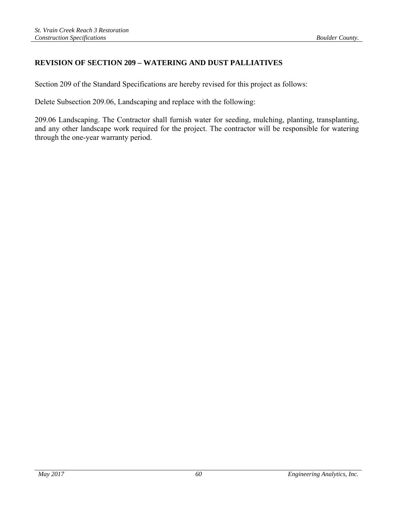## **REVISION OF SECTION 209 – WATERING AND DUST PALLIATIVES**

Section 209 of the Standard Specifications are hereby revised for this project as follows:

Delete Subsection 209.06, Landscaping and replace with the following:

209.06 Landscaping. The Contractor shall furnish water for seeding, mulching, planting, transplanting, and any other landscape work required for the project. The contractor will be responsible for watering through the one-year warranty period.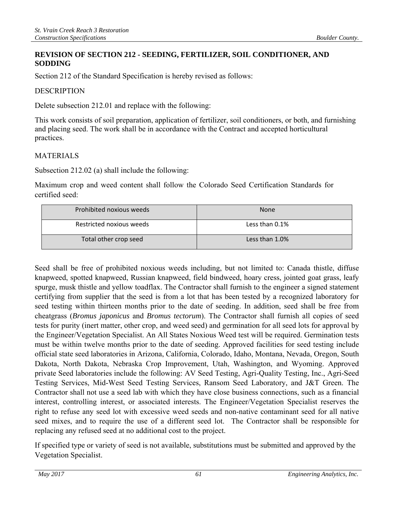## **REVISION OF SECTION 212 - SEEDING, FERTILIZER, SOIL CONDITIONER, AND SODDING**

Section 212 of the Standard Specification is hereby revised as follows:

#### DESCRIPTION

Delete subsection 212.01 and replace with the following:

This work consists of soil preparation, application of fertilizer, soil conditioners, or both, and furnishing and placing seed. The work shall be in accordance with the Contract and accepted horticultural practices.

## MATERIALS

Subsection 212.02 (a) shall include the following:

Maximum crop and weed content shall follow the Colorado Seed Certification Standards for certified seed:

| Prohibited noxious weeds | <b>None</b>       |
|--------------------------|-------------------|
| Restricted noxious weeds | Less than $0.1\%$ |
| Total other crop seed    | Less than 1.0%    |

Seed shall be free of prohibited noxious weeds including, but not limited to: Canada thistle, diffuse knapweed, spotted knapweed, Russian knapweed, field bindweed, hoary cress, jointed goat grass, leafy spurge, musk thistle and yellow toadflax. The Contractor shall furnish to the engineer a signed statement certifying from supplier that the seed is from a lot that has been tested by a recognized laboratory for seed testing within thirteen months prior to the date of seeding. In addition, seed shall be free from cheatgrass (*Bromus japonicus* and *Bromus tectorum*). The Contractor shall furnish all copies of seed tests for purity (inert matter, other crop, and weed seed) and germination for all seed lots for approval by the Engineer/Vegetation Specialist. An All States Noxious Weed test will be required. Germination tests must be within twelve months prior to the date of seeding. Approved facilities for seed testing include official state seed laboratories in Arizona, California, Colorado, Idaho, Montana, Nevada, Oregon, South Dakota, North Dakota, Nebraska Crop Improvement, Utah, Washington, and Wyoming. Approved private Seed laboratories include the following: AV Seed Testing, Agri-Quality Testing, Inc., Agri-Seed Testing Services, Mid-West Seed Testing Services, Ransom Seed Laboratory, and J&T Green. The Contractor shall not use a seed lab with which they have close business connections, such as a financial interest, controlling interest, or associated interests. The Engineer/Vegetation Specialist reserves the right to refuse any seed lot with excessive weed seeds and non-native contaminant seed for all native seed mixes, and to require the use of a different seed lot. The Contractor shall be responsible for replacing any refused seed at no additional cost to the project.

If specified type or variety of seed is not available, substitutions must be submitted and approved by the Vegetation Specialist.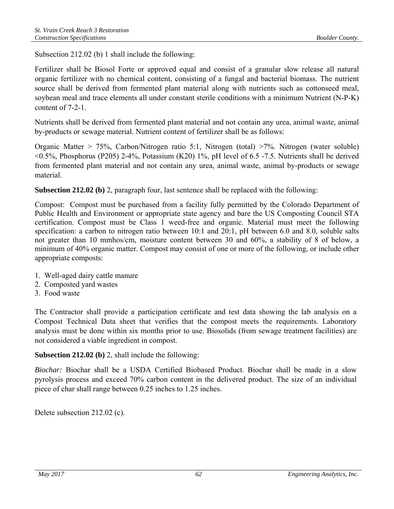Subsection 212.02 (b) 1 shall include the following:

Fertilizer shall be Biosol Forte or approved equal and consist of a granular slow release all natural organic fertilizer with no chemical content, consisting of a fungal and bacterial biomass. The nutrient source shall be derived from fermented plant material along with nutrients such as cottonseed meal, soybean meal and trace elements all under constant sterile conditions with a minimum Nutrient (N-P-K) content of 7-2-1.

Nutrients shall be derived from fermented plant material and not contain any urea, animal waste, animal by-products or sewage material. Nutrient content of fertilizer shall be as follows:

Organic Matter > 75%, Carbon/Nitrogen ratio 5:1, Nitrogen (total) >7%. Nitrogen (water soluble)  $\leq 0.5\%$ , Phosphorus (P205) 2-4%, Potassium (K20) 1%, pH level of 6.5 -7.5. Nutrients shall be derived from fermented plant material and not contain any urea, animal waste, animal by-products or sewage material.

**Subsection 212.02 (b)** 2, paragraph four, last sentence shall be replaced with the following:

Compost: Compost must be purchased from a facility fully permitted by the Colorado Department of Public Health and Environment or appropriate state agency and bare the US Composting Council STA certification. Compost must be Class 1 weed-free and organic. Material must meet the following specification: a carbon to nitrogen ratio between 10:1 and 20:1, pH between 6.0 and 8.0, soluble salts not greater than 10 mmhos/cm, moisture content between 30 and 60%, a stability of 8 of below, a minimum of 40% organic matter. Compost may consist of one or more of the following, or include other appropriate composts:

- 1. Well-aged dairy cattle manure
- 2. Composted yard wastes
- 3. Food waste

The Contractor shall provide a participation certificate and test data showing the lab analysis on a Compost Technical Data sheet that verifies that the compost meets the requirements. Laboratory analysis must be done within six months prior to use. Biosolids (from sewage treatment facilities) are not considered a viable ingredient in compost.

**Subsection 212.02 (b)** 2, shall include the following:

*Biochar:* Biochar shall be a USDA Certified Biobased Product. Biochar shall be made in a slow pyrolysis process and exceed 70% carbon content in the delivered product. The size of an individual piece of char shall range between 0.25 inches to 1.25 inches.

Delete subsection 212.02 (c)*.*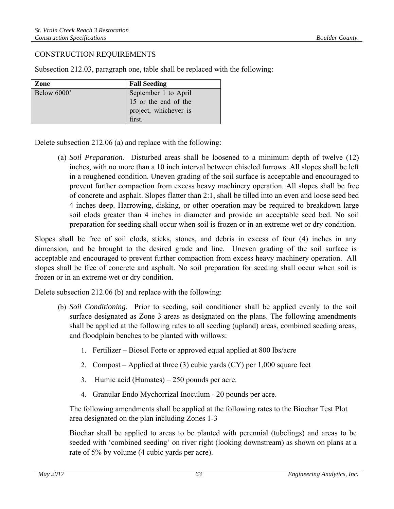## CONSTRUCTION REQUIREMENTS

Subsection 212.03, paragraph one, table shall be replaced with the following:

| Zone        | <b>Fall Seeding</b>   |
|-------------|-----------------------|
| Below 6000' | September 1 to April  |
|             | 15 or the end of the  |
|             | project, whichever is |
|             | first.                |

Delete subsection 212.06 (a) and replace with the following:

(a) *Soil Preparation.* Disturbed areas shall be loosened to a minimum depth of twelve (12) inches, with no more than a 10 inch interval between chiseled furrows. All slopes shall be left in a roughened condition. Uneven grading of the soil surface is acceptable and encouraged to prevent further compaction from excess heavy machinery operation. All slopes shall be free of concrete and asphalt. Slopes flatter than 2:1, shall be tilled into an even and loose seed bed 4 inches deep. Harrowing, disking, or other operation may be required to breakdown large soil clods greater than 4 inches in diameter and provide an acceptable seed bed. No soil preparation for seeding shall occur when soil is frozen or in an extreme wet or dry condition.

Slopes shall be free of soil clods, sticks, stones, and debris in excess of four (4) inches in any dimension, and be brought to the desired grade and line. Uneven grading of the soil surface is acceptable and encouraged to prevent further compaction from excess heavy machinery operation. All slopes shall be free of concrete and asphalt. No soil preparation for seeding shall occur when soil is frozen or in an extreme wet or dry condition.

Delete subsection 212.06 (b) and replace with the following:

- (b) *Soil Conditioning.* Prior to seeding, soil conditioner shall be applied evenly to the soil surface designated as Zone 3 areas as designated on the plans. The following amendments shall be applied at the following rates to all seeding (upland) areas, combined seeding areas, and floodplain benches to be planted with willows:
	- 1. Fertilizer Biosol Forte or approved equal applied at 800 lbs/acre
	- 2. Compost Applied at three  $(3)$  cubic yards  $(CY)$  per 1,000 square feet
	- 3. Humic acid (Humates) 250 pounds per acre.
	- 4. Granular Endo Mychorrizal Inoculum 20 pounds per acre.

The following amendments shall be applied at the following rates to the Biochar Test Plot area designated on the plan including Zones 1-3

Biochar shall be applied to areas to be planted with perennial (tubelings) and areas to be seeded with 'combined seeding' on river right (looking downstream) as shown on plans at a rate of 5% by volume (4 cubic yards per acre).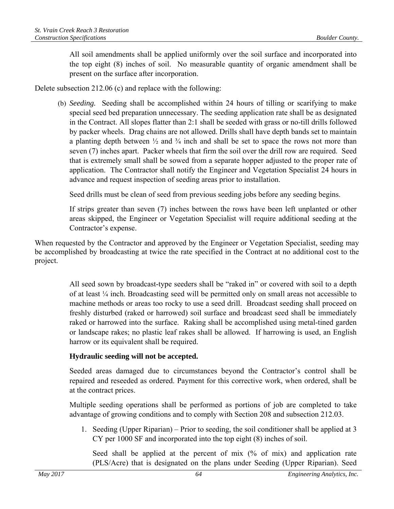All soil amendments shall be applied uniformly over the soil surface and incorporated into the top eight (8) inches of soil. No measurable quantity of organic amendment shall be present on the surface after incorporation.

Delete subsection 212.06 (c) and replace with the following:

(b) *Seeding.* Seeding shall be accomplished within 24 hours of tilling or scarifying to make special seed bed preparation unnecessary. The seeding application rate shall be as designated in the Contract. All slopes flatter than 2:1 shall be seeded with grass or no-till drills followed by packer wheels. Drag chains are not allowed. Drills shall have depth bands set to maintain a planting depth between  $\frac{1}{2}$  and  $\frac{3}{4}$  inch and shall be set to space the rows not more than seven (7) inches apart. Packer wheels that firm the soil over the drill row are required. Seed that is extremely small shall be sowed from a separate hopper adjusted to the proper rate of application. The Contractor shall notify the Engineer and Vegetation Specialist 24 hours in advance and request inspection of seeding areas prior to installation.

Seed drills must be clean of seed from previous seeding jobs before any seeding begins.

If strips greater than seven (7) inches between the rows have been left unplanted or other areas skipped, the Engineer or Vegetation Specialist will require additional seeding at the Contractor's expense.

When requested by the Contractor and approved by the Engineer or Vegetation Specialist, seeding may be accomplished by broadcasting at twice the rate specified in the Contract at no additional cost to the project.

> All seed sown by broadcast-type seeders shall be "raked in" or covered with soil to a depth of at least ¼ inch. Broadcasting seed will be permitted only on small areas not accessible to machine methods or areas too rocky to use a seed drill. Broadcast seeding shall proceed on freshly disturbed (raked or harrowed) soil surface and broadcast seed shall be immediately raked or harrowed into the surface. Raking shall be accomplished using metal-tined garden or landscape rakes; no plastic leaf rakes shall be allowed. If harrowing is used, an English harrow or its equivalent shall be required.

# **Hydraulic seeding will not be accepted.**

Seeded areas damaged due to circumstances beyond the Contractor's control shall be repaired and reseeded as ordered. Payment for this corrective work, when ordered, shall be at the contract prices.

Multiple seeding operations shall be performed as portions of job are completed to take advantage of growing conditions and to comply with Section 208 and subsection 212.03.

1. Seeding (Upper Riparian) – Prior to seeding, the soil conditioner shall be applied at 3 CY per 1000 SF and incorporated into the top eight (8) inches of soil.

Seed shall be applied at the percent of mix (% of mix) and application rate (PLS/Acre) that is designated on the plans under Seeding (Upper Riparian). Seed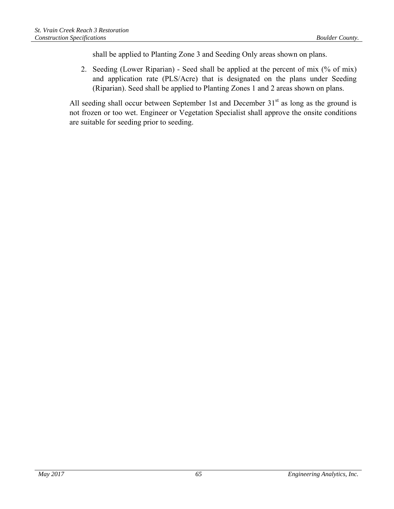shall be applied to Planting Zone 3 and Seeding Only areas shown on plans.

2. Seeding (Lower Riparian) - Seed shall be applied at the percent of mix (% of mix) and application rate (PLS/Acre) that is designated on the plans under Seeding (Riparian). Seed shall be applied to Planting Zones 1 and 2 areas shown on plans.

All seeding shall occur between September 1st and December  $31<sup>st</sup>$  as long as the ground is not frozen or too wet. Engineer or Vegetation Specialist shall approve the onsite conditions are suitable for seeding prior to seeding.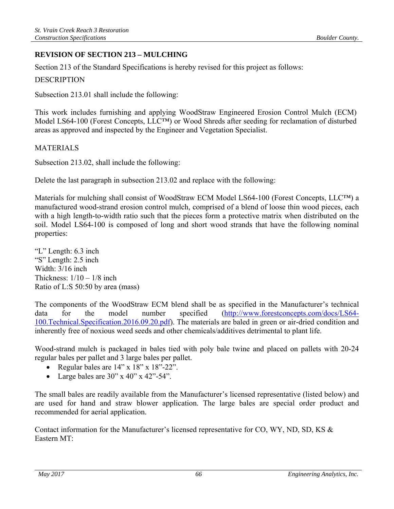# **REVISION OF SECTION 213 – MULCHING**

Section 213 of the Standard Specifications is hereby revised for this project as follows:

### **DESCRIPTION**

Subsection 213.01 shall include the following:

This work includes furnishing and applying WoodStraw Engineered Erosion Control Mulch (ECM) Model LS64-100 (Forest Concepts, LLC™) or Wood Shreds after seeding for reclamation of disturbed areas as approved and inspected by the Engineer and Vegetation Specialist.

### **MATERIALS**

Subsection 213.02, shall include the following:

Delete the last paragraph in subsection 213.02 and replace with the following:

Materials for mulching shall consist of WoodStraw ECM Model LS64-100 (Forest Concepts, LLC™) a manufactured wood-strand erosion control mulch, comprised of a blend of loose thin wood pieces, each with a high length-to-width ratio such that the pieces form a protective matrix when distributed on the soil. Model LS64-100 is composed of long and short wood strands that have the following nominal properties:

"L" Length: 6.3 inch "S" Length: 2.5 inch Width: 3/16 inch Thickness:  $1/10 - 1/8$  inch Ratio of L:S 50:50 by area (mass)

The components of the WoodStraw ECM blend shall be as specified in the Manufacturer's technical data for the model number specified (http://www.forestconcepts.com/docs/LS64- 100.Technical.Specification.2016.09.20.pdf). The materials are baled in green or air-dried condition and inherently free of noxious weed seeds and other chemicals/additives detrimental to plant life.

Wood-strand mulch is packaged in bales tied with poly bale twine and placed on pallets with 20-24 regular bales per pallet and 3 large bales per pallet.

- Regular bales are  $14$ " x  $18$ " x  $18$ "-22".
- Large bales are  $30''$  x  $40''$  x  $42''$ -54".

The small bales are readily available from the Manufacturer's licensed representative (listed below) and are used for hand and straw blower application. The large bales are special order product and recommended for aerial application.

Contact information for the Manufacturer's licensed representative for CO, WY, ND, SD, KS & Eastern MT: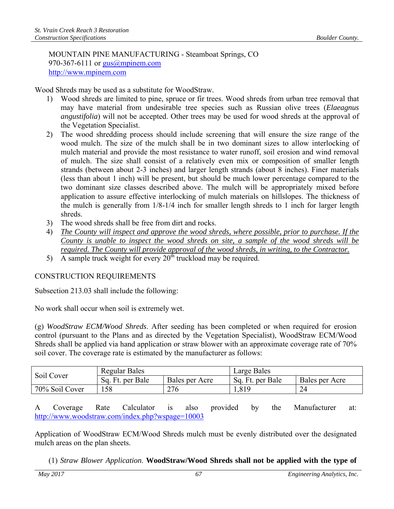#### MOUNTAIN PINE MANUFACTURING - Steamboat Springs, CO 970-367-6111 or <u>gus@mpinem.com</u> http://www.mpinem.com

Wood Shreds may be used as a substitute for WoodStraw.

- 1) Wood shreds are limited to pine, spruce or fir trees. Wood shreds from urban tree removal that may have material from undesirable tree species such as Russian olive trees (*Elaeagnus angustifolia*) will not be accepted. Other trees may be used for wood shreds at the approval of the Vegetation Specialist.
- 2) The wood shredding process should include screening that will ensure the size range of the wood mulch. The size of the mulch shall be in two dominant sizes to allow interlocking of mulch material and provide the most resistance to water runoff, soil erosion and wind removal of mulch. The size shall consist of a relatively even mix or composition of smaller length strands (between about 2-3 inches) and larger length strands (about 8 inches). Finer materials (less than about 1 inch) will be present, but should be much lower percentage compared to the two dominant size classes described above. The mulch will be appropriately mixed before application to assure effective interlocking of mulch materials on hillslopes. The thickness of the mulch is generally from 1/8-1/4 inch for smaller length shreds to 1 inch for larger length shreds.
- 3) The wood shreds shall be free from dirt and rocks.
- 4) *The County will inspect and approve the wood shreds, where possible, prior to purchase. If the County is unable to inspect the wood shreds on site, a sample of the wood shreds will be required. The County will provide approval of the wood shreds, in writing, to the Contractor.*
- 5) A sample truck weight for every  $20<sup>th</sup>$  truckload may be required.

#### CONSTRUCTION REQUIREMENTS

Subsection 213.03 shall include the following:

No work shall occur when soil is extremely wet.

(g) *WoodStraw ECM/Wood Shreds*. After seeding has been completed or when required for erosion control (pursuant to the Plans and as directed by the Vegetation Specialist), WoodStraw ECM/Wood Shreds shall be applied via hand application or straw blower with an approximate coverage rate of 70% soil cover. The coverage rate is estimated by the manufacturer as follows:

| Soil Cover     | <b>Regular Bales</b> |                | Large Bales      |                |
|----------------|----------------------|----------------|------------------|----------------|
|                | Sq. Ft. per Bale     | Bales per Acre | Sq. Ft. per Bale | Bales per Acre |
| 70% Soil Cover | 158                  | 276            | .819             |                |

A Coverage Rate Calculator is also provided by the Manufacturer at: http://www.woodstraw.com/index.php?wspage=10003

Application of WoodStraw ECM/Wood Shreds mulch must be evenly distributed over the designated mulch areas on the plan sheets.

(1) *Straw Blower Application*. **WoodStraw/Wood Shreds shall not be applied with the type of**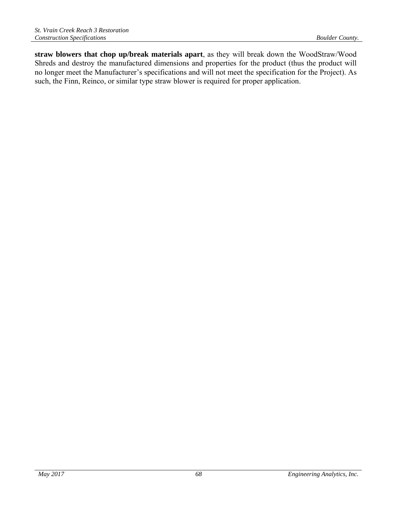**straw blowers that chop up/break materials apart**, as they will break down the WoodStraw/Wood Shreds and destroy the manufactured dimensions and properties for the product (thus the product will no longer meet the Manufacturer's specifications and will not meet the specification for the Project). As such, the Finn, Reinco, or similar type straw blower is required for proper application.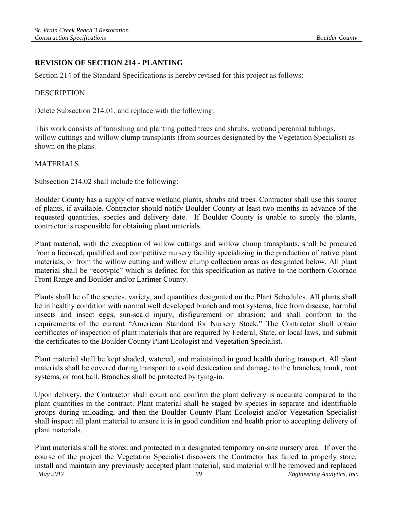## **REVISION OF SECTION 214 - PLANTING**

Section 214 of the Standard Specifications is hereby revised for this project as follows:

#### DESCRIPTION

Delete Subsection 214.01, and replace with the following:

This work consists of furnishing and planting potted trees and shrubs, wetland perennial tublings, willow cuttings and willow clump transplants (from sources designated by the Vegetation Specialist) as shown on the plans.

#### **MATERIALS**

Subsection 214.02 shall include the following:

Boulder County has a supply of native wetland plants, shrubs and trees. Contractor shall use this source of plants, if available. Contractor should notify Boulder County at least two months in advance of the requested quantities, species and delivery date. If Boulder County is unable to supply the plants, contractor is responsible for obtaining plant materials.

Plant material, with the exception of willow cuttings and willow clump transplants, shall be procured from a licensed, qualified and competitive nursery facility specializing in the production of native plant materials, or from the willow cutting and willow clump collection areas as designated below. All plant material shall be "ecotypic" which is defined for this specification as native to the northern Colorado Front Range and Boulder and/or Larimer County.

Plants shall be of the species, variety, and quantities designated on the Plant Schedules. All plants shall be in healthy condition with normal well developed branch and root systems, free from disease, harmful insects and insect eggs, sun-scald injury, disfigurement or abrasion; and shall conform to the requirements of the current "American Standard for Nursery Stock." The Contractor shall obtain certificates of inspection of plant materials that are required by Federal, State, or local laws, and submit the certificates to the Boulder County Plant Ecologist and Vegetation Specialist.

Plant material shall be kept shaded, watered, and maintained in good health during transport. All plant materials shall be covered during transport to avoid desiccation and damage to the branches, trunk, root systems, or root ball. Branches shall be protected by tying-in.

Upon delivery, the Contractor shall count and confirm the plant delivery is accurate compared to the plant quantities in the contract. Plant material shall be staged by species in separate and identifiable groups during unloading, and then the Boulder County Plant Ecologist and/or Vegetation Specialist shall inspect all plant material to ensure it is in good condition and health prior to accepting delivery of plant materials.

Plant materials shall be stored and protected in a designated temporary on-site nursery area. If over the course of the project the Vegetation Specialist discovers the Contractor has failed to properly store, install and maintain any previously accepted plant material, said material will be removed and replaced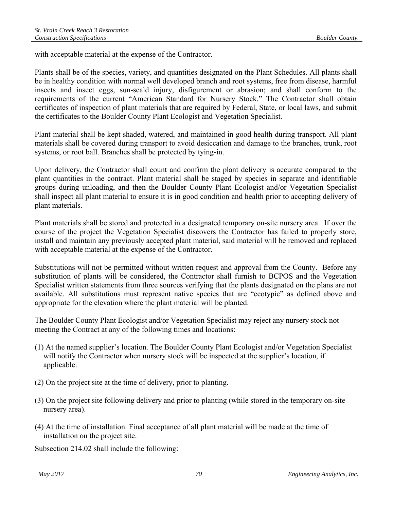with acceptable material at the expense of the Contractor.

Plants shall be of the species, variety, and quantities designated on the Plant Schedules. All plants shall be in healthy condition with normal well developed branch and root systems, free from disease, harmful insects and insect eggs, sun-scald injury, disfigurement or abrasion; and shall conform to the requirements of the current "American Standard for Nursery Stock." The Contractor shall obtain certificates of inspection of plant materials that are required by Federal, State, or local laws, and submit the certificates to the Boulder County Plant Ecologist and Vegetation Specialist.

Plant material shall be kept shaded, watered, and maintained in good health during transport. All plant materials shall be covered during transport to avoid desiccation and damage to the branches, trunk, root systems, or root ball. Branches shall be protected by tying-in.

Upon delivery, the Contractor shall count and confirm the plant delivery is accurate compared to the plant quantities in the contract. Plant material shall be staged by species in separate and identifiable groups during unloading, and then the Boulder County Plant Ecologist and/or Vegetation Specialist shall inspect all plant material to ensure it is in good condition and health prior to accepting delivery of plant materials.

Plant materials shall be stored and protected in a designated temporary on-site nursery area. If over the course of the project the Vegetation Specialist discovers the Contractor has failed to properly store, install and maintain any previously accepted plant material, said material will be removed and replaced with acceptable material at the expense of the Contractor.

Substitutions will not be permitted without written request and approval from the County. Before any substitution of plants will be considered, the Contractor shall furnish to BCPOS and the Vegetation Specialist written statements from three sources verifying that the plants designated on the plans are not available. All substitutions must represent native species that are "ecotypic" as defined above and appropriate for the elevation where the plant material will be planted.

The Boulder County Plant Ecologist and/or Vegetation Specialist may reject any nursery stock not meeting the Contract at any of the following times and locations:

- (1) At the named supplier's location. The Boulder County Plant Ecologist and/or Vegetation Specialist will notify the Contractor when nursery stock will be inspected at the supplier's location, if applicable.
- (2) On the project site at the time of delivery, prior to planting.
- (3) On the project site following delivery and prior to planting (while stored in the temporary on-site nursery area).
- (4) At the time of installation. Final acceptance of all plant material will be made at the time of installation on the project site.

Subsection 214.02 shall include the following: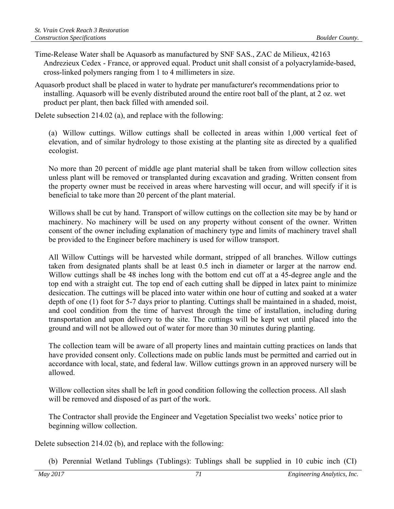- Time-Release Water shall be Aquasorb as manufactured by SNF SAS., ZAC de Milieux, 42163 Andrezieux Cedex - France, or approved equal. Product unit shall consist of a polyacrylamide-based, cross-linked polymers ranging from 1 to 4 millimeters in size.
- Aquasorb product shall be placed in water to hydrate per manufacturer's recommendations prior to installing. Aquasorb will be evenly distributed around the entire root ball of the plant, at 2 oz. wet product per plant, then back filled with amended soil.

Delete subsection 214.02 (a), and replace with the following:

(a) Willow cuttings. Willow cuttings shall be collected in areas within 1,000 vertical feet of elevation, and of similar hydrology to those existing at the planting site as directed by a qualified ecologist.

No more than 20 percent of middle age plant material shall be taken from willow collection sites unless plant will be removed or transplanted during excavation and grading. Written consent from the property owner must be received in areas where harvesting will occur, and will specify if it is beneficial to take more than 20 percent of the plant material.

Willows shall be cut by hand. Transport of willow cuttings on the collection site may be by hand or machinery. No machinery will be used on any property without consent of the owner. Written consent of the owner including explanation of machinery type and limits of machinery travel shall be provided to the Engineer before machinery is used for willow transport.

All Willow Cuttings will be harvested while dormant, stripped of all branches. Willow cuttings taken from designated plants shall be at least 0.5 inch in diameter or larger at the narrow end. Willow cuttings shall be 48 inches long with the bottom end cut off at a 45-degree angle and the top end with a straight cut. The top end of each cutting shall be dipped in latex paint to minimize desiccation. The cuttings will be placed into water within one hour of cutting and soaked at a water depth of one (1) foot for 5-7 days prior to planting. Cuttings shall be maintained in a shaded, moist, and cool condition from the time of harvest through the time of installation, including during transportation and upon delivery to the site. The cuttings will be kept wet until placed into the ground and will not be allowed out of water for more than 30 minutes during planting.

The collection team will be aware of all property lines and maintain cutting practices on lands that have provided consent only. Collections made on public lands must be permitted and carried out in accordance with local, state, and federal law. Willow cuttings grown in an approved nursery will be allowed.

Willow collection sites shall be left in good condition following the collection process. All slash will be removed and disposed of as part of the work.

The Contractor shall provide the Engineer and Vegetation Specialist two weeks' notice prior to beginning willow collection.

Delete subsection 214.02 (b), and replace with the following:

(b) Perennial Wetland Tublings (Tublings): Tublings shall be supplied in 10 cubic inch (CI)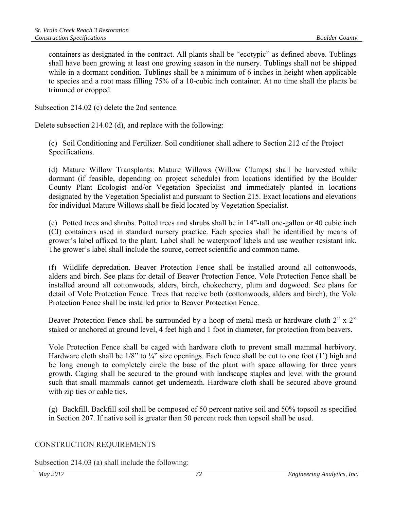containers as designated in the contract. All plants shall be "ecotypic" as defined above. Tublings shall have been growing at least one growing season in the nursery. Tublings shall not be shipped while in a dormant condition. Tublings shall be a minimum of 6 inches in height when applicable to species and a root mass filling 75% of a 10-cubic inch container. At no time shall the plants be trimmed or cropped.

Subsection 214.02 (c) delete the 2nd sentence.

Delete subsection 214.02 (d), and replace with the following:

(c) Soil Conditioning and Fertilizer. Soil conditioner shall adhere to Section 212 of the Project Specifications.

(d) Mature Willow Transplants: Mature Willows (Willow Clumps) shall be harvested while dormant (if feasible, depending on project schedule) from locations identified by the Boulder County Plant Ecologist and/or Vegetation Specialist and immediately planted in locations designated by the Vegetation Specialist and pursuant to Section 215. Exact locations and elevations for individual Mature Willows shall be field located by Vegetation Specialist.

(e) Potted trees and shrubs. Potted trees and shrubs shall be in 14"-tall one-gallon or 40 cubic inch (CI) containers used in standard nursery practice. Each species shall be identified by means of grower's label affixed to the plant. Label shall be waterproof labels and use weather resistant ink. The grower's label shall include the source, correct scientific and common name.

(f) Wildlife depredation. Beaver Protection Fence shall be installed around all cottonwoods, alders and birch. See plans for detail of Beaver Protection Fence. Vole Protection Fence shall be installed around all cottonwoods, alders, birch, chokecherry, plum and dogwood. See plans for detail of Vole Protection Fence. Trees that receive both (cottonwoods, alders and birch), the Vole Protection Fence shall be installed prior to Beaver Protection Fence.

Beaver Protection Fence shall be surrounded by a hoop of metal mesh or hardware cloth 2" x 2" staked or anchored at ground level, 4 feet high and 1 foot in diameter, for protection from beavers.

Vole Protection Fence shall be caged with hardware cloth to prevent small mammal herbivory. Hardware cloth shall be  $1/8$ " to  $\frac{1}{4}$ " size openings. Each fence shall be cut to one foot (1') high and be long enough to completely circle the base of the plant with space allowing for three years growth. Caging shall be secured to the ground with landscape staples and level with the ground such that small mammals cannot get underneath. Hardware cloth shall be secured above ground with zip ties or cable ties.

(g) Backfill. Backfill soil shall be composed of 50 percent native soil and 50% topsoil as specified in Section 207. If native soil is greater than 50 percent rock then topsoil shall be used.

CONSTRUCTION REQUIREMENTS

Subsection 214.03 (a) shall include the following: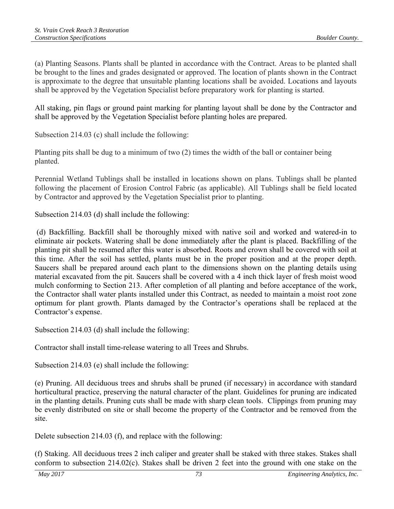(a) Planting Seasons. Plants shall be planted in accordance with the Contract. Areas to be planted shall be brought to the lines and grades designated or approved. The location of plants shown in the Contract is approximate to the degree that unsuitable planting locations shall be avoided. Locations and layouts shall be approved by the Vegetation Specialist before preparatory work for planting is started.

All staking, pin flags or ground paint marking for planting layout shall be done by the Contractor and shall be approved by the Vegetation Specialist before planting holes are prepared.

Subsection 214.03 (c) shall include the following:

Planting pits shall be dug to a minimum of two (2) times the width of the ball or container being planted.

Perennial Wetland Tublings shall be installed in locations shown on plans. Tublings shall be planted following the placement of Erosion Control Fabric (as applicable). All Tublings shall be field located by Contractor and approved by the Vegetation Specialist prior to planting.

Subsection 214.03 (d) shall include the following:

 (d) Backfilling. Backfill shall be thoroughly mixed with native soil and worked and watered-in to eliminate air pockets. Watering shall be done immediately after the plant is placed. Backfilling of the planting pit shall be resumed after this water is absorbed. Roots and crown shall be covered with soil at this time. After the soil has settled, plants must be in the proper position and at the proper depth. Saucers shall be prepared around each plant to the dimensions shown on the planting details using material excavated from the pit. Saucers shall be covered with a 4 inch thick layer of fresh moist wood mulch conforming to Section 213. After completion of all planting and before acceptance of the work, the Contractor shall water plants installed under this Contract, as needed to maintain a moist root zone optimum for plant growth. Plants damaged by the Contractor's operations shall be replaced at the Contractor's expense.

Subsection 214.03 (d) shall include the following:

Contractor shall install time-release watering to all Trees and Shrubs.

Subsection 214.03 (e) shall include the following:

(e) Pruning. All deciduous trees and shrubs shall be pruned (if necessary) in accordance with standard horticultural practice, preserving the natural character of the plant. Guidelines for pruning are indicated in the planting details. Pruning cuts shall be made with sharp clean tools. Clippings from pruning may be evenly distributed on site or shall become the property of the Contractor and be removed from the site.

Delete subsection 214.03 (f), and replace with the following:

(f) Staking. All deciduous trees 2 inch caliper and greater shall be staked with three stakes. Stakes shall conform to subsection 214.02(c). Stakes shall be driven 2 feet into the ground with one stake on the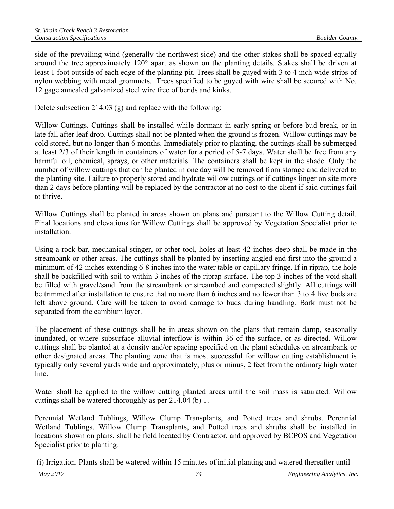side of the prevailing wind (generally the northwest side) and the other stakes shall be spaced equally around the tree approximately 120° apart as shown on the planting details. Stakes shall be driven at least 1 foot outside of each edge of the planting pit. Trees shall be guyed with 3 to 4 inch wide strips of nylon webbing with metal grommets. Trees specified to be guyed with wire shall be secured with No. 12 gage annealed galvanized steel wire free of bends and kinks.

Delete subsection 214.03 (g) and replace with the following:

Willow Cuttings. Cuttings shall be installed while dormant in early spring or before bud break, or in late fall after leaf drop. Cuttings shall not be planted when the ground is frozen. Willow cuttings may be cold stored, but no longer than 6 months. Immediately prior to planting, the cuttings shall be submerged at least 2/3 of their length in containers of water for a period of 5-7 days. Water shall be free from any harmful oil, chemical, sprays, or other materials. The containers shall be kept in the shade. Only the number of willow cuttings that can be planted in one day will be removed from storage and delivered to the planting site. Failure to properly stored and hydrate willow cuttings or if cuttings linger on site more than 2 days before planting will be replaced by the contractor at no cost to the client if said cuttings fail to thrive.

Willow Cuttings shall be planted in areas shown on plans and pursuant to the Willow Cutting detail. Final locations and elevations for Willow Cuttings shall be approved by Vegetation Specialist prior to installation.

Using a rock bar, mechanical stinger, or other tool, holes at least 42 inches deep shall be made in the streambank or other areas. The cuttings shall be planted by inserting angled end first into the ground a minimum of 42 inches extending 6-8 inches into the water table or capillary fringe. If in riprap, the hole shall be backfilled with soil to within 3 inches of the riprap surface. The top 3 inches of the void shall be filled with gravel/sand from the streambank or streambed and compacted slightly. All cuttings will be trimmed after installation to ensure that no more than 6 inches and no fewer than 3 to 4 live buds are left above ground. Care will be taken to avoid damage to buds during handling. Bark must not be separated from the cambium layer.

The placement of these cuttings shall be in areas shown on the plans that remain damp, seasonally inundated, or where subsurface alluvial interflow is within 36 of the surface, or as directed. Willow cuttings shall be planted at a density and/or spacing specified on the plant schedules on streambank or other designated areas. The planting zone that is most successful for willow cutting establishment is typically only several yards wide and approximately, plus or minus, 2 feet from the ordinary high water line.

Water shall be applied to the willow cutting planted areas until the soil mass is saturated. Willow cuttings shall be watered thoroughly as per 214.04 (b) 1.

Perennial Wetland Tublings, Willow Clump Transplants, and Potted trees and shrubs. Perennial Wetland Tublings, Willow Clump Transplants, and Potted trees and shrubs shall be installed in locations shown on plans, shall be field located by Contractor, and approved by BCPOS and Vegetation Specialist prior to planting.

(i) Irrigation. Plants shall be watered within 15 minutes of initial planting and watered thereafter until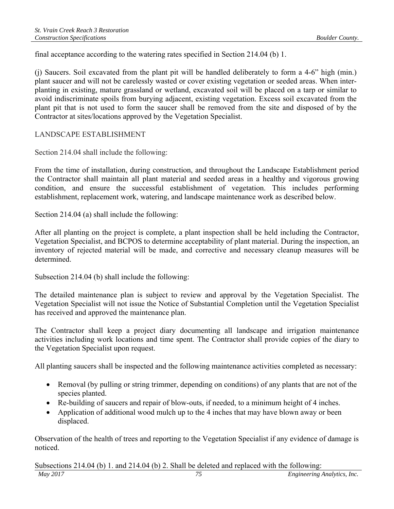final acceptance according to the watering rates specified in Section 214.04 (b) 1.

(j) Saucers. Soil excavated from the plant pit will be handled deliberately to form a 4-6" high (min.) plant saucer and will not be carelessly wasted or cover existing vegetation or seeded areas. When interplanting in existing, mature grassland or wetland, excavated soil will be placed on a tarp or similar to avoid indiscriminate spoils from burying adjacent, existing vegetation. Excess soil excavated from the plant pit that is not used to form the saucer shall be removed from the site and disposed of by the Contractor at sites/locations approved by the Vegetation Specialist.

LANDSCAPE ESTABLISHMENT

Section 214.04 shall include the following:

From the time of installation, during construction, and throughout the Landscape Establishment period the Contractor shall maintain all plant material and seeded areas in a healthy and vigorous growing condition, and ensure the successful establishment of vegetation. This includes performing establishment, replacement work, watering, and landscape maintenance work as described below.

Section 214.04 (a) shall include the following:

After all planting on the project is complete, a plant inspection shall be held including the Contractor, Vegetation Specialist, and BCPOS to determine acceptability of plant material. During the inspection, an inventory of rejected material will be made, and corrective and necessary cleanup measures will be determined.

Subsection 214.04 (b) shall include the following:

The detailed maintenance plan is subject to review and approval by the Vegetation Specialist. The Vegetation Specialist will not issue the Notice of Substantial Completion until the Vegetation Specialist has received and approved the maintenance plan.

The Contractor shall keep a project diary documenting all landscape and irrigation maintenance activities including work locations and time spent. The Contractor shall provide copies of the diary to the Vegetation Specialist upon request.

All planting saucers shall be inspected and the following maintenance activities completed as necessary:

- Removal (by pulling or string trimmer, depending on conditions) of any plants that are not of the species planted.
- Re-building of saucers and repair of blow-outs, if needed, to a minimum height of 4 inches.
- Application of additional wood mulch up to the 4 inches that may have blown away or been displaced.

Observation of the health of trees and reporting to the Vegetation Specialist if any evidence of damage is noticed.

*May 2017 75 Engineering Analytics, Inc.*  Subsections 214.04 (b) 1. and 214.04 (b) 2. Shall be deleted and replaced with the following: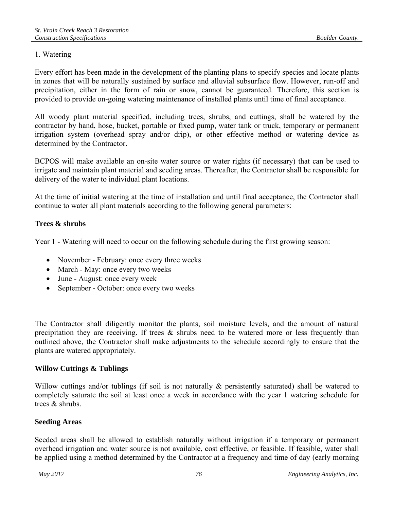### 1. Watering

Every effort has been made in the development of the planting plans to specify species and locate plants in zones that will be naturally sustained by surface and alluvial subsurface flow. However, run-off and precipitation, either in the form of rain or snow, cannot be guaranteed. Therefore, this section is provided to provide on-going watering maintenance of installed plants until time of final acceptance.

All woody plant material specified, including trees, shrubs, and cuttings, shall be watered by the contractor by hand, hose, bucket, portable or fixed pump, water tank or truck, temporary or permanent irrigation system (overhead spray and/or drip), or other effective method or watering device as determined by the Contractor.

BCPOS will make available an on-site water source or water rights (if necessary) that can be used to irrigate and maintain plant material and seeding areas. Thereafter, the Contractor shall be responsible for delivery of the water to individual plant locations.

At the time of initial watering at the time of installation and until final acceptance, the Contractor shall continue to water all plant materials according to the following general parameters:

### **Trees & shrubs**

Year 1 - Watering will need to occur on the following schedule during the first growing season:

- November February: once every three weeks
- March May: once every two weeks
- June August: once every week
- September October: once every two weeks

The Contractor shall diligently monitor the plants, soil moisture levels, and the amount of natural precipitation they are receiving. If trees  $\&$  shrubs need to be watered more or less frequently than outlined above, the Contractor shall make adjustments to the schedule accordingly to ensure that the plants are watered appropriately.

### **Willow Cuttings & Tublings**

Willow cuttings and/or tublings (if soil is not naturally  $\&$  persistently saturated) shall be watered to completely saturate the soil at least once a week in accordance with the year 1 watering schedule for trees & shrubs.

### **Seeding Areas**

Seeded areas shall be allowed to establish naturally without irrigation if a temporary or permanent overhead irrigation and water source is not available, cost effective, or feasible. If feasible, water shall be applied using a method determined by the Contractor at a frequency and time of day (early morning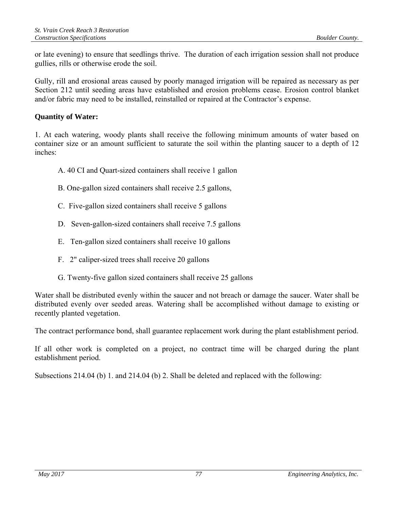or late evening) to ensure that seedlings thrive. The duration of each irrigation session shall not produce gullies, rills or otherwise erode the soil.

Gully, rill and erosional areas caused by poorly managed irrigation will be repaired as necessary as per Section 212 until seeding areas have established and erosion problems cease. Erosion control blanket and/or fabric may need to be installed, reinstalled or repaired at the Contractor's expense.

#### **Quantity of Water:**

1. At each watering, woody plants shall receive the following minimum amounts of water based on container size or an amount sufficient to saturate the soil within the planting saucer to a depth of 12 inches:

- A. 40 CI and Quart-sized containers shall receive 1 gallon
- B. One-gallon sized containers shall receive 2.5 gallons,
- C. Five-gallon sized containers shall receive 5 gallons
- D. Seven-gallon-sized containers shall receive 7.5 gallons
- E. Ten-gallon sized containers shall receive 10 gallons
- F. 2" caliper-sized trees shall receive 20 gallons
- G. Twenty-five gallon sized containers shall receive 25 gallons

Water shall be distributed evenly within the saucer and not breach or damage the saucer. Water shall be distributed evenly over seeded areas. Watering shall be accomplished without damage to existing or recently planted vegetation.

The contract performance bond, shall guarantee replacement work during the plant establishment period.

If all other work is completed on a project, no contract time will be charged during the plant establishment period.

Subsections 214.04 (b) 1. and 214.04 (b) 2. Shall be deleted and replaced with the following: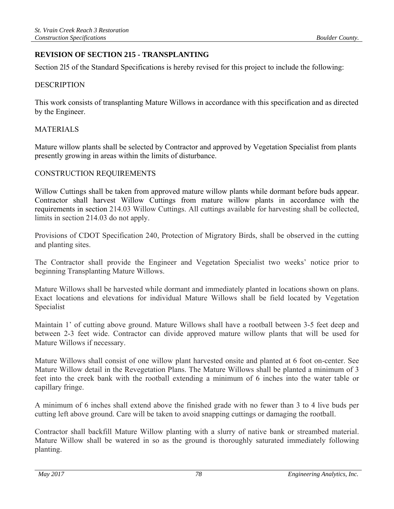# **REVISION OF SECTION 215 - TRANSPLANTING**

Section 2l5 of the Standard Specifications is hereby revised for this project to include the following:

### DESCRIPTION

This work consists of transplanting Mature Willows in accordance with this specification and as directed by the Engineer.

### **MATERIALS**

Mature willow plants shall be selected by Contractor and approved by Vegetation Specialist from plants presently growing in areas within the limits of disturbance.

#### CONSTRUCTION REQUIREMENTS

Willow Cuttings shall be taken from approved mature willow plants while dormant before buds appear. Contractor shall harvest Willow Cuttings from mature willow plants in accordance with the requirements in section 214.03 Willow Cuttings. All cuttings available for harvesting shall be collected, limits in section 214.03 do not apply.

Provisions of CDOT Specification 240, Protection of Migratory Birds, shall be observed in the cutting and planting sites.

The Contractor shall provide the Engineer and Vegetation Specialist two weeks' notice prior to beginning Transplanting Mature Willows.

Mature Willows shall be harvested while dormant and immediately planted in locations shown on plans. Exact locations and elevations for individual Mature Willows shall be field located by Vegetation Specialist

Maintain 1' of cutting above ground. Mature Willows shall have a rootball between 3-5 feet deep and between 2-3 feet wide. Contractor can divide approved mature willow plants that will be used for Mature Willows if necessary.

Mature Willows shall consist of one willow plant harvested onsite and planted at 6 foot on-center. See Mature Willow detail in the Revegetation Plans. The Mature Willows shall be planted a minimum of 3 feet into the creek bank with the rootball extending a minimum of 6 inches into the water table or capillary fringe.

A minimum of 6 inches shall extend above the finished grade with no fewer than 3 to 4 live buds per cutting left above ground. Care will be taken to avoid snapping cuttings or damaging the rootball.

Contractor shall backfill Mature Willow planting with a slurry of native bank or streambed material. Mature Willow shall be watered in so as the ground is thoroughly saturated immediately following planting.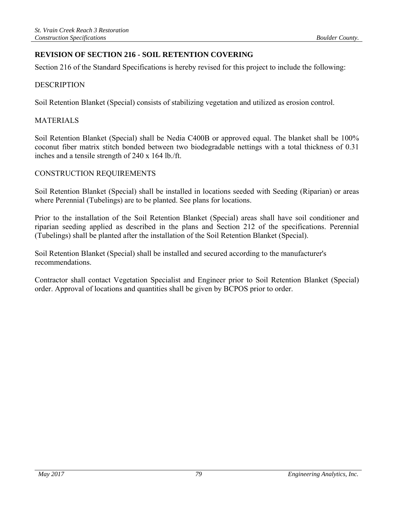# **REVISION OF SECTION 216 - SOIL RETENTION COVERING**

Section 216 of the Standard Specifications is hereby revised for this project to include the following:

### DESCRIPTION

Soil Retention Blanket (Special) consists of stabilizing vegetation and utilized as erosion control.

### MATERIALS

Soil Retention Blanket (Special) shall be Nedia C400B or approved equal. The blanket shall be 100% coconut fiber matrix stitch bonded between two biodegradable nettings with a total thickness of 0.31 inches and a tensile strength of 240 x 164 lb./ft.

#### CONSTRUCTION REQUIREMENTS

Soil Retention Blanket (Special) shall be installed in locations seeded with Seeding (Riparian) or areas where Perennial (Tubelings) are to be planted. See plans for locations.

Prior to the installation of the Soil Retention Blanket (Special) areas shall have soil conditioner and riparian seeding applied as described in the plans and Section 212 of the specifications. Perennial (Tubelings) shall be planted after the installation of the Soil Retention Blanket (Special).

Soil Retention Blanket (Special) shall be installed and secured according to the manufacturer's recommendations.

Contractor shall contact Vegetation Specialist and Engineer prior to Soil Retention Blanket (Special) order. Approval of locations and quantities shall be given by BCPOS prior to order.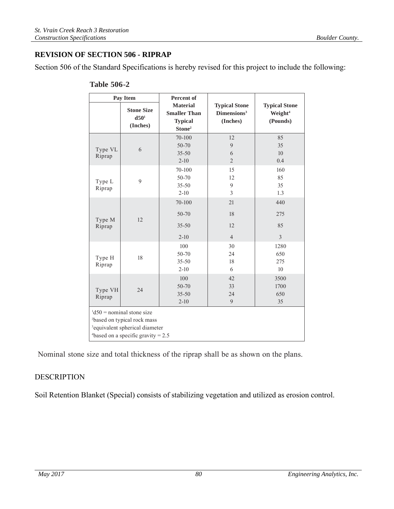# **REVISION OF SECTION 506 - RIPRAP**

Section 506 of the Standard Specifications is hereby revised for this project to include the following:

| Pay Item                                                                                                                                                                |                                                   | Percent of                                                                     |                                                             |                                                         |  |
|-------------------------------------------------------------------------------------------------------------------------------------------------------------------------|---------------------------------------------------|--------------------------------------------------------------------------------|-------------------------------------------------------------|---------------------------------------------------------|--|
|                                                                                                                                                                         | <b>Stone Size</b><br>d50 <sup>1</sup><br>(Inches) | <b>Material</b><br><b>Smaller Than</b><br><b>Typical</b><br>Stone <sup>2</sup> | <b>Typical Stone</b><br>Dimensions <sup>3</sup><br>(Inches) | <b>Typical Stone</b><br>Weight <sup>4</sup><br>(Pounds) |  |
| Type VL<br>Riprap                                                                                                                                                       | 6                                                 | 70-100<br>50-70<br>$35 - 50$<br>$2 - 10$                                       | 12<br>9<br>6<br>$\overline{2}$                              | 85<br>35<br>10<br>0.4                                   |  |
| Type L<br>Riprap                                                                                                                                                        | 9                                                 | 70-100<br>50-70<br>$35 - 50$<br>$2 - 10$                                       | 15<br>12<br>9<br>3                                          | 160<br>85<br>35<br>1.3                                  |  |
| Type M<br>Riprap                                                                                                                                                        | 12                                                | 70-100<br>50-70<br>$35 - 50$<br>$2 - 10$                                       | 21<br>18<br>12<br>$\overline{4}$                            | 440<br>275<br>85<br>$\overline{3}$                      |  |
| Type H<br>Riprap                                                                                                                                                        | 18                                                | 100<br>50-70<br>$35 - 50$<br>$2 - 10$                                          | 30<br>24<br>18<br>6                                         | 1280<br>650<br>275<br>10                                |  |
| Type VH<br>Riprap                                                                                                                                                       | 24                                                | 100<br>50-70<br>$35 - 50$<br>$2 - 10$                                          | 42<br>33<br>24<br>9                                         | 3500<br>1700<br>650<br>35                               |  |
| $d50$ = nominal stone size<br><sup>2</sup> based on typical rock mass<br><sup>3</sup> equivalent spherical diameter<br><sup>4</sup> based on a specific gravity = $2.5$ |                                                   |                                                                                |                                                             |                                                         |  |

| <b>Table 506-2</b> |
|--------------------|
|                    |

Nominal stone size and total thickness of the riprap shall be as shown on the plans.

### DESCRIPTION

Soil Retention Blanket (Special) consists of stabilizing vegetation and utilized as erosion control.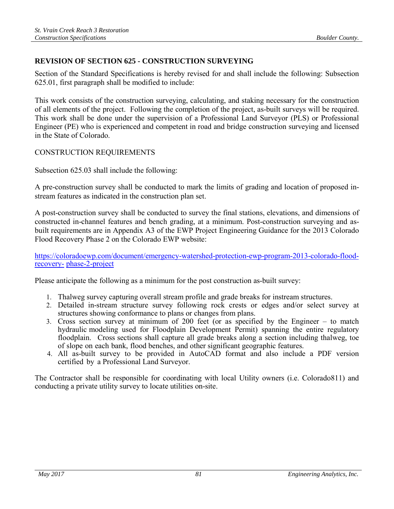### **REVISION OF SECTION 625 - CONSTRUCTION SURVEYING**

Section of the Standard Specifications is hereby revised for and shall include the following: Subsection 625.01, first paragraph shall be modified to include:

This work consists of the construction surveying, calculating, and staking necessary for the construction of all elements of the project. Following the completion of the project, as-built surveys will be required. This work shall be done under the supervision of a Professional Land Surveyor (PLS) or Professional Engineer (PE) who is experienced and competent in road and bridge construction surveying and licensed in the State of Colorado.

#### CONSTRUCTION REQUIREMENTS

Subsection 625.03 shall include the following:

A pre-construction survey shall be conducted to mark the limits of grading and location of proposed instream features as indicated in the construction plan set.

A post-construction survey shall be conducted to survey the final stations, elevations, and dimensions of constructed in-channel features and bench grading, at a minimum. Post-construction surveying and asbuilt requirements are in Appendix A3 of the EWP Project Engineering Guidance for the 2013 Colorado Flood Recovery Phase 2 on the Colorado EWP website:

https://coloradoewp.com/document/emergency-watershed-protection-ewp-program-2013-colorado-floodrecovery- phase-2-project

Please anticipate the following as a minimum for the post construction as-built survey:

- 1. Thalweg survey capturing overall stream profile and grade breaks for instream structures.
- 2. Detailed in-stream structure survey following rock crests or edges and/or select survey at structures showing conformance to plans or changes from plans.
- 3. Cross section survey at minimum of 200 feet (or as specified by the Engineer to match hydraulic modeling used for Floodplain Development Permit) spanning the entire regulatory floodplain. Cross sections shall capture all grade breaks along a section including thalweg, toe of slope on each bank, flood benches, and other significant geographic features.
- 4. All as-built survey to be provided in AutoCAD format and also include a PDF version certified by a Professional Land Surveyor.

The Contractor shall be responsible for coordinating with local Utility owners (i.e. Colorado811) and conducting a private utility survey to locate utilities on-site.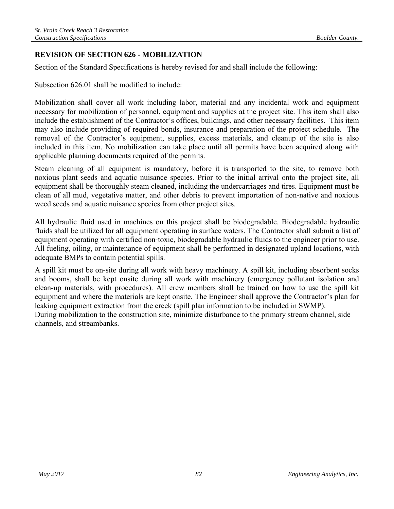# **REVISION OF SECTION 626 - MOBILIZATION**

Section of the Standard Specifications is hereby revised for and shall include the following:

Subsection 626.01 shall be modified to include:

Mobilization shall cover all work including labor, material and any incidental work and equipment necessary for mobilization of personnel, equipment and supplies at the project site. This item shall also include the establishment of the Contractor's offices, buildings, and other necessary facilities. This item may also include providing of required bonds, insurance and preparation of the project schedule. The removal of the Contractor's equipment, supplies, excess materials, and cleanup of the site is also included in this item. No mobilization can take place until all permits have been acquired along with applicable planning documents required of the permits.

Steam cleaning of all equipment is mandatory, before it is transported to the site, to remove both noxious plant seeds and aquatic nuisance species. Prior to the initial arrival onto the project site, all equipment shall be thoroughly steam cleaned, including the undercarriages and tires. Equipment must be clean of all mud, vegetative matter, and other debris to prevent importation of non-native and noxious weed seeds and aquatic nuisance species from other project sites.

All hydraulic fluid used in machines on this project shall be biodegradable. Biodegradable hydraulic fluids shall be utilized for all equipment operating in surface waters. The Contractor shall submit a list of equipment operating with certified non-toxic, biodegradable hydraulic fluids to the engineer prior to use. All fueling, oiling, or maintenance of equipment shall be performed in designated upland locations, with adequate BMPs to contain potential spills.

A spill kit must be on-site during all work with heavy machinery. A spill kit, including absorbent socks and booms, shall be kept onsite during all work with machinery (emergency pollutant isolation and clean-up materials, with procedures). All crew members shall be trained on how to use the spill kit equipment and where the materials are kept onsite. The Engineer shall approve the Contractor's plan for leaking equipment extraction from the creek (spill plan information to be included in SWMP). During mobilization to the construction site, minimize disturbance to the primary stream channel, side channels, and streambanks.